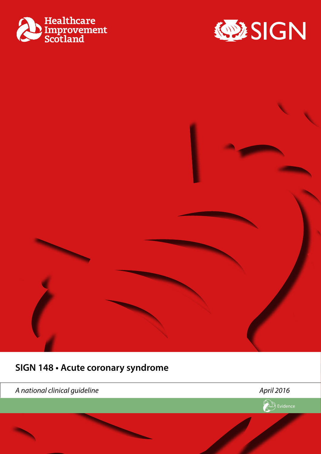



# **SIGN 148 • Acute coronary syndrome**

A national clinical guideline and the April 2016 **Evidence**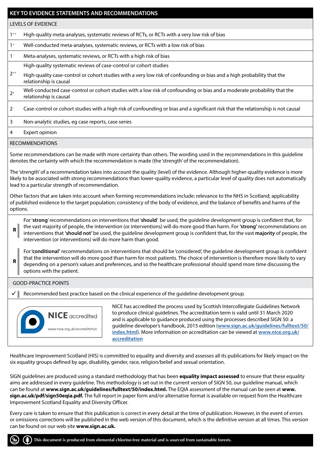# **KEY TO EVIDENCE STATEMENTS AND RECOMMENDATIONS** LEVELS OF EVIDENCE 1++ High-quality meta-analyses, systematic reviews of RCTs, or RCTs with a very low risk of bias 1+ Well-conducted meta-analyses, systematic reviews, or RCTs with a low risk of bias 1 Meta-analyses, systematic reviews, or RCTs with a high risk of bias High-quality systematic reviews of case-control or cohort studies  $2^{++}$ High-quality case-control or cohort studies with a very low risk of confounding or bias and a high probability that the relationship is causal  $2^+$  Well-conducted case-control or cohort studies with a low risk of confounding or bias and a moderate probability that the relationship is causal 2<sup>2</sup> Case-control or cohort studies with a high risk of confounding or bias and a significant risk that the relationship is not causal 3 Non-analytic studies, eg case reports, case series 4 Expert opinion RECOMMENDATIONS Some recommendations can be made with more certainty than others. The wording used in the recommendations in this guideline denotes the certainty with which the recommendation is made (the 'strength' of the recommendation). The 'strength' of a recommendation takes into account the quality (level) of the evidence. Although higher-quality evidence is more likely to be associated with strong recommendations than lower-quality evidence, a particular level of quality does not automatically lead to a particular strength of recommendation. Other factors that are taken into account when forming recommendations include: relevance to the NHS in Scotland; applicability of published evidence to the target population; consistency of the body of evidence, and the balance of benefits and harms of the options. For '**strong**' recommendations on interventions that '**should**' be used, the guideline development group is confident that, for the vast majority of people, the intervention (or interventions) will do more good than harm. For **'strong'** recommendations on **R** interventions that **'should not'** be used, the guideline development group is confident that, for the vast **majority** of people, the intervention (or interventions) will do more harm than good. For **'conditional'** recommendations on interventions that should be 'considered', the guideline development group is confident that the intervention will do more good than harm for most patients. The choice of intervention is therefore more likely to vary **R** depending on a person's values and preferences, and so the healthcare professional should spend more time discussing the options with the patient. GOOD-PRACTICE POINTS Recommended best practice based on the clinical experience of the guideline development group. NICE has accredited the process used by Scottish Intercollegiate Guidelines Network to produce clinical guidelines. The accreditation term is valid until 31 March 2020 **NICE** accredited and is applicable to guidance produced using the processes described SIGN 50: a guideline developer's handbook, 2015 edition (**[www.sign.ac.uk/guidelines/fulltext/50/](http://www.sign.ac.uk/guidelines/fulltext/50/index.html)** www.nice.org.uk/accreditation **[index.html](http://www.sign.ac.uk/guidelines/fulltext/50/index.html)**). More information on accreditation can be viewed at **[www.nice.org.uk/](http://www.nice.org.uk/accreditation) [accreditation](http://www.nice.org.uk/accreditation)**

Healthcare Improvement Scotland (HIS) is committed to equality and diversity and assesses all its publications for likely impact on the six equality groups defined by age, disability, gender, race, religion/belief and sexual orientation.

SIGN guidelines are produced using a standard methodology that has been **equality impact assessed** to ensure that these equality aims are addressed in every guideline. This methodology is set out in the current version of SIGN 50, our guideline manual, which can be found at **www.sign.ac.uk/guidelines/fulltext/50/index.html.** The EQIA assessment of the manual can be seen at **www. sign.ac.uk/pdf/sign50eqia.pdf.** The full report in paper form and/or alternative format is available on request from the Healthcare Improvement Scotland Equality and Diversity Officer.

Every care is taken to ensure that this publication is correct in every detail at the time of publication. However, in the event of errors or omissions corrections will be published in the web version of this document, which is the definitive version at all times. This version can be found on our web site **www.sign.ac.uk.**

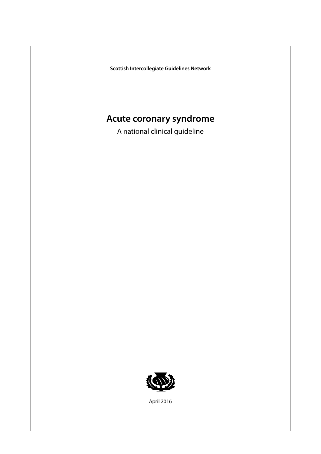**Scottish Intercollegiate Guidelines Network**

# **Acute coronary syndrome**

A national clinical guideline



April 2016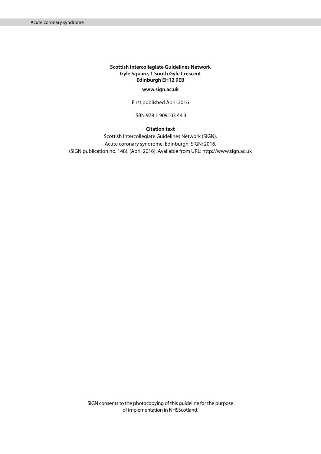## **Scottish Intercollegiate Guidelines Network Gyle Square, 1 South Gyle Crescent Edinburgh EH12 9EB**

#### **www.sign.ac.uk**

First published April 2016

ISBN 978 1 909103 44 3

## **Citation text**

Scottish Intercollegiate Guidelines Network (SIGN). Acute coronary syndrome. Edinburgh: SIGN; 2016. (SIGN publication no. 148). [April 2016]. Available from URL: http://www.sign.ac.uk

> SIGN consents to the photocopying of this guideline for the purpose of implementation in NHSScotland.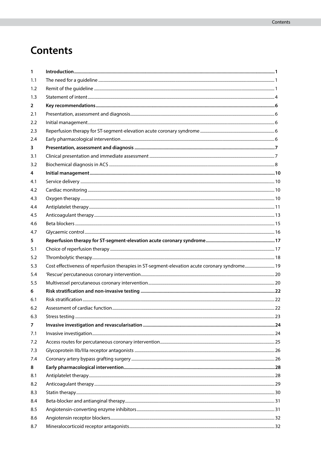# **Contents**

| 1              |                                                                                                |  |
|----------------|------------------------------------------------------------------------------------------------|--|
| 1.1            |                                                                                                |  |
| 1.2            |                                                                                                |  |
| 1.3            |                                                                                                |  |
| 2              |                                                                                                |  |
| 2.1            |                                                                                                |  |
| 2.2            |                                                                                                |  |
| 2.3            |                                                                                                |  |
| 2.4            |                                                                                                |  |
| 3              |                                                                                                |  |
| 3.1            |                                                                                                |  |
| 3.2            |                                                                                                |  |
| 4              |                                                                                                |  |
| 4.1            |                                                                                                |  |
| 4.2            |                                                                                                |  |
| 4.3            |                                                                                                |  |
| 4.4            |                                                                                                |  |
| 4.5            |                                                                                                |  |
| 4.6            |                                                                                                |  |
| 4.7            |                                                                                                |  |
| 5              |                                                                                                |  |
| 5.1            |                                                                                                |  |
| 5.2            |                                                                                                |  |
| 5.3            | Cost effectiveness of reperfusion therapies in ST-segment-elevation acute coronary syndrome 19 |  |
| 5.4            |                                                                                                |  |
| 5.5            |                                                                                                |  |
| 6              |                                                                                                |  |
| 6.1            |                                                                                                |  |
| 6.2            |                                                                                                |  |
| 6.3            |                                                                                                |  |
| $\overline{7}$ |                                                                                                |  |
| 7.1            |                                                                                                |  |
| 7.2            |                                                                                                |  |
| 7.3            |                                                                                                |  |
| 7.4            |                                                                                                |  |
| 8              |                                                                                                |  |
| 8.1            |                                                                                                |  |
| 8.2            |                                                                                                |  |
| 8.3            |                                                                                                |  |
| 8.4            |                                                                                                |  |
| 8.5            |                                                                                                |  |
| 8.6            |                                                                                                |  |
| 8.7            |                                                                                                |  |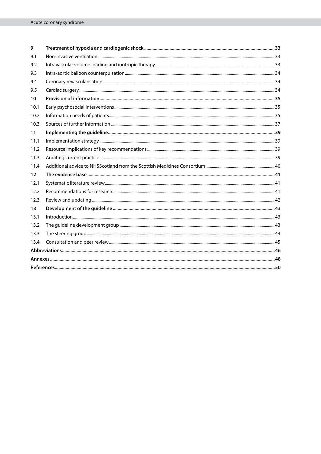| 9                 |  |
|-------------------|--|
| 9.1               |  |
| 9.2               |  |
| 9.3               |  |
| 9.4               |  |
| 9.5               |  |
| 10                |  |
| 10.1              |  |
| 10.2              |  |
| 10.3              |  |
| 11                |  |
| 11.1              |  |
| 11.2              |  |
| 11.3              |  |
| 11.4              |  |
| $12 \overline{ }$ |  |
| 12.1              |  |
| 12.2              |  |
| 12.3              |  |
| 13                |  |
| 13.1              |  |
| 13.2              |  |
| 13.3              |  |
| 13.4              |  |
|                   |  |
|                   |  |
|                   |  |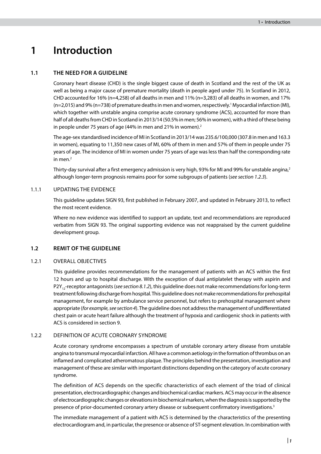# <span id="page-6-0"></span>**1 Introduction**

# **1.1 THE NEED FOR A GUIDELINE**

Coronary heart disease (CHD) is the single biggest cause of death in Scotland and the rest of the UK as well as being a major cause of premature mortality (death in people aged under 75). In Scotland in 2012, CHD accounted for 16% (n=4,258) of all deaths in men and 11% (n=3,283) of all deaths in women, and 17% (n=2,015) and 9% (n=738) of premature deaths in men and women, respectively.' Myocardial infarction (MI), which together with unstable angina comprise acute coronary syndrome (ACS), accounted for more than half of all deaths from CHD in Scotland in 2013/14 (50.5% in men; 56% in women), with a third of these being in people under 75 years of age (44% in men and 21% in women).<sup>2</sup>

The age-sex standardised incidence of MI in Scotland in 2013/14 was 235.6/100,000 (307.8 in men and 163.3 in women), equating to 11,350 new cases of MI, 60% of them in men and 57% of them in people under 75 years of age. The incidence of MI in women under 75 years of age was less than half the corresponding rate in men.<sup>2</sup>

Thirty-day survival after a first emergency admission is very high, 93% for MI and 99% for unstable angina,<sup>2</sup> although longer-term prognosis remains poor for some subgroups of patients (*see section 1.2.3*).

## 1.1.1 UPDATING THE EVIDENCE

This guideline updates SIGN 93, first published in February 2007, and updated in February 2013, to reflect the most recent evidence.

Where no new evidence was identified to support an update, text and recommendations are reproduced verbatim from SIGN 93. The original supporting evidence was not reappraised by the current guideline development group.

## **1.2 REMIT OF THE GUIDELINE**

#### 1.2.1 OVERALL OBJECTIVES

This guideline provides recommendations for the management of patients with an ACS within the first 12 hours and up to hospital discharge. With the exception of dual antiplatelet therapy with aspirin and P2Y<sub>12</sub>-receptor antagonists (*see section 8.1.2*), this guideline does not make recommendations for long-term treatment following discharge from hospital. This guideline does not make recommendations for prehospital management, for example by ambulance service personnel, but refers to prehospital management where appropriate (*for example, see section 4*). The guideline does not address the management of undifferentiated chest pain or acute heart failure although the treatment of hypoxia and cardiogenic shock in patients with ACS is considered in section 9.

## 1.2.2 DEFINITION OF ACUTE CORONARY SYNDROME

Acute coronary syndrome encompasses a spectrum of unstable coronary artery disease from unstable angina to transmural myocardial infarction. All have a common aetiology in the formation of thrombus on an inflamed and complicated atheromatous plaque. The principles behind the presentation, investigation and management of these are similar with important distinctions depending on the category of acute coronary syndrome.

The definition of ACS depends on the specific characteristics of each element of the triad of clinical presentation, electrocardiographic changes and biochemical cardiac markers. ACS may occur in the absence of electrocardiographic changes or elevations in biochemical markers, when the diagnosis is supported by the presence of prior-documented coronary artery disease or subsequent confirmatory investigations.<sup>3</sup>

The immediate management of a patient with ACS is determined by the characteristics of the presenting electrocardiogram and, in particular, the presence or absence of ST-segment elevation. In combination with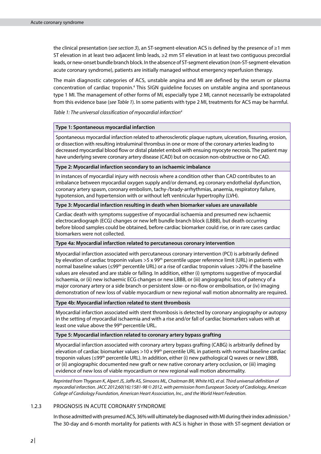the clinical presentation (*see section 3*), an ST-segment-elevation ACS is defined by the presence of ≥1 mm ST elevation in at least two adjacent limb leads, ≥2 mm ST elevation in at least two contiguous precordial leads, or new-onset bundle branch block. In the absence of ST-segment elevation (non-ST-segment-elevation acute coronary syndrome), patients are initially managed without emergency reperfusion therapy.

The main diagnostic categories of ACS, unstable angina and MI are defined by the serum or plasma concentration of cardiac troponin.<sup>4</sup> This SIGN guideline focuses on unstable angina and spontaneous type 1 MI. The management of other forms of MI, especially type 2 MI, cannot necessarily be extrapolated from this evidence base (*see Table 1*). In some patients with type 2 MI, treatments for ACS may be harmful.

*Table 1: The universal classification of myocardial infarction4*

#### **Type 1: Spontaneous myocardial infarction**

Spontaneous myocardial infarction related to atherosclerotic plaque rupture, ulceration, fissuring, erosion, or dissection with resulting intraluminal thrombus in one or more of the coronary arteries leading to decreased myocardial blood flow or distal platelet emboli with ensuing myocyte necrosis. The patient may have underlying severe coronary artery disease (CAD) but on occasion non-obstructive or no CAD.

#### **Type 2: Myocardial infarction secondary to an ischaemic imbalance**

In instances of myocardial injury with necrosis where a condition other than CAD contributes to an imbalance between myocardial oxygen supply and/or demand, eg coronary endothelial dysfunction, coronary artery spasm, coronary embolism, tachy-/brady-arrhythmias, anaemia, respiratory failure, hypotension, and hypertension with or without left ventricular hypertrophy (LVH).

#### **Type 3: Myocardial infarction resulting in death when biomarker values are unavailable**

Cardiac death with symptoms suggestive of myocardial ischaemia and presumed new ischaemic electrocardiograph (ECG) changes or new left bundle branch block (LBBB), but death occurring before blood samples could be obtained, before cardiac biomarker could rise, or in rare cases cardiac biomarkers were not collected.

#### **Type 4a: Myocardial infarction related to percutaneous coronary intervention**

Myocardial infarction associated with percutaneous coronary intervention (PCI) is arbitrarily defined by elevation of cardiac troponin values  $>5 \times 99<sup>th</sup>$  percentile upper reference limit (URL) in patients with normal baseline values (≤99<sup>th</sup> percentile URL) or a rise of cardiac troponin values >20% if the baseline values are elevated and are stable or falling. In addition, either (i) symptoms suggestive of myocardial ischaemia, or (ii) new ischaemic ECG changes or new LBBB, or (iii) angiographic loss of patency of a major coronary artery or a side branch or persistent slow- or no-flow or embolisation, or (iv) imaging demonstration of new loss of viable myocardium or new regional wall motion abnormality are required.

#### **Type 4b: Myocardial infarction related to stent thrombosis**

Myocardial infarction associated with stent thrombosis is detected by coronary angiography or autopsy in the setting of myocardial ischaemia and with a rise and/or fall of cardiac biomarkers values with at least one value above the 99th percentile URL.

#### **Type 5: Myocardial infarction related to coronary artery bypass grafting**

Myocardial infarction associated with coronary artery bypass grafting (CABG) is arbitrarily defined by elevation of cardiac biomarker values >10 x 99<sup>th</sup> percentile URL in patients with normal baseline cardiac troponin values ( $\leq$ 99<sup>th</sup> percentile URL). In addition, either (i) new pathological Q waves or new LBBB, or (ii) angiographic documented new graft or new native coronary artery occlusion, or (iii) imaging evidence of new loss of viable myocardium or new regional wall motion abnormality.

*Reprinted from Thygesen K, Alpert JS, Jaffe AS, Simoons ML, Chaitman BR, White HD, et al. Third universal definition of myocardial infarction. JACC 2012;60(16):1581-98 © 2012, with permission from European Society of Cardiology, American College of Cardiology Foundation, American Heart Association, Inc., and the World Heart Federation.*

### 1.2.3 PROGNOSIS IN ACUTE CORONARY SYNDROME

In those admitted with presumed ACS, 36% will ultimately be diagnosed with MI during their index admission.<sup>5</sup> The 30-day and 6-month mortality for patients with ACS is higher in those with ST-segment deviation or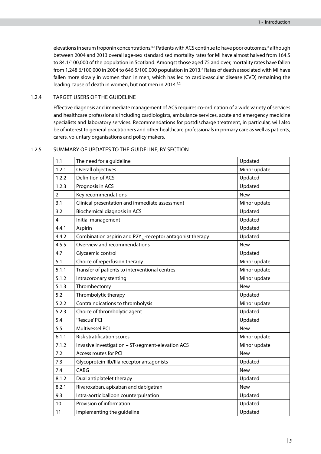elevations in serum troponin concentrations.<sup>67</sup> Patients with ACS continue to have poor outcomes,<sup>8</sup> although between 2004 and 2013 overall age-sex standardised mortality rates for MI have almost halved from 164.5 to 84.1/100,000 of the population in Scotland. Amongst those aged 75 and over, mortality rates have fallen from 1,248.6/100,000 in 2004 to 646.5/100,000 population in 2013.<sup>2</sup> Rates of death associated with MI have fallen more slowly in women than in men, which has led to cardiovascular disease (CVD) remaining the leading cause of death in women, but not men in 2014.<sup>1,2</sup>

### 1.2.4 TARGET USERS OF THE GUIDELINE

Effective diagnosis and immediate management of ACS requires co-ordination of a wide variety of services and healthcare professionals including cardiologists, ambulance services, acute and emergency medicine specialists and laboratory services. Recommendations for postdischarge treatment, in particular, will also be of interest to general practitioners and other healthcare professionals in primary care as well as patients, carers, voluntary organisations and policy makers.

#### 1.2.5 SUMMARY OF UPDATES TO THE GUIDELINE, BY SECTION

| 1.1                     | The need for a guideline                                               | Updated      |
|-------------------------|------------------------------------------------------------------------|--------------|
| 1.2.1                   | Overall objectives                                                     | Minor update |
| 1.2.2                   | Definition of ACS                                                      | Updated      |
| 1.2.3                   | Prognosis in ACS                                                       | Updated      |
| 2                       | Key recommendations                                                    | <b>New</b>   |
| 3.1                     | Clinical presentation and immediate assessment                         | Minor update |
| 3.2                     | Biochemical diagnosis in ACS                                           | Updated      |
| $\overline{\mathbf{4}}$ | Initial management                                                     | Updated      |
| 4.4.1                   | Aspirin                                                                | Updated      |
| 4.4.2                   | Combination aspirin and P2Y <sub>12</sub> -receptor antagonist therapy | Updated      |
| 4.5.5                   | Overview and recommendations                                           | <b>New</b>   |
| 4.7                     | Glycaemic control                                                      | Updated      |
| 5.1                     | Choice of reperfusion therapy                                          | Minor update |
| 5.1.1                   | Transfer of patients to interventional centres                         | Minor update |
| 5.1.2                   | Intracoronary stenting                                                 | Minor update |
| 5.1.3                   | Thrombectomy                                                           | <b>New</b>   |
| 5.2                     | Thrombolytic therapy                                                   | Updated      |
| 5.2.2                   | Contraindications to thrombolysis                                      | Minor update |
| 5.2.3                   | Choice of thrombolytic agent                                           | Updated      |
| 5.4                     | 'Rescue' PCI                                                           | Updated      |
| 5.5                     | Multivessel PCI                                                        | <b>New</b>   |
| 6.1.1                   | <b>Risk stratification scores</b>                                      | Minor update |
| 7.1.2                   | Invasive investigation - ST-segment-elevation ACS                      | Minor update |
| 7.2                     | Access routes for PCI                                                  | <b>New</b>   |
| 7.3                     | Glycoprotein Ilb/Illa receptor antagonists                             | Updated      |
| 7.4                     | CABG                                                                   | <b>New</b>   |
| 8.1.2                   | Dual antiplatelet therapy                                              | Updated      |
| 8.2.1                   | Rivaroxaban, apixaban and dabigatran                                   | <b>New</b>   |
| 9.3                     | Intra-aortic balloon counterpulsation                                  | Updated      |
| 10                      | Provision of information                                               | Updated      |
| 11                      | Implementing the guideline                                             | Updated      |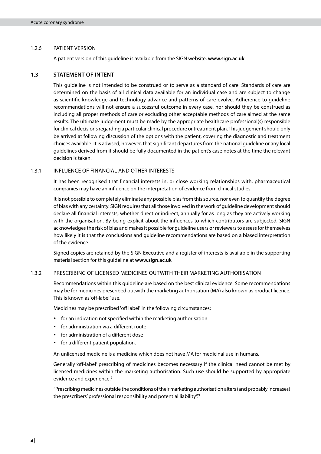#### <span id="page-9-0"></span>1.2.6 PATIENT VERSION

A patient version of this guideline is available from the SIGN website, **www.sign.ac.uk**

#### **1.3 STATEMENT OF INTENT**

This guideline is not intended to be construed or to serve as a standard of care. Standards of care are determined on the basis of all clinical data available for an individual case and are subject to change as scientific knowledge and technology advance and patterns of care evolve. Adherence to guideline recommendations will not ensure a successful outcome in every case, nor should they be construed as including all proper methods of care or excluding other acceptable methods of care aimed at the same results. The ultimate judgement must be made by the appropriate healthcare professional(s) responsible for clinical decisions regarding a particular clinical procedure or treatment plan. This judgement should only be arrived at following discussion of the options with the patient, covering the diagnostic and treatment choices available. It is advised, however, that significant departures from the national guideline or any local guidelines derived from it should be fully documented in the patient's case notes at the time the relevant decision is taken.

#### 1.3.1 INFLUENCE OF FINANCIAL AND OTHER INTERESTS

It has been recognised that financial interests in, or close working relationships with, pharmaceutical companies may have an influence on the interpretation of evidence from clinical studies.

It is not possible to completely eliminate any possible bias from this source, nor even to quantify the degree of bias with any certainty. SIGN requires that all those involved in the work of guideline development should declare all financial interests, whether direct or indirect, annually for as long as they are actively working with the organisation. By being explicit about the influences to which contributors are subjected, SIGN acknowledges the risk of bias and makes it possible for guideline users or reviewers to assess for themselves how likely it is that the conclusions and guideline recommendations are based on a biased interpretation of the evidence.

Signed copies are retained by the SIGN Executive and a register of interests is available in the supporting material section for this guideline at **www.sign.ac.uk**

#### 1.3.2 PRESCRIBING OF LICENSED MEDICINES OUTWITH THEIR MARKETING AUTHORISATION

Recommendations within this guideline are based on the best clinical evidence. Some recommendations may be for medicines prescribed outwith the marketing authorisation (MA) also known as product licence. This is known as 'off-label' use.

Medicines may be prescribed 'off label' in the following circumstances:

- for an indication not specified within the marketing authorisation
- for administration via a different route
- for administration of a different dose
- for a different patient population.

An unlicensed medicine is a medicine which does not have MA for medicinal use in humans.

Generally 'off-label' prescribing of medicines becomes necessary if the clinical need cannot be met by licensed medicines within the marketing authorisation. Such use should be supported by appropriate evidence and experience.<sup>9</sup>

"Prescribing medicines outside the conditions of their marketing authorisation alters (and probably increases) the prescribers' professional responsibility and potential liability".<sup>9</sup>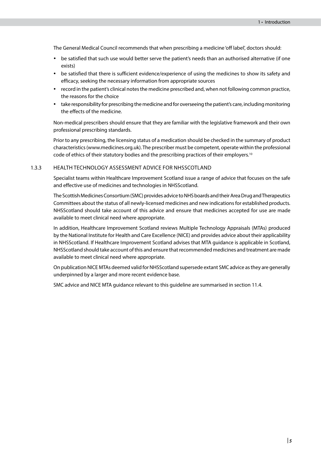The General Medical Council recommends that when prescribing a medicine 'off label', doctors should:

- be satisfied that such use would better serve the patient's needs than an authorised alternative (if one exists)
- be satisfied that there is sufficient evidence/experience of using the medicines to show its safety and efficacy, seeking the necessary information from appropriate sources
- y record in the patient's clinical notes the medicine prescribed and, when not following common practice, the reasons for the choice
- take responsibility for prescribing the medicine and for overseeing the patient's care, including monitoring the effects of the medicine.

Non-medical prescribers should ensure that they are familiar with the legislative framework and their own professional prescribing standards.

Prior to any prescribing, the licensing status of a medication should be checked in the summary of product characteristics (www.medicines.org.uk). The prescriber must be competent, operate within the professional code of ethics of their statutory bodies and the prescribing practices of their employers.<sup>10</sup>

#### 1.3.3 HEALTH TECHNOLOGY ASSESSMENT ADVICE FOR NHSSCOTLAND

Specialist teams within Healthcare Improvement Scotland issue a range of advice that focuses on the safe and effective use of medicines and technologies in NHSScotland.

The Scottish Medicines Consortium (SMC) provides advice to NHS boards and their Area Drug and Therapeutics Committees about the status of all newly-licensed medicines and new indications for established products. NHSScotland should take account of this advice and ensure that medicines accepted for use are made available to meet clinical need where appropriate.

In addition, Healthcare Improvement Scotland reviews Multiple Technology Appraisals (MTAs) produced by the National Institute for Health and Care Excellence (NICE) and provides advice about their applicability in NHSScotland. If Healthcare Improvement Scotland advises that MTA guidance is applicable in Scotland, NHSScotland should take account of this and ensure that recommended medicines and treatment are made available to meet clinical need where appropriate.

On publication NICE MTAs deemed valid for NHSScotland supersede extant SMC advice as they are generally underpinned by a larger and more recent evidence base.

SMC advice and NICE MTA guidance relevant to this guideline are summarised in section 11.4.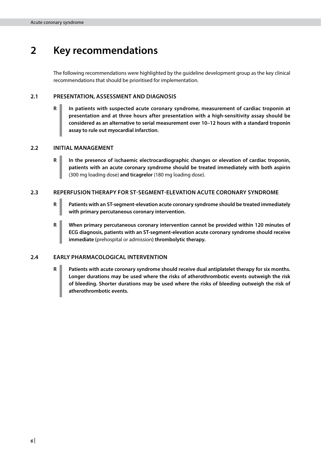# <span id="page-11-0"></span>**2 Key recommendations**

The following recommendations were highlighted by the guideline development group as the key clinical recommendations that should be prioritised for implementation.

## **2.1 PRESENTATION, ASSESSMENT AND DIAGNOSIS**

**R In patients with suspected acute coronary syndrome, measurement of cardiac troponin at presentation and at three hours after presentation with a high-sensitivity assay should be considered as an alternative to serial measurement over 10–12 hours with a standard troponin assay to rule out myocardial infarction.**

## **2.2 INITIAL MANAGEMENT**

**R In the presence of ischaemic electrocardiographic changes or elevation of cardiac troponin, patients with an acute coronary syndrome should be treated immediately with both aspirin** (300 mg loading dose) **and ticagrelor** (180 mg loading dose).

## **2.3 REPERFUSION THERAPY FOR ST-SEGMENT-ELEVATION ACUTE CORONARY SYNDROME**

- **R Patients with an ST-segment-elevation acute coronary syndrome should be treated immediately with primary percutaneous coronary intervention.**
- **R When primary percutaneous coronary intervention cannot be provided within 120 minutes of ECG diagnosis, patients with an ST-segment-elevation acute coronary syndrome should receive immediate (**prehospital or admission**) thrombolytic therapy.**

## **2.4 EARLY PHARMACOLOGICAL INTERVENTION**

**R Patients with acute coronary syndrome should receive dual antiplatelet therapy for six months. Longer durations may be used where the risks of atherothrombotic events outweigh the risk of bleeding. Shorter durations may be used where the risks of bleeding outweigh the risk of atherothrombotic events.**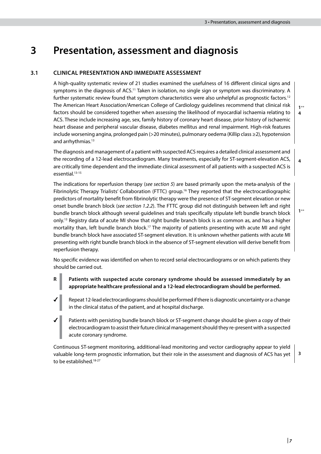# <span id="page-12-0"></span>**3 Presentation, assessment and diagnosis**

# **3.1 CLINICAL PRESENTATION AND IMMEDIATE ASSESSMENT**

A high-quality systematic review of 21 studies examined the usefulness of 16 different clinical signs and symptoms in the diagnosis of ACS.<sup>11</sup> Taken in isolation, no single sign or symptom was discriminatory. A further systematic review found that symptom characteristics were also unhelpful as prognostic factors.<sup>12</sup> The American Heart Association/American College of Cardiology guidelines recommend that clinical risk factors should be considered together when assessing the likelihood of myocardial ischaemia relating to ACS. These include increasing age, sex, family history of coronary heart disease, prior history of ischaemic heart disease and peripheral vascular disease, diabetes mellitus and renal impairment. High-risk features include worsening angina, prolonged pain (>20 minutes), pulmonary oedema (Killip class ≥2), hypotension and arrhythmias.<sup>13</sup>

The diagnosis and management of a patient with suspected ACS requires a detailed clinical assessment and the recording of a 12-lead electrocardiogram. Many treatments, especially for ST-segment-elevation ACS, are critically time dependent and the immediate clinical assessment of all patients with a suspected ACS is essential.<sup>13-15</sup>

The indications for reperfusion therapy (*see section 5*) are based primarily upon the meta-analysis of the Fibrinolytic Therapy Trialists' Collaboration (FTTC) group.<sup>16</sup> They reported that the electrocardiographic predictors of mortality benefit from fibrinolytic therapy were the presence of ST-segment elevation or new onset bundle branch block (*see section 1.2.2*). The FTTC group did not distinguish between left and right bundle branch block although several guidelines and trials specifically stipulate left bundle branch block only.<sup>13</sup> Registry data of acute MI show that right bundle branch block is as common as, and has a higher mortality than, left bundle branch block.<sup>17</sup> The majority of patients presenting with acute MI and right bundle branch block have associated ST-segment elevation. It is unknown whether patients with acute MI presenting with right bundle branch block in the absence of ST-segment elevation will derive benefit from reperfusion therapy.

No specific evidence was identified on when to record serial electrocardiograms or on which patients they should be carried out.

- **R Patients with suspected acute coronary syndrome should be assessed immediately by an appropriate healthcare professional and a 12-lead electrocardiogram should be performed.**
- Repeat 12-lead electrocardiograms should be performed if there is diagnostic uncertainty or a change in the clinical status of the patient, and at hospital discharge.
- Patients with persisting bundle branch block or ST-segment change should be given a copy of their electrocardiogram to assist their future clinical management should they re-present with a suspected acute coronary syndrome.

Continuous ST-segment monitoring, additional-lead monitoring and vector cardiography appear to yield valuable long-term prognostic information, but their role in the assessment and diagnosis of ACS has yet to be established.<sup>18-27</sup>

**4**

**1++**

**1++ 4**

**3**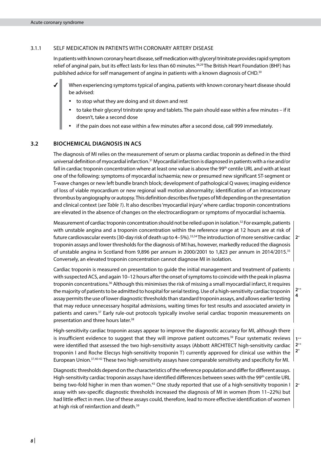#### <span id="page-13-0"></span>3.1.1 SELF MEDICATION IN PATIENTS WITH CORONARY ARTERY DISEASE

In patients with known coronary heart disease, self medication with glyceryl trinitrate provides rapid symptom relief of anginal pain, but its effect lasts for less than 60 minutes.<sup>28,29</sup> The British Heart Foundation (BHF) has published advice for self management of angina in patients with a known diagnosis of CHD.30

- When experiencing symptoms typical of angina, patients with known coronary heart disease should be advised:
	- to stop what they are doing and sit down and rest
	- to take their glyceryl trinitrate spray and tablets. The pain should ease within a few minutes if it doesn't, take a second dose
	- if the pain does not ease within a few minutes after a second dose, call 999 immediately.

#### **3.2 BIOCHEMICAL DIAGNOSIS IN ACS**

The diagnosis of MI relies on the measurement of serum or plasma cardiac troponin as defined in the third universal definition of myocardial infarction.31 Myocardial infarction is diagnosed in patients with a rise and/or fall in cardiac troponin concentration where at least one value is above the 99<sup>th</sup> centile URL and with at least one of the following: symptoms of myocardial ischaemia; new or presumed new significant ST-segment or T-wave changes or new left bundle branch block; development of pathological Q waves; imaging evidence of loss of viable myocardium or new regional wall motion abnormality; identification of an intracoronary thrombus by angiography or autopsy. This definition describes five types of MI depending on the presentation and clinical context (*see Table 1*). It also describes 'myocardial injury' where cardiac troponin concentrations are elevated in the absence of changes on the electrocardiogram or symptoms of myocardial ischaemia.

Measurement of cardiac troponin concentration should not be relied upon in isolation.<sup>32</sup> For example, patients with unstable angina and a troponin concentration within the reference range at 12 hours are at risk of future cardiovascular events (30-day risk of death up to 4–5%).<sup>33,34</sup>The introduction of more sensitive cardiac  $~|$  2\* troponin assays and lower thresholds for the diagnosis of MI has, however, markedly reduced the diagnosis of unstable angina in Scotland from 9,896 per annum in 2000/2001 to 1,823 per annum in 2014/2015.35 Conversely, an elevated troponin concentration cannot diagnose MI in isolation.

Cardiac troponin is measured on presentation to guide the initial management and treatment of patients with suspected ACS, and again 10–12 hours after the onset of symptoms to coincide with the peak in plasma troponin concentrations.36 Although this minimises the risk of missing a small myocardial infarct, it requires the majority of patients to be admitted to hospital for serial testing. Use of a high-sensitivity cardiac troponin assay permits the use of lower diagnostic thresholds than standard troponin assays, and allows earlier testing that may reduce unnecessary hospital admissions, waiting times for test results and associated anxiety in patients and carers.37 Early rule-out protocols typically involve serial cardiac troponin measurements on presentation and three hours later.38

High-sensitivity cardiac troponin assays appear to improve the diagnostic accuracy for MI, although there is insufficient evidence to suggest that they will improve patient outcomes.<sup>39</sup> Four systematic reviews were identified that assessed the two high-sensitivity assays (Abbott ARCHITECT high-sensitivity cardiac **2++** troponin I and Roche Elecsys high-sensitivity troponin T) currently approved for clinical use within the European Union.37,40-42 These two high-sensitivity assays have comparable sensitivity and specificity for MI. **2+**

Diagnostic thresholds depend on the characteristics of the reference population and differ for different assays. High-sensitivity cardiac troponin assays have identified differences between sexes with the 99<sup>th</sup> centile URL being two-fold higher in men than women.43 One study reported that use of a high-sensitivity troponin I **2+**assay with sex-specific diagnostic thresholds increased the diagnosis of MI in women (from 11–22%) but had little effect in men. Use of these assays could, therefore, lead to more effective identification of women at high risk of reinfarction and death.<sup>39</sup>

**2++**

**1++**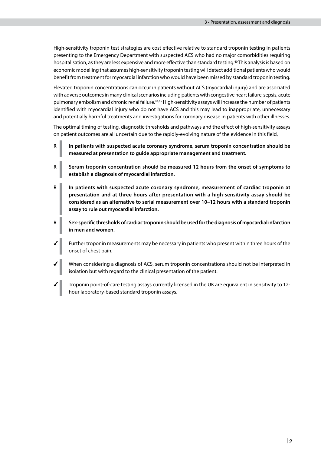High-sensitivity troponin test strategies are cost effective relative to standard troponin testing in patients presenting to the Emergency Department with suspected ACS who had no major comorbidities requiring hospitalisation, as they are less expensive and more effective than standard testing.<sup>40</sup> This analysis is based on economic modelling that assumes high-sensitivity troponin testing will detect additional patients who would benefit from treatment for myocardial infarction who would have been missed by standard troponin testing.

Elevated troponin concentrations can occur in patients without ACS (myocardial injury) and are associated with adverse outcomes in many clinical scenarios including patients with congestive heart failure, sepsis, acute pulmonary embolism and chronic renal failure.<sup>44,45</sup> High-sensitivity assays will increase the number of patients identified with myocardial injury who do not have ACS and this may lead to inappropriate, unnecessary and potentially harmful treatments and investigations for coronary disease in patients with other illnesses.

The optimal timing of testing, diagnostic thresholds and pathways and the effect of high-sensitivity assays on patient outcomes are all uncertain due to the rapidly-evolving nature of the evidence in this field,

- **R In patients with suspected acute coronary syndrome, serum troponin concentration should be measured at presentation to guide appropriate management and treatment.**
- **R** Serum troponin concentration should be measured 12 hours from the onset of symptoms to **establish a diagnosis of myocardial infarction.**
- **R In patients with suspected acute coronary syndrome, measurement of cardiac troponin at presentation and at three hours after presentation with a high-sensitivity assay should be considered as an alternative to serial measurement over 10–12 hours with a standard troponin assay to rule out myocardial infarction.**
- **R Sex-specific thresholds of cardiac troponin should be used for the diagnosis of myocardial infarction in men and women.**
- Further troponin measurements may be necessary in patients who present within three hours of the onset of chest pain.
- When considering a diagnosis of ACS, serum troponin concentrations should not be interpreted in isolation but with regard to the clinical presentation of the patient.
- $\checkmark$  Troponin point-of-care testing assays currently licensed in the UK are equivalent in sensitivity to 12hour laboratory-based standard troponin assays.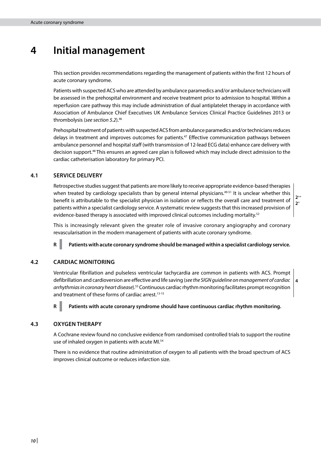# <span id="page-15-0"></span>**4 Initial management**

This section provides recommendations regarding the management of patients within the first 12 hours of acute coronary syndrome.

Patients with suspected ACS who are attended by ambulance paramedics and/or ambulance technicians will be assessed in the prehospital environment and receive treatment prior to admission to hospital. Within a reperfusion care pathway this may include administration of dual antiplatelet therapy in accordance with Association of Ambulance Chief Executives UK Ambulance Services Clinical Practice Guidelines 2013 or thrombolysis (*see section 5.2*).46

Prehospital treatment of patients with suspected ACS from ambulance paramedics and/or technicians reduces delays in treatment and improves outcomes for patients.<sup>47</sup> Effective communication pathways between ambulance personnel and hospital staff (with transmission of 12-lead ECG data) enhance care delivery with decision support.48 This ensures an agreed care plan is followed which may include direct admission to the cardiac catheterisation laboratory for primary PCI.

### **4.1 SERVICE DELIVERY**

Retrospective studies suggest that patients are more likely to receive appropriate evidence-based therapies when treated by cardiology specialists than by general internal physicians.<sup>49-51</sup> It is unclear whether this benefit is attributable to the specialist physician in isolation or reflects the overall care and treatment of patients within a specialist cardiology service. A systematic review suggests that this increased provision of evidence-based therapy is associated with improved clinical outcomes including mortality.<sup>52</sup>

**2++ 2+**

This is increasingly relevant given the greater role of invasive coronary angiography and coronary revascularisation in the modern management of patients with acute coronary syndrome.

**R Patients with acute coronary syndrome should be managed within a specialist cardiology service.**

#### **4.2 CARDIAC MONITORING**

Ventricular fibrillation and pulseless ventricular tachycardia are common in patients with ACS. Prompt defibrillation and cardioversion are effective and life saving (*see the SIGN guideline on management of cardiac*  **4***arrhythmias in coronary heart disease*).53 Continuous cardiac rhythm monitoring facilitates prompt recognition and treatment of these forms of cardiac arrest.<sup>13-15</sup>

**R Patients with acute coronary syndrome should have continuous cardiac rhythm monitoring.**

#### **4.3 OXYGEN THERAPY**

A Cochrane review found no conclusive evidence from randomised controlled trials to support the routine use of inhaled oxygen in patients with acute MI.<sup>54</sup>

There is no evidence that routine administration of oxygen to all patients with the broad spectrum of ACS improves clinical outcome or reduces infarction size.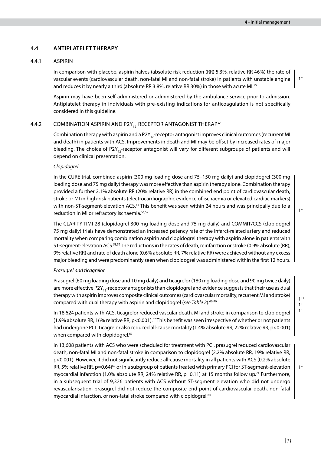### <span id="page-16-0"></span>**4.4 ANTIPLATELET THERAPY**

#### 4.4.1 ASPIRIN

In comparison with placebo, aspirin halves (absolute risk reduction (RR) 5.3%, relative RR 46%) the rate of vascular events (cardiovascular death, non-fatal MI and non-fatal stroke) in patients with unstable angina and reduces it by nearly a third (absolute RR 3.8%, relative RR 30%) in those with acute MI.55

Aspirin may have been self administered or administered by the ambulance service prior to admission. Antiplatelet therapy in individuals with pre-existing indications for anticoagulation is not specifically considered in this guideline.

#### 4.4.2 COMBINATION ASPIRIN AND P2Y<sub>12</sub>-RECEPTOR ANTAGONIST THERAPY

Combination therapy with aspirin and a P2Y<sub>12</sub>-receptor antagonist improves clinical outcomes (recurrent MI and death) in patients with ACS. Improvements in death and MI may be offset by increased rates of major bleeding. The choice of P2Y<sub>12</sub>-receptor antagonist will vary for different subgroups of patients and will depend on clinical presentation.

#### *Clopidogrel*

In the CURE trial, combined aspirin (300 mg loading dose and 75–150 mg daily) and clopidogrel (300 mg loading dose and 75 mg daily) therapy was more effective than aspirin therapy alone. Combination therapy provided a further 2.1% absolute RR (20% relative RR) in the combined end point of cardiovascular death, stroke or MI in high-risk patients (electrocardiographic evidence of ischaemia or elevated cardiac markers) with non-ST-segment-elevation ACS.<sup>56</sup> This benefit was seen within 24 hours and was principally due to a reduction in MI or refractory ischaemia.56,57

The CLARITY-TIMI 28 (clopidogrel 300 mg loading dose and 75 mg daily) and COMMIT/CCS (clopidogrel 75 mg daily) trials have demonstrated an increased patency rate of the infarct-related artery and reduced mortality when comparing combination aspirin and clopidogrel therapy with aspirin alone in patients with ST-segment-elevation ACS.58,59 The reductions in the rates of death, reinfarction or stroke (0.9% absolute (RR), 9% relative RR) and rate of death alone (0.6% absolute RR, 7% relative RR) were achieved without any excess major bleeding and were predominantly seen when clopidogrel was administered within the first 12 hours.

#### *Prasugrel and ticagrelor*

Prasugrel (60 mg loading dose and 10 mg daily) and ticagrelor (180 mg loading dose and 90 mg twice daily) are more effective P2Y<sub>12</sub>-receptor antagonists than clopidogrel and evidence suggests that their use as dual therapy with aspirin improves composite clinical outcomes (cardiovascular mortality, recurrent MI and stroke) compared with dual therapy with aspirin and clopidogrel (*see Table 2*).<sup>60-70</sup>

In 18,624 patients with ACS, ticagrelor reduced vascular death, MI and stroke in comparison to clopidogrel (1.9% absolute RR, 16% relative RR,  $p<0.001$ ).<sup>67</sup> This benefit was seen irrespective of whether or not patients had undergone PCI. Ticagrelor also reduced all-cause mortality (1.4% absolute RR, 22% relative RR, p<0.001) when compared with clopidogrel.<sup>67</sup>

In 13,608 patients with ACS who were scheduled for treatment with PCI, prasugrel reduced cardiovascular death, non-fatal MI and non-fatal stroke in comparison to clopidogrel (2.2% absolute RR, 19% relative RR, p<0.001). However, it did not significantly reduce all-cause mortality in all patients with ACS (0.2% absolute RR, 5% relative RR,  $p=0.64$ <sup>69</sup> or in a subgroup of patients treated with primary PCI for ST-segment-elevation myocardial infarction (1.0% absolute RR, 24% relative RR, p=0.11) at 15 months follow up.<sup>71</sup> Furthermore, in a subsequent trial of 9,326 patients with ACS without ST-segment elevation who did not undergo revascularisation, prasugrel did not reduce the composite end point of cardiovascular death, non-fatal myocardial infarction, or non-fatal stroke compared with clopidogrel.<sup>64</sup>

**1+**

**1+**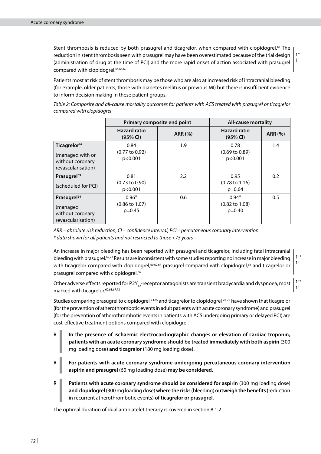Stent thrombosis is reduced by both prasugrel and ticagrelor, when compared with clopidogrel.<sup>66</sup> The reduction in stent thrombosis seen with prasugrel may have been overestimated because of the trial design (administration of drug at the time of PCI) and the more rapid onset of action associated with prasugrel compared with clopidogrel.65,68,69

Patients most at risk of stent thrombosis may be those who are also at increased risk of intracranial bleeding (for example, older patients, those with diabetes mellitus or previous MI) but there is insufficient evidence to inform decision making in these patient groups.

*Table 2: Composite and all-cause mortality outcomes for patients with ACS treated with prasugrel or ticagrelor compared with clopidogrel*

|                                                                                        | Primary composite end point                      |                | <b>All-cause mortality</b>                       |         |
|----------------------------------------------------------------------------------------|--------------------------------------------------|----------------|--------------------------------------------------|---------|
|                                                                                        | <b>Hazard ratio</b><br>(95% CI)                  | <b>ARR (%)</b> | <b>Hazard ratio</b><br>(95% CI)                  | ARR (%) |
| Ticagrelor <sup>67</sup><br>(managed with or<br>without coronary<br>revascularisation) | 0.84<br>$(0.77 \text{ to } 0.92)$<br>p<0.001     | 1.9            | 0.78<br>$(0.69 \text{ to } 0.89)$<br>p<0.001     | 1.4     |
| Prasugrel <sup>69</sup><br>(scheduled for PCI)                                         | 0.81<br>$(0.73 \text{ to } 0.90)$<br>p<0.001     | 2.2            | 0.95<br>$(0.78 \text{ to } 1.16)$<br>$p=0.64$    | 0.2     |
| Prasugrel <sup>64</sup><br>(managed<br>without coronary<br>revascularisation)          | $0.96*$<br>$(0.86 \text{ to } 1.07)$<br>$p=0.45$ | 0.6            | $0.94*$<br>$(0.82 \text{ to } 1.08)$<br>$p=0.40$ | 0.5     |

*ARR – absolute risk reduction, CI – confidence interval, PCI – percutaneous coronary intervention \* data shown for all patients and not restricted to those <75 years*

An increase in major bleeding has been reported with prasugrel and ticagrelor, including fatal intracranial bleeding with prasugrel.<sup>69,72</sup> Results are inconsistent with some studies reporting no increase in major bleeding with ticagrelor compared with clopidogrel,<sup>60,62,67</sup> prasugrel compared with clopidogrel,<sup>64</sup> and ticagrelor or prasugrel compared with clopidogrel.<sup>66</sup> **1++ 1+**

Other adverse effects reported for P2Y<sub>12</sub>-receptor antagonists are transient bradycardia and dyspnoea, most marked with ticagrelor.<sup>62,63,67,73</sup>

Studies comparing prasugrel to clopidogrel,<sup>74,75</sup> and ticagrelor to clopidogrel <sup>76-78</sup> have shown that ticagrelor (for the prevention of atherothrombotic events in adult patients with acute coronary syndrome) and prasugrel (for the prevention of atherothrombotic events in patients with ACS undergoing primary or delayed PCI) are cost-effective treatment options compared with clopidogrel.

- **R In the presence of ischaemic electrocardiographic changes or elevation of cardiac troponin, patients with an acute coronary syndrome should be treated immediately with both aspirin (**300 mg loading dose**) and ticagrelor (**180 mg loading dose**).**
- **R For patients with acute coronary syndrome undergoing percutaneous coronary intervention aspirin and prasugrel (**60 mg loading dose**) may be considered.**
- **R Patients with acute coronary syndrome should be considered for aspirin** (300 mg loading dose) **and clopidogrel** (300 mg loading dose) **where the risks** (bleeding) **outweigh the benefits (**reduction in recurrent atherothrombotic events**) of ticagrelor or prasugrel.**

The optimal duration of dual antiplatelet therapy is covered in section 8.1.2

**1+ 1-**

> **1++ 1+**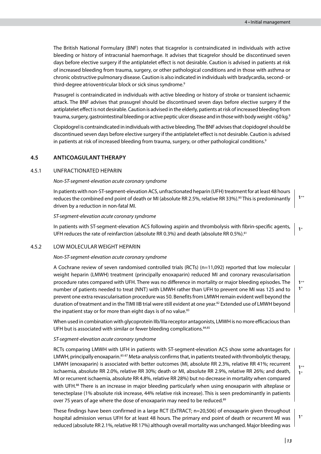<span id="page-18-0"></span>The British National Formulary (BNF) notes that ticagrelor is contraindicated in individuals with active bleeding or history of intracranial haemorrhage. It advises that ticagrelor should be discontinued seven days before elective surgery if the antiplatelet effect is not desirable. Caution is advised in patients at risk of increased bleeding from trauma, surgery, or other pathological conditions and in those with asthma or chronic obstructive pulmonary disease. Caution is also indicated in individuals with bradycardia, second- or third-degree atrioventricular block or sick sinus syndrome.<sup>9</sup>

Prasugrel is contraindicated in individuals with active bleeding or history of stroke or transient ischaemic attack. The BNF advises that prasugrel should be discontinued seven days before elective surgery if the antiplatelet effect is not desirable. Caution is advised in the elderly, patients at risk of increased bleeding from trauma, surgery, gastrointestinal bleeding or active peptic ulcer disease and in those with body weight <60 kg.<sup>9</sup>

Clopidogrel is contraindicated in individuals with active bleeding. The BNF advises that clopidogrel should be discontinued seven days before elective surgery if the antiplatelet effect is not desirable. Caution is advised in patients at risk of increased bleeding from trauma, surgery, or other pathological conditions.<sup>9</sup>

### **4.5 ANTICOAGULANT THERAPY**

#### 4.5.1 UNFRACTIONATED HEPARIN

#### *Non-ST-segment-elevation acute coronary syndrome*

In patients with non-ST-segment-elevation ACS, unfractionated heparin (UFH) treatment for at least 48 hours reduces the combined end point of death or MI (absolute RR 2.5%, relative RR 33%).<sup>80</sup> This is predominantly driven by a reduction in non-fatal MI.

#### *ST-segment-elevation acute coronary syndrome*

In patients with ST-segment-elevation ACS following aspirin and thrombolysis with fibrin-specific agents, UFH reduces the rate of reinfarction (absolute RR 0.3%) and death (absolute RR 0.5%).<sup>81</sup>

#### 4.5.2 LOW MOLECULAR WEIGHT HEPARIN

#### *Non-ST-segment-elevation acute coronary syndrome*

A Cochrane review of seven randomised controlled trials (RCTs) (n=11,092) reported that low molecular weight heparin (LMWH) treatment (principally enoxaparin) reduced MI and coronary revascularisation procedure rates compared with UFH. There was no difference in mortality or major bleeding episodes. The number of patients needed to treat (NNT) with LMWH rather than UFH to prevent one MI was 125 and to prevent one extra revascularisation procedure was 50. Benefits from LMWH remain evident well beyond the duration of treatment and in the TIMI IIB trial were still evident at one year.82 Extended use of LMWH beyond the inpatient stay or for more than eight days is of no value.<sup>83</sup>

When used in combination with glycoprotein IIb/IIIa receptor antagonists, LMWH is no more efficacious than UFH but is associated with similar or fewer bleeding complications.<sup>84,85</sup>

#### *ST-segment-elevation acute coronary syndrome*

RCTs comparing LMWH with UFH in patients with ST-segment-elevation ACS show some advantages for LMWH, principally enoxaparin.<sup>85-87</sup> Meta-analysis confirms that, in patients treated with thrombolytic therapy, LMWH (enoxaparin) is associated with better outcomes (MI, absolute RR 2.3%, relative RR 41%; recurrent ischaemia, absolute RR 2.0%, relative RR 30%; death or MI, absolute RR 2.9%, relative RR 26%; and death, MI or recurrent ischaemia, absolute RR 4.8%, relative RR 28%) but no decrease in mortality when compared with UFH.<sup>88</sup> There is an increase in major bleeding particularly when using enoxaparin with alteplase or tenecteplase (1% absolute risk increase, 44% relative risk increase). This is seen predominantly in patients over 75 years of age where the dose of enoxaparin may need to be reduced.<sup>89</sup>

These findings have been confirmed in a large RCT (ExTRACT; n=20,506) of enoxaparin given throughout hospital admission versus UFH for at least 48 hours. The primary end point of death or recurrent MI was reduced (absolute RR 2.1%, relative RR 17%) although overall mortality was unchanged. Major bleeding was

**1++ 1+**

**1++**

**1+**

**1+**

*| 13*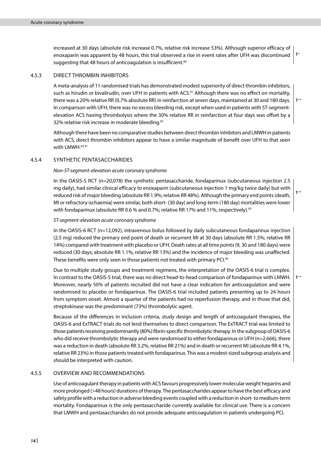increased at 30 days (absolute risk increase 0.7%, relative risk increase 53%). Although superior efficacy of enoxaparin was apparent by 48 hours, this trial observed a rise in event rates after UFH was discontinued suggesting that 48 hours of anticoagulation is insufficient.<sup>90</sup> **1+**

#### 4.5.3 DIRECT THROMBIN INHIBITORS

A meta-analysis of 11 randomised trials has demonstrated modest superiority of direct thrombin inhibitors, such as hirudin or bivalirudin, over UFH in patients with ACS.<sup>91</sup> Although there was no effect on mortality, there was a 20% relative RR (0.7% absolute RR) in reinfarction at seven days, maintained at 30 and 180 days. In comparison with UFH, there was no excess bleeding risk, except when used in patients with ST-segmentelevation ACS having thrombolysis where the 30% relative RR in reinfarction at four days was offset by a 32% relative risk increase in moderate bleeding.<sup>92</sup>

Although there have been no comparative studies between direct thrombin inhibitors and LMWH in patients with ACS, direct thrombin inhibitors appear to have a similar magnitude of benefit over UFH to that seen with LMWH. 83,91

## 4.5.4 SYNTHETIC PENTASACCHARIDES

#### *Non-ST-segment-elevation acute coronary syndrome*

In the OASIS-5 RCT (n=20,078) the synthetic pentasaccharide, fondaparinux (subcutaneous injection 2.5 mg daily), had similar clinical efficacy to enoxaparin (subcutaneous injection 1 mg/kg twice daily) but with reduced risk of major bleeding (absolute RR 1.9%; relative RR 48%). Although the primary end points (death, MI or refractory ischaemia) were similar, both short- (30 day) and long-term (180 day) mortalities were lower with fondaparinux (absolute RR 0.6 % and 0.7%; relative RR 17% and 11%, respectively).<sup>93</sup>

#### *ST-segment-elevation acute coronary syndrome*

In the OASIS-6 RCT (n=12,092), intravenous bolus followed by daily subcutaneous fondaparinux injection (2.5 mg) reduced the primary end point of death or recurrent MI at 30 days (absolute RR 1.5%; relative RR 14%) compared with treatment with placebo or UFH. Death rates at all time points (9, 30 and 180 days) were reduced (30 days; absolute RR 1.1%, relative RR 13%) and the incidence of major bleeding was unaffected. These benefits were only seen in those patients not treated with primary PCI.<sup>94</sup>

Due to multiple study groups and treatment regimens, the interpretation of the OASIS-6 trial is complex. In contrast to the OASIS-5 trial, there was no direct head-to-head comparison of fondaparinux with LMWH.  $\mid$  1\*\* Moreover, nearly 50% of patients recruited did not have a clear indication for anticoagulation and were randomised to placebo or fondaparinux. The OASIS-6 trial included patients presenting up to 24 hours from symptom onset. Almost a quarter of the patients had no reperfusion therapy, and in those that did, streptokinase was the predominant (73%) thrombolytic agent.

Because of the differences in inclusion criteria, study design and length of anticoagulant therapies, the OASIS-6 and ExTRACT trials do not lend themselves to direct comparison. The ExTRACT trial was limited to those patients receiving predominantly (80%) fibrin-specific thrombolytic therapy. In the subgroup of OASIS-6 who did receive thrombolytic therapy and were randomised to either fondaparinux or UFH (n=2,666), there was a reduction in death (absolute RR 3.2%, relative RR 21%) and in death or recurrent MI (absolute RR 4.1%, relative RR 23%) in those patients treated with fondaparinux. This was a modest-sized subgroup analysis and should be interpreted with caution.

#### 4.5.5 OVERVIEW AND RECOMMENDATIONS

Use of anticoagulant therapy in patients with ACS favours progressively lower molecular weight heparins and more prolonged (>48 hours) durations of therapy. The pentasaccharides appear to have the best efficacy and safety profile with a reduction in adverse bleeding events coupled with a reduction in short- to medium-term mortality. Fondaparinux is the only pentasaccharide currently available for clinical use. There is a concern that LMWH and pentasaccharides do not provide adequate anticoagulation in patients undergoing PCI.

**1++**

**1++**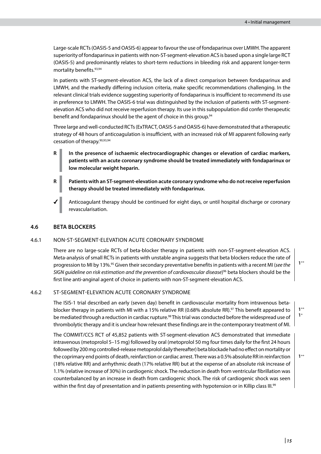<span id="page-20-0"></span>Large-scale RCTs (OASIS-5 and OASIS-6) appear to favour the use of fondaparinux over LMWH. The apparent superiority of fondaparinux in patients with non-ST-segment-elevation ACS is based upon a single large RCT (OASIS-5) and predominantly relates to short-term reductions in bleeding risk and apparent longer-term mortality benefits.93,94

In patients with ST-segment-elevation ACS, the lack of a direct comparison between fondaparinux and LMWH, and the markedly differing inclusion criteria, make specific recommendations challenging. In the relevant clinical trials evidence suggesting superiority of fondaparinux is insufficient to recommend its use in preference to LMWH. The OASIS-6 trial was distinguished by the inclusion of patients with ST-segmentelevation ACS who did not receive reperfusion therapy. Its use in this subpopulation did confer therapeutic benefit and fondaparinux should be the agent of choice in this group.<sup>94</sup>

Three large and well-conducted RCTs (ExTRACT, OASIS-5 and OASIS-6) have demonstrated that a therapeutic strategy of 48 hours of anticoagulation is insufficient, with an increased risk of MI apparent following early cessation of therapy. 90,93,94

- **R In the presence of ischaemic electrocardiographic changes or elevation of cardiac markers, patients with an acute coronary syndrome should be treated immediately with fondaparinux or low molecular weight heparin.**
- **R Patients with an ST-segment-elevation acute coronary syndrome who do not receive reperfusion therapy should be treated immediately with fondaparinux.**
- Anticoagulant therapy should be continued for eight days, or until hospital discharge or coronary revascularisation.

### **4.6 BETA BLOCKERS**

#### 4.6.1 NON-ST-SEGMENT-ELEVATION ACUTE CORONARY SYNDROME

There are no large-scale RCTs of beta-blocker therapy in patients with non-ST-segment-elevation ACS. Meta-analysis of small RCTs in patients with unstable angina suggests that beta blockers reduce the rate of progression to MI by 13%.95 Given their secondary preventative benefits in patients with a recent MI (*see the SIGN guideline on risk estimation and the prevention of cardiovascular disease*) 96 beta blockers should be the first line anti-anginal agent of choice in patients with non-ST-segment-elevation ACS.

## 4.6.2 ST-SEGMENT-ELEVATION ACUTE CORONARY SYNDROME

The ISIS-1 trial described an early (seven day) benefit in cardiovascular mortality from intravenous betablocker therapy in patients with MI with a 15% relative RR (0.68% absolute RR).<sup>97</sup> This benefit appeared to be mediated through a reduction in cardiac rupture.<sup>98</sup> This trial was conducted before the widespread use of thrombolytic therapy and it is unclear how relevant these findings are in the contemporary treatment of MI.

The COMMIT/CCS RCT of 45,852 patients with ST-segment-elevation ACS demonstrated that immediate intravenous (metoprolol 5–15 mg) followed by oral (metoprolol 50 mg four times daily for the first 24 hours followed by 200 mg controlled-release metoprolol daily thereafter) beta blockade had no effect on mortality or the coprimary end points of death, reinfarction or cardiac arrest. There was a 0.5% absolute RR in reinfarction (18% relative RR) and arrhythmic death (17% relative RR) but at the expense of an absolute risk increase of 1.1% (relative increase of 30%) in cardiogenic shock. The reduction in death from ventricular fibrillation was counterbalanced by an increase in death from cardiogenic shock. The risk of cardiogenic shock was seen within the first day of presentation and in patients presenting with hypotension or in Killip class III.<sup>99</sup>

**1++ 1+**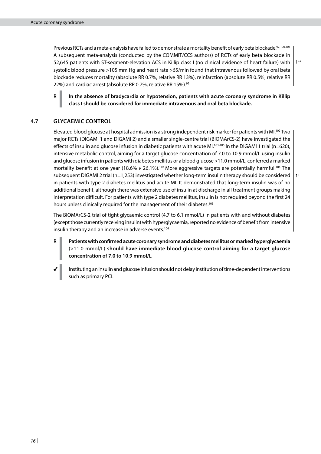<span id="page-21-0"></span>Previous RCTs and a meta-analysis have failed to demonstrate a mortality benefit of early beta blockade. 97,100,101 A subsequent meta-analysis (conducted by the COMMIT/CCS authors) of RCTs of early beta blockade in 52,645 patients with ST-segment-elevation ACS in Killip class I (no clinical evidence of heart failure) with systolic blood pressure >105 mm Hg and heart rate >65/min found that intravenous followed by oral beta blockade reduces mortality (absolute RR 0.7%, relative RR 13%), reinfarction (absolute RR 0.5%, relative RR 22%) and cardiac arrest (absolute RR 0.7%, relative RR 15%).<sup>99</sup>

**R In the absence of bradycardia or hypotension, patients with acute coronary syndrome in Killip class I should be considered for immediate intravenous and oral beta blockade.**

## **4.7 GLYCAEMIC CONTROL**

Elevated blood glucose at hospital admission is a strong independent risk marker for patients with MI.102 Two major RCTs (DIGAMI 1 and DIGAMI 2) and a smaller single-centre trial (BIOMArCS-2) have investigated the effects of insulin and glucose infusion in diabetic patients with acute MI.<sup>103-105</sup> In the DIGAMI 1 trial (n=620), intensive metabolic control, aiming for a target glucose concentration of 7.0 to 10.9 mmol/L using insulin and glucose infusion in patients with diabetes mellitus or a blood glucose >11.0 mmol/L, conferred a marked mortality benefit at one year (18.6% *v* 26.1%).<sup>103</sup> More aggressive targets are potentially harmful.<sup>104</sup> The subsequent DIGAMI 2 trial (n=1,253) investigated whether long-term insulin therapy should be considered in patients with type 2 diabetes mellitus and acute MI. It demonstrated that long-term insulin was of no additional benefit, although there was extensive use of insulin at discharge in all treatment groups making interpretation difficult. For patients with type 2 diabetes mellitus, insulin is not required beyond the first 24 hours unless clinically required for the management of their diabetes.<sup>105</sup>

The BIOMArCS-2 trial of tight glycaemic control (4.7 to 6.1 mmol/L) in patients with and without diabetes (except those currently receiving insulin) with hyperglycaemia, reported no evidence of benefit from intensive insulin therapy and an increase in adverse events.<sup>104</sup>

- **R Patients with confirmed acute coronary syndrome and diabetes mellitus or marked hyperglycaemia**  (>11.0 mmol/L) **should have immediate blood glucose control aiming for a target glucose concentration of 7.0 to 10.9 mmol/L**
	- Instituting an insulin and glucose infusion should not delay institution of time-dependent interventions such as primary PCI.

**1++**

**1+**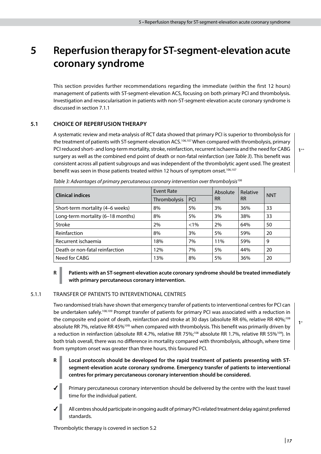# <span id="page-22-0"></span>**5 Reperfusion therapy for ST-segment-elevation acute coronary syndrome**

This section provides further recommendations regarding the immediate (within the first 12 hours) management of patients with ST-segment-elevation ACS, focusing on both primary PCI and thrombolysis. Investigation and revascularisation in patients with non-ST-segment-elevation acute coronary syndrome is discussed in section 7.1.1

# **5.1 CHOICE OF REPERFUSION THERAPY**

A systematic review and meta-analysis of RCT data showed that primary PCI is superior to thrombolysis for the treatment of patients with ST-segment-elevation ACS.<sup>106,107</sup> When compared with thrombolysis, primary PCI reduced short- and long-term mortality, stroke, reinfarction, recurrent ischaemia and the need for CABG surgery as well as the combined end point of death or non-fatal reinfarction (*see Table 3*). This benefit was consistent across all patient subgroups and was independent of the thrombolytic agent used. The greatest benefit was seen in those patients treated within 12 hours of symptom onset.106,107

| <b>Clinical indices</b>           | <b>Fvent Rate</b> |         | Absolute  | Relative  |            |
|-----------------------------------|-------------------|---------|-----------|-----------|------------|
|                                   | Thrombolysis      | PCI     | <b>RR</b> | <b>RR</b> | <b>NNT</b> |
| Short-term mortality (4–6 weeks)  | 8%                | 5%      | 3%        | 36%       | 33         |
| Long-term mortality (6-18 months) | 8%                | 5%      | 3%        | 38%       | 33         |
| Stroke                            | 2%                | $< 1\%$ | 2%        | 64%       | 50         |
| Reinfarction                      | 8%                | 3%      | 5%        | 59%       | 20         |
| Recurrent ischaemia               | 18%               | 7%      | 11%       | 59%       | 9          |
| Death or non-fatal reinfarction   | 12%               | 7%      | 5%        | 44%       | 20         |
| Need for CABG                     | 13%               | 8%      | 5%        | 36%       | 20         |

*Table 3: Advantages of primary percutaneous coronary intervention over thrombolysis106* 

# **R Patients with an ST-segment-elevation acute coronary syndrome should be treated immediately with primary percutaneous coronary intervention.**

## 5.1.1 TRANSFER OF PATIENTS TO INTERVENTIONAL CENTRES

Two randomised trials have shown that emergency transfer of patients to interventional centres for PCI can be undertaken safely.108,109 Prompt transfer of patients for primary PCI was associated with a reduction in the composite end point of death, reinfarction and stroke at 30 days (absolute RR 6%, relative RR 40%;<sup>108</sup> absolute RR 7%, relative RR 45%<sup>109)</sup> when compared with thrombolysis. This benefit was primarily driven by a reduction in reinfarction (absolute RR 4.7%, relative RR 75%;<sup>108</sup> absolute RR 1.7%, relative RR 55%<sup>109</sup>). In both trials overall, there was no difference in mortality compared with thrombolysis, although, where time from symptom onset was greater than three hours, this favoured PCI.

- **R Local protocols should be developed for the rapid treatment of patients presenting with STsegment-elevation acute coronary syndrome. Emergency transfer of patients to interventional centres for primary percutaneous coronary intervention should be considered.**
- Primary percutaneous coronary intervention should be delivered by the centre with the least travel time for the individual patient.
- All centres should participate in ongoing audit of primary PCI-related treatment delay against preferred standards.

Thrombolytic therapy is covered in section 5.2

**1+**

**1++**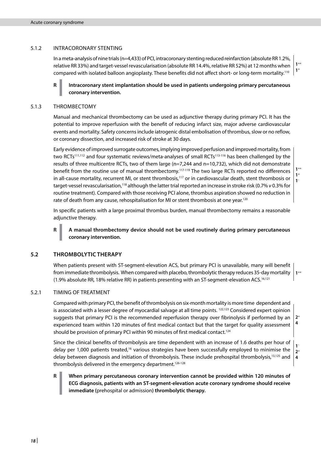#### <span id="page-23-0"></span>5.1.2 INTRACORONARY STENTING

In a meta-analysis of nine trials (n=4,433) of PCI, intracoronary stenting reduced reinfarction (absolute RR 1.2%, relative RR 33%) and target-vessel revascularisation (absolute RR 14.4%, relative RR 52%) at 12 months when compared with isolated balloon angioplasty. These benefits did not affect short- or long-term mortality.110

**1++ 1+**

> **1++ 1+ 1-**

**1- 2+ 4**

## **R Intracoronary stent implantation should be used in patients undergoing primary percutaneous coronary intervention.**

#### 5.1.3 THROMBECTOMY

Manual and mechanical thrombectomy can be used as adjunctive therapy during primary PCI. It has the potential to improve reperfusion with the benefit of reducing infarct size, major adverse cardiovascular events and mortality. Safety concerns include iatrogenic distal embolisation of thrombus, slow or no reflow, or coronary dissection, and increased risk of stroke at 30 days.

Early evidence of improved surrogate outcomes, implying improved perfusion and improved mortality, from two RCTs<sup>111,112</sup> and four systematic reviews/meta-analyses of small RCTs<sup>113-116</sup> has been challenged by the results of three multicentre RCTs, two of them large (n=7,244 and n=10,732), which did not demonstrate benefit from the routine use of manual thrombectomy.117-119 The two large RCTs reported no differences in all-cause mortality, recurrent MI, or stent thrombosis,<sup>117</sup> or in cardiovascular death, stent thrombosis or target-vessel revascularisation,118 although the latter trial reported an increase in stroke risk (0.7% *v* 0.3% for routine treatment). Compared with those receiving PCI alone, thrombus aspiration showed no reduction in rate of death from any cause, rehospitalisation for MI or stent thrombosis at one year.<sup>120</sup>

In specific patients with a large proximal thrombus burden, manual thrombectomy remains a reasonable adjunctive therapy.

## **R A manual thrombectomy device should not be used routinely during primary percutaneous coronary intervention.**

## **5.2 THROMBOLYTIC THERAPY**

When patients present with ST-segment-elevation ACS, but primary PCI is unavailable, many will benefit from immediate thrombolysis. When compared with placebo, thrombolytic therapy reduces 35-day mortality (1.9% absolute RR, 18% relative RR) in patients presenting with an ST-segment-elevation ACS.16,121 **1++**

#### 5.2.1 TIMING OF TREATMENT

Compared with primary PCI, the benefit of thrombolysis on six-month mortality is more time dependent and is associated with a lesser degree of myocardial salvage at all time points. 122,123 Considered expert opinion suggests that primary PCI is the recommended reperfusion therapy over fibrinolysis if performed by an experienced team within 120 minutes of first medical contact but that the target for quality assessment should be provision of primary PCI within 90 minutes of first medical contact.<sup>124</sup> **2+ 4**

Since the clinical benefits of thrombolysis are time dependent with an increase of 1.6 deaths per hour of delay per 1,000 patients treated,<sup>16</sup> various strategies have been successfully employed to minimise the delay between diagnosis and initiation of thrombolysis. These include prehospital thrombolysis,13,125 and thrombolysis delivered in the emergency department.<sup>126-128</sup>

## **R When primary percutaneous coronary intervention cannot be provided within 120 minutes of ECG diagnosis, patients with an ST-segment-elevation acute coronary syndrome should receive immediate (**prehospital or admission**) thrombolytic therapy.**

*18 |*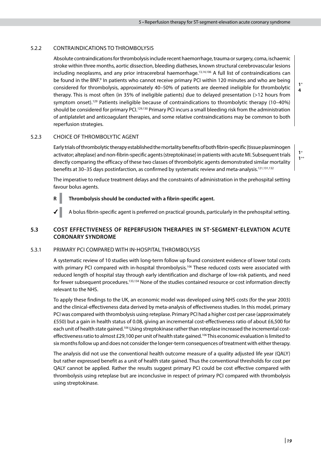## <span id="page-24-0"></span>5.2.2 CONTRAINDICATIONS TO THROMBOLYSIS

Absolute contraindications for thrombolysis include recent haemorrhage, trauma or surgery, coma, ischaemic stroke within three months, aortic dissection, bleeding diatheses, known structural cerebrovascular lesions including neoplasms, and any prior intracerebral haemorrhage.13,14,106 A full list of contraindications can be found in the BNF.<sup>9</sup> In patients who cannot receive primary PCI within 120 minutes and who are being considered for thrombolysis, approximately 40–50% of patients are deemed ineligible for thrombolytic therapy. This is most often (in 35% of ineligible patients) due to delayed presentation (>12 hours from symptom onset).<sup>129</sup> Patients ineligible because of contraindications to thrombolytic therapy (10-40%) should be considered for primary PCI.129,130 Primary PCI incurs a small bleeding risk from the administration of antiplatelet and anticoagulant therapies, and some relative contraindications may be common to both reperfusion strategies.

#### 5.2.3 CHOICE OF THROMBOLYTIC AGENT

Early trials of thrombolytic therapy established the mortality benefits of both fibrin-specific (tissue plasminogen activator; alteplase) and non-fibrin-specific agents (streptokinase) in patients with acute MI. Subsequent trials directly comparing the efficacy of these two classes of thrombolytic agents demonstrated similar mortality benefits at 30-35 days postinfarction, as confirmed by systematic review and meta-analysis.<sup>121,131,132</sup>

The imperative to reduce treatment delays and the constraints of administration in the prehospital setting favour bolus agents.

#### **R Thrombolysis should be conducted with a fibrin-specific agent.**

A bolus fibrin-specific agent is preferred on practical grounds, particularly in the prehospital setting.

## **5.3 COST EFFECTIVENESS OF REPERFUSION THERAPIES IN ST-SEGMENT-ELEVATION ACUTE CORONARY SYNDROME**

#### 5.3.1 PRIMARY PCI COMPARED WITH IN-HOSPITAL THROMBOLYSIS

A systematic review of 10 studies with long-term follow up found consistent evidence of lower total costs with primary PCI compared with in-hospital thrombolysis.<sup>106</sup> These reduced costs were associated with reduced length of hospital stay through early identification and discharge of low-risk patients, and need for fewer subsequent procedures.133,134 None of the studies contained resource or cost information directly relevant to the NHS.

To apply these findings to the UK, an economic model was developed using NHS costs (for the year 2003) and the clinical-effectiveness data derived by meta-analysis of effectiveness studies. In this model, primary PCI was compared with thrombolysis using reteplase. Primary PCI had a higher cost per case (approximately £550) but a gain in health status of 0.08, giving an incremental cost-effectiveness ratio of about £6,500 for each unit of health state gained.106 Using streptokinase rather than reteplase increased the incremental costeffectiveness ratio to almost £29,100 per unit of health state gained.106 This economic evaluation is limited to six months follow up and does not consider the longer-term consequences of treatment with either therapy.

The analysis did not use the conventional health outcome measure of a quality adjusted life year (QALY) but rather expressed benefit as a unit of health state gained. Thus the conventional thresholds for cost per QALY cannot be applied. Rather the results suggest primary PCI could be cost effective compared with thrombolysis using reteplase but are inconclusive in respect of primary PCI compared with thrombolysis using streptokinase.

**1+ 4**

**1+ 1++**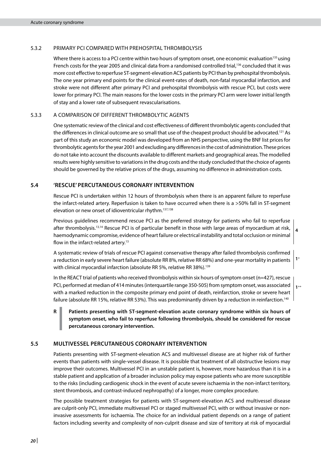### <span id="page-25-0"></span>5.3.2 PRIMARY PCI COMPARED WITH PREHOSPITAL THROMBOLYSIS

Where there is access to a PCI centre within two hours of symptom onset, one economic evaluation<sup>135</sup> using French costs for the year 2005 and clinical data from a randomised controlled trial,<sup>136</sup> concluded that it was more cost effective to reperfuse ST-segment-elevation ACS patients by PCI than by prehospital thrombolysis. The one year primary end points for the clinical event-rates of death, non-fatal myocardial infarction, and stroke were not different after primary PCI and prehospital thrombolysis with rescue PCI, but costs were lower for primary PCI. The main reasons for the lower costs in the primary PCI arm were lower initial length of stay and a lower rate of subsequent revascularisations.

#### 5.3.3 A COMPARISON OF DIFFERENT THROMBOLYTIC AGENTS

One systematic review of the clinical and cost effectiveness of different thrombolytic agents concluded that the differences in clinical outcome are so small that use of the cheapest product should be advocated.<sup>121</sup> As part of this study an economic model was developed from an NHS perspective, using the BNF list prices for thrombolytic agents for the year 2001 and excluding any differences in the cost of administration. These prices do not take into account the discounts available to different markets and geographical areas. The modelled results were highly sensitive to variations in the drug costs and the study concluded that the choice of agents should be governed by the relative prices of the drugs, assuming no difference in administration costs.

#### **5.4 'RESCUE' PERCUTANEOUS CORONARY INTERVENTION**

Rescue PCI is undertaken within 12 hours of thrombolysis when there is an apparent failure to reperfuse the infarct-related artery. Reperfusion is taken to have occurred when there is a >50% fall in ST-segment elevation or new onset of idioventricular rhythm.137,138

Previous guidelines recommend rescue PCI as the preferred strategy for patients who fail to reperfuse after thrombolysis.13,14 Rescue PCI is of particular benefit in those with large areas of myocardium at risk, haemodynamic compromise, evidence of heart failure or electrical instability and total occlusion or minimal flow in the infarct-related artery.<sup>13</sup>

A systematic review of trials of rescue PCI against conservative therapy after failed thrombolysis confirmed a reduction in early severe heart failure (absolute RR 8%, relative RR 68%) and one-year mortality in patients with clinical myocardial infarction (absolute RR 5%, relative RR 38%).<sup>139</sup> **1+**

In the REACT trial of patients who received thrombolysis within six hours of symptom onset (n=427), rescue PCI, performed at median of 414 minutes (interquartile range 350-505) from symptom onset, was associated  $\mid$  1++ with a marked reduction in the composite primary end point of death, reinfarction, stroke or severe heart failure (absolute RR 15%, relative RR 53%). This was predominantly driven by a reduction in reinfarction.<sup>140</sup>

**4**

**R Patients presenting with ST-segment-elevation acute coronary syndrome within six hours of symptom onset, who fail to reperfuse following thrombolysis, should be considered for rescue percutaneous coronary intervention.**

## **5.5 MULTIVESSEL PERCUTANEOUS CORONARY INTERVENTION**

Patients presenting with ST-segment-elevation ACS and multivessel disease are at higher risk of further events than patients with single-vessel disease. It is possible that treatment of all obstructive lesions may improve their outcomes. Multivessel PCI in an unstable patient is, however, more hazardous than it is in a stable patient and application of a broader inclusion policy may expose patients who are more susceptible to the risks (including cardiogenic shock in the event of acute severe ischaemia in the non-infarct territory, stent thrombosis, and contrast-induced nephropathy) of a longer, more complex procedure.

The possible treatment strategies for patients with ST-segment-elevation ACS and multivessel disease are culprit-only PCI, immediate multivessel PCI or staged multivessel PCI, with or without invasive or noninvasive assessments for ischaemia. The choice for an individual patient depends on a range of patient factors including severity and complexity of non-culprit disease and size of territory at risk of myocardial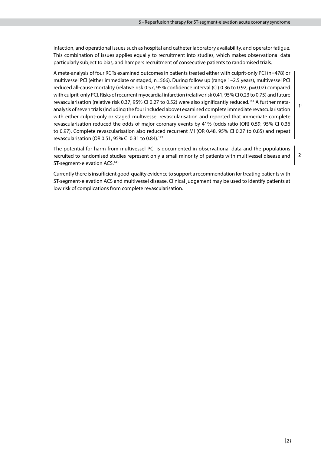infaction, and operational issues such as hospital and catheter laboratory availability, and operator fatigue. This combination of issues applies equally to recruitment into studies, which makes observational data particularly subject to bias, and hampers recruitment of consecutive patients to randomised trials.

A meta-analysis of four RCTs examined outcomes in patients treated either with culprit-only PCI (n=478) or multivessel PCI (either immediate or staged, n=566). During follow up (range 1–2.5 years), multivessel PCI reduced all-cause mortality (relative risk 0.57, 95% confidence interval (CI) 0.36 to 0.92, p=0.02) compared with culprit-only PCI. Risks of recurrent myocardial infarction (relative risk 0.41, 95% CI 0.23 to 0.75) and future revascularisation (relative risk 0.37, 95% CI 0.27 to 0.52) were also significantly reduced.<sup>141</sup> A further metaanalysis of seven trials (including the four included above) examined complete immediate revascularisation with either culprit-only or staged multivessel revascularisation and reported that immediate complete revascularisation reduced the odds of major coronary events by 41% (odds ratio (OR) 0.59, 95% CI 0.36 to 0.97). Complete revascularisation also reduced recurrent MI (OR 0.48, 95% CI 0.27 to 0.85) and repeat revascularisation (OR 0.51, 95% CI 0.31 to 0.84).142

The potential for harm from multivessel PCI is documented in observational data and the populations recruited to randomised studies represent only a small minority of patients with multivessel disease and ST-segment-elevation ACS.<sup>143</sup>

Currently there is insufficient good-quality evidence to support a recommendation for treating patients with ST-segment-elevation ACS and multivessel disease. Clinical judgement may be used to identify patients at low risk of complications from complete revascularisation.

**2-**

**1+**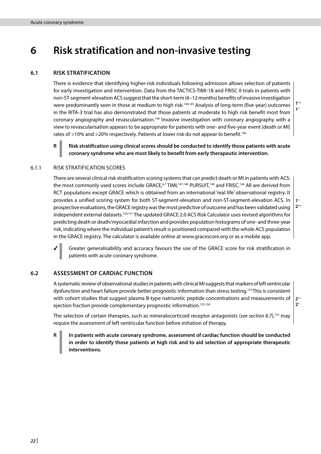# <span id="page-27-0"></span>**6 Risk stratification and non-invasive testing**

# **6.1 RISK STRATIFICATION**

There is evidence that identifying higher-risk individuals following admission allows selection of patients for early investigation and intervention. Data from the TACTICS-TIMI-18 and FRISC II trials in patients with non-ST-segment-elevation ACS suggest that the short-term (6–12 months) benefits of invasive investigation were predominantly seen in those at medium to high risk.<sup>144,145</sup> Analysis of long-term (five-year) outcomes in the RITA-3 trial has also demonstrated that those patients at moderate to high risk benefit most from coronary angiography and revascularisation.<sup>146</sup> Invasive investigation with coronary angiography with a view to revascularisation appears to be appropriate for patients with one- and five-year event (death or MI) rates of >10% and >20% respectively. Patients at lower risk do not appear to benefit.146

**R Risk stratification using clinical scores should be conducted to identify those patients with acute coronary syndrome who are most likely to benefit from early therapeutic intervention.**

#### 6.1.1 RISK STRATIFICATION SCORES

There are several clinical risk stratification scoring systems that can predict death or MI in patients with ACS: the most commonly used scores include GRACE,<sup>6,7</sup> TIMI,<sup>147,148</sup> PURSUIT,<sup>149</sup> and FRISC.<sup>144</sup> All are derived from RCT populations except GRACE which is obtained from an international 'real life' observational registry. It provides a unified scoring system for both ST-segment-elevation and non-ST-segment-elevation ACS. In  $\mid$  1+ prospective evaluations, the GRACE registry was the most predictive of outcome and has been validated using **2++** independent external datasets.150,151 The updated GRACE 2.0 ACS Risk Calculator uses revised algorithms for predicting death or death/myocardial infarction and provides population histograms of one- and three-year risk, indicating where the individual patient's result is positioned compared with the whole ACS population in the GRACE registry. The calculator is available online at www[.gracescore.org](http://gracescore.org) or as a mobile app.

**1++ 1+**

 Greater generalisability and accuracy favours the use of the GRACE score for risk stratification in patients with acute coronary syndrome.

## **6.2 ASSESSMENT OF CARDIAC FUNCTION**

A systematic review of observational studies in patients with clinical MI suggests that markers of left ventricular dysfunction and heart failure provide better prognostic information than stress testing.152 This is consistent with cohort studies that suggest plasma B-type natriuretic peptide concentrations and measurements of **2++** ejection fraction provide complementary prognostic information.<sup>153,154</sup>

The selection of certain therapies, such as mineralocorticoid receptor antagonists (see section 8.7),<sup>155</sup> may require the assessment of left ventricular function before initiation of therapy.

**R In patients with acute coronary syndrome, assessment of cardiac function should be conducted in order to identify those patients at high risk and to aid selection of appropriate therapeutic interventions.**

**2+**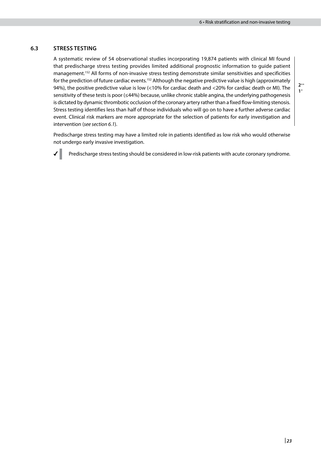**2++ 1+**

### <span id="page-28-0"></span>**6.3 STRESS TESTING**

A systematic review of 54 observational studies incorporating 19,874 patients with clinical MI found that predischarge stress testing provides limited additional prognostic information to guide patient management.152 All forms of non-invasive stress testing demonstrate similar sensitivities and specificities for the prediction of future cardiac events.<sup>152</sup> Although the negative predictive value is high (approximately 94%), the positive predictive value is low (<10% for cardiac death and <20% for cardiac death or MI). The sensitivity of these tests is poor (≤44%) because, unlike chronic stable angina, the underlying pathogenesis is dictated by dynamic thrombotic occlusion of the coronary artery rather than a fixed flow-limiting stenosis. Stress testing identifies less than half of those individuals who will go on to have a further adverse cardiac event. Clinical risk markers are more appropriate for the selection of patients for early investigation and intervention (*see section 6.1*).

Predischarge stress testing may have a limited role in patients identified as low risk who would otherwise not undergo early invasive investigation.

**I** Predischarge stress testing should be considered in low-risk patients with acute coronary syndrome.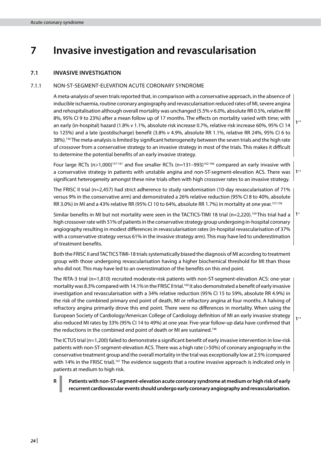# <span id="page-29-0"></span>**7 Invasive investigation and revascularisation**

## **7.1 INVASIVE INVESTIGATION**

### 7.1.1 NON-ST-SEGMENT-ELEVATION ACUTE CORONARY SYNDROME

A meta-analysis of seven trials reported that, in comparison with a conservative approach, in the absence of inducible ischaemia, routine coronary angiography and revascularisation reduced rates of MI, severe angina and rehospitalisation although overall mortality was unchanged (5.5% *v* 6.0%, absolute RR 0.5%, relative RR 8%, 95% CI 9 to 23%) after a mean follow up of 17 months. The effects on mortality varied with time; with an early (in-hospital) hazard (1.8% *v* 1.1%, absolute risk increase 0.7%, relative risk increase 60%, 95% CI 14 to 125%) and a late (postdischarge) benefit (3.8% *v* 4.9%, absolute RR 1.1%, relative RR 24%, 95% CI 6 to 38%).156 The meta-analysis is limited by significant heterogeneity between the seven trials and the high rate of crossover from a conservative strategy to an invasive strategy in most of the trials. This makes it difficult to determine the potential benefits of an early invasive strategy.

Four large RCTs  $(n>1,000)^{157\cdot161}$  and five smaller RCTs  $(n=131-993)^{162\cdot166}$  compared an early invasive with a conservative strategy in patients with unstable angina and non-ST-segment-elevation ACS. There was significant heterogeneity amongst these nine trials often with high crossover rates to an invasive strategy. **1++**

The FRISC II trial (n=2,457) had strict adherence to study randomisation (10-day revascularisation of 71% versus 9% in the conservative arm) and demonstrated a 26% relative reduction (95% CI 8 to 40%, absolute RR 3.0%) in MI and a 43% relative RR (95% CI 10 to 64%, absolute RR 1.7%) in mortality at one year.<sup>157,158</sup>

Similar benefits in MI but not mortality were seen in the TACTICS-TIMI 18 trial (n=2,220).159 This trial had a **1+** high crossover rate with 51% of patients in the conservative strategy group undergoing in-hospital coronary angiography resulting in modest differences in revascularisation rates (in-hospital revascularisation of 37% with a conservative strategy versus 61% in the invasive strategy arm). This may have led to underestimation of treatment benefits.

Both the FRISC II and TACTICS TIMI-18 trials systematically biased the diagnosis of MI according to treatment group with those undergoing revascularisation having a higher biochemical threshold for MI than those who did not. This may have led to an overestimation of the benefits on this end point.

The RITA-3 trial (n=1,810) recruited moderate-risk patients with non-ST-segment-elevation ACS: one-year mortality was 8.3% compared with 14.1% in the FRISC II trial.<sup>160</sup> It also demonstrated a benefit of early invasive investigation and revascularisation with a 34% relative reduction (95% CI 15 to 59%, absolute RR 4.9%) in the risk of the combined primary end point of death, MI or refractory angina at four months. A halving of refractory angina primarily drove this end point. There were no differences in mortality. When using the European Society of Cardiology/American College of Cardiology definition of MI an early invasive strategy also reduced MI rates by 33% (95% CI 14 to 49%) at one year. Five-year follow-up data have confirmed that the reductions in the combined end point of death or MI are sustained.<sup>146</sup>

The ICTUS trial (n=1,200) failed to demonstrate a significant benefit of early invasive intervention in low-risk patients with non-ST-segment-elevation ACS. There was a high rate (>50%) of coronary angiography in the conservative treatment group and the overall mortality in the trial was exceptionally low at 2.5% (compared with 14% in the FRISC trial).<sup>161</sup> The evidence suggests that a routine invasive approach is indicated only in patients at medium to high risk.

# **R Patients with non-ST-segment-elevation acute coronary syndrome at medium or high risk of early recurrent cardiovascular events should undergo early coronary angiography and revascularisation.**

**1++**

**1++**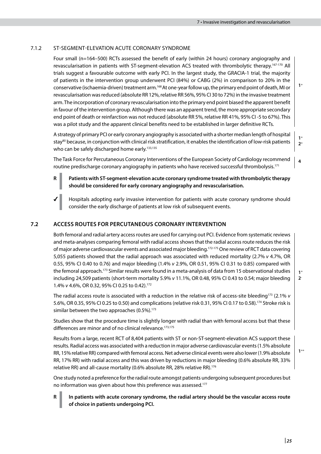# <span id="page-30-0"></span>7.1.2 ST-SEGMENT-ELEVATION ACUTE CORONARY SYNDROME

Four small (n=164–500) RCTs assessed the benefit of early (within 24 hours) coronary angiography and revascularisation in patients with ST-segment-elevation ACS treated with thrombolytic therapy.167-170 All trials suggest a favourable outcome with early PCI. In the largest study, the GRACIA-1 trial, the majority of patients in the intervention group underwent PCI (84%) or CABG (2%) in comparison to 20% in the conservative (ischaemia-driven) treatment arm.168 At one-year follow up, the primary end point of death, MI or revascularisation was reduced (absolute RR 12%, relative RR 56%, 95% CI 30 to 72%) in the invasive treatment arm. The incorporation of coronary revascularisation into the primary end point biased the apparent benefit in favour of the intervention group. Although there was an apparent trend, the more appropriate secondary end point of death or reinfarction was not reduced (absolute RR 5%, relative RR 41%, 95% CI -5 to 67%). This was a pilot study and the apparent clinical benefits need to be established in larger definitive RCTs.

A strategy of primary PCI or early coronary angiography is associated with a shorter median length of hospital stay<sup>80</sup> because, in conjunction with clinical risk stratification, it enables the identification of low-risk patients who can be safely discharged home early.<sup>133,135</sup>

The Task Force for Percutaneous Coronary Interventions of the European Society of Cardiology recommend routine predischarge coronary angiography in patients who have received successful thrombolysis.171

**R Patients with ST-segment-elevation acute coronary syndrome treated with thrombolytic therapy should be considered for early coronary angiography and revascularisation.**

 Hospitals adopting early invasive intervention for patients with acute coronary syndrome should consider the early discharge of patients at low risk of subsequent events.

## **7.2 ACCESS ROUTES FOR PERCUTANEOUS CORONARY INTERVENTION**

Both femoral and radial artery access routes are used for carrying out PCI. Evidence from systematic reviews and meta-analyses comparing femoral with radial access shows that the radial access route reduces the risk of major adverse cardiovascular events and associated major bleeding.172-175 One review of RCT data covering 5,055 patients showed that the radial approach was associated with reduced mortality (2.7% *v* 4.7%, OR 0.55, 95% CI 0.40 to 0.76) and major bleeding (1.4% *v* 2.9%, OR 0.51, 95% CI 0.31 to 0.85) compared with the femoral approach.173 Similar results were found in a meta-analysis of data from 15 observational studies including 24,509 patients (short-term mortality 5.9% *v* 11.1%, OR 0.48, 95% CI 0.43 to 0.54; major bleeding 1.4% *v* 4.6%, OR 0.32, 95% CI 0.25 to 0.42).172

**1+ 2-**

**1++**

The radial access route is associated with a reduction in the relative risk of access-site bleeding173 (2.1% *v* 5.6%, OR 0.35, 95% CI 0.25 to 0.50) and complications (relative risk 0.31, 95% CI 0.17 to 0.58).174 Stroke risk is similar between the two approaches (0.5%).<sup>173</sup>

Studies show that the procedure time is slightly longer with radial than with femoral access but that these differences are minor and of no clinical relevance.<sup>173,175</sup>

Results from a large, recent RCT of 8,404 patients with ST or non-ST-segment-elevation ACS support these results. Radial access was associated with a reduction in major adverse cardiovascular events (1.5% absolute RR, 15% relative RR) compared with femoral access. Net adverse clinical events were also lower (1.9% absolute RR, 17% RR) with radial access and this was driven by reductions in major bleeding (0.6% absolute RR, 33% relative RR) and all-cause mortality (0.6% absolute RR, 28% relative RR).176

One study noted a preference for the radial route amongst patients undergoing subsequent procedures but no information was given about how this preference was assessed.<sup>177</sup>

**R In patients with acute coronary syndrome, the radial artery should be the vascular access route of choice in patients undergoing PCI.**

**1+**

**1+ 2+**

**4**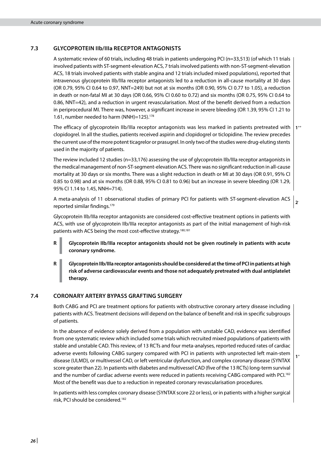## <span id="page-31-0"></span>**7.3 GLYCOPROTEIN IIb/IIIa RECEPTOR ANTAGONISTS**

A systematic review of 60 trials, including 48 trials in patients undergoing PCI (n=33,513) (of which 11 trials involved patients with ST-segment-elevation ACS, 7 trials involved patients with non-ST-segment-elevation ACS, 18 trials involved patients with stable angina and 12 trials included mixed populations), reported that intravenous glycoprotein IIb/IIIa receptor antagonists led to a reduction in all-cause mortality at 30 days (OR 0.79, 95% CI 0.64 to 0.97, NNT=249) but not at six months (OR 0.90, 95% CI 0.77 to 1.05), a reduction in death or non-fatal MI at 30 days (OR 0.66, 95% CI 0.60 to 0.72) and six months (OR 0.75, 95% CI 0.64 to 0.86, NNT=42), and a reduction in urgent revascularisation. Most of the benefit derived from a reduction in periprocedural MI. There was, however, a significant increase in severe bleeding (OR 1.39, 95% CI 1.21 to 1.61, number needed to harm (NNH)=125).<sup>178</sup>

The efficacy of glycoprotein IIb/IIIa receptor antagonists was less marked in patients pretreated with clopidogrel. In all the studies, patients received aspirin and clopidogrel or ticlopidine. The review precedes the current use of the more potent ticagrelor or prasugrel. In only two of the studies were drug-eluting stents used in the majority of patients. **1++**

The review included 12 studies (n=33,176) assessing the use of glycoprotein IIb/IIIa receptor antagonists in the medical management of non-ST-segment-elevation ACS. There was no significant reduction in all-cause mortality at 30 days or six months. There was a slight reduction in death or MI at 30 days (OR 0.91, 95% CI 0.85 to 0.98) and at six months (OR 0.88, 95% CI 0.81 to 0.96) but an increase in severe bleeding (OR 1.29, 95% CI 1.14 to 1.45, NNH=714).

A meta-analysis of 11 observational studies of primary PCI for patients with ST-segment-elevation ACS reported similar findings.179

**2-**

**1+**

Glycoprotein IIb/IIIa receptor antagonists are considered cost-effective treatment options in patients with ACS, with use of glycoprotein IIb/IIIa receptor antagonists as part of the initial management of high-risk patients with ACS being the most cost-effective strategy.180,181

- **R Glycoprotein IIb/IIIa receptor antagonists should not be given routinely in patients with acute coronary syndrome.**
- **R Glycoprotein IIb/IIIa receptor antagonists should be considered at the time of PCI in patients at high risk of adverse cardiovascular events and those not adequately pretreated with dual antiplatelet therapy.**

## **7.4 CORONARY ARTERY BYPASS GRAFTING SURGERY**

Both CABG and PCI are treatment options for patients with obstructive coronary artery disease including patients with ACS. Treatment decisions will depend on the balance of benefit and risk in specific subgroups of patients.

In the absence of evidence solely derived from a population with unstable CAD, evidence was identified from one systematic review which included some trials which recruited mixed populations of patients with stable and unstable CAD. This review, of 13 RCTs and four meta-analyses, reported reduced rates of cardiac adverse events following CABG surgery compared with PCI in patients with unprotected left main-stem disease (ULMD), or multivessel CAD, or left ventricular dysfunction, and complex coronary disease (SYNTAX score greater than 22). In patients with diabetes and multivessel CAD (five of the 13 RCTs) long-term survival and the number of cardiac adverse events were reduced in patients receiving CABG compared with PCI.182 Most of the benefit was due to a reduction in repeated coronary revascularisation procedures.

In patients with less complex coronary disease (SYNTAX score 22 or less), or in patients with a higher surgical risk, PCI should be considered.182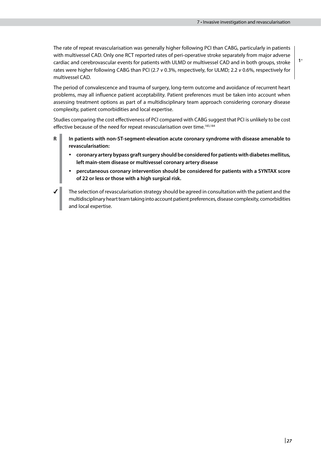**1+**

The rate of repeat revascularisation was generally higher following PCI than CABG, particularly in patients with multivessel CAD. Only one RCT reported rates of peri-operative stroke separately from major adverse cardiac and cerebrovascular events for patients with ULMD or multivessel CAD and in both groups, stroke rates were higher following CABG than PCI (2.7 *v* 0.3%, respectively, for ULMD; 2.2 *v* 0.6%, respectively for multivessel CAD.

The period of convalescence and trauma of surgery, long-term outcome and avoidance of recurrent heart problems, may all influence patient acceptability. Patient preferences must be taken into account when assessing treatment options as part of a multidisciplinary team approach considering coronary disease complexity, patient comorbidities and local expertise.

Studies comparing the cost effectiveness of PCI compared with CABG suggest that PCI is unlikely to be cost effective because of the need for repeat revascularisation over time.<sup>183,184</sup>

- **R In patients with non-ST-segment-elevation acute coronary syndrome with disease amenable to revascularisation:**
	- y **coronary artery bypass graft surgery should be considered for patients with diabetes mellitus, left main-stem disease or multivessel coronary artery disease**
	- y **percutaneous coronary intervention should be considered for patients with a SYNTAX score of 22 or less or those with a high surgical risk.**
	- The selection of revascularisation strategy should be agreed in consultation with the patient and the multidisciplinary heart team taking into account patient preferences, disease complexity, comorbidities and local expertise.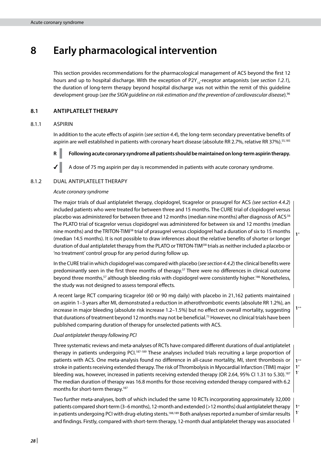# <span id="page-33-0"></span>**8 Early pharmacological intervention**

This section provides recommendations for the pharmacological management of ACS beyond the first 12 hours and up to hospital discharge. With the exception of P2Y<sub>12</sub>-receptor antagonists (*see section 1.2.1*), the duration of long-term therapy beyond hospital discharge was not within the remit of this guideline development group (*see the SIGN guideline on risk estimation and the prevention of cardiovascular disease*).96

## **8.1 ANTIPLATELET THERAPY**

#### 8.1.1 ASPIRIN

In addition to the acute effects of aspirin (*see section 4.4*), the long-term secondary preventative benefits of aspirin are well established in patients with coronary heart disease (absolute RR 2.7%, relative RR 37%).<sup>55,185</sup>

#### **R Following acute coronary syndrome all patients should be maintained on long-term aspirin therapy.**

A dose of 75 mg aspirin per day is recommended in patients with acute coronary syndrome.

#### 8.1.2 DUAL ANTIPLATELET THERAPY

#### *Acute coronary syndrome*

The major trials of dual antiplatelet therapy, clopidogrel, ticagrelor or prasugrel for ACS *(see section 4.4.2*) included patients who were treated for between three and 15 months. The CURE trial of clopidogrel versus placebo was administered for between three and 12 months (median nine months) after diagnosis of ACS<sup>56</sup> The PLATO trial of ticagrelor versus clopidogrel was administered for between six and 12 months (median nine months) and the TRITON-TIMI<sup>38</sup> trial of prasugrel versus clopidogrel had a duration of six to 15 months (median 14.5 months). It is not possible to draw inferences about the relative benefits of shorter or longer duration of dual antiplatelet therapy from the PLATO or TRITON-TIMI38 trials as neither included a placebo or 'no treatment' control group for any period during follow up.

In the CURE trial in which clopidogrel was compared with placebo (*see section 4.4.2*) the clinical benefits were predominantly seen in the first three months of therapy.57 There were no differences in clinical outcome beyond three months,<sup>57</sup> although bleeding risks with clopidogrel were consistently higher.<sup>186</sup> Nonetheless, the study was not designed to assess temporal effects.

A recent large RCT comparing ticagrelor (60 or 90 mg daily) with placebo in 21,162 patients maintained on aspirin 1–3 years after MI, demonstrated a reduction in atherothrombotic events (absolute RR 1.2%), an increase in major bleeding (absolute risk increase 1.2–1.5%) but no effect on overall mortality, suggesting that durations of treatment beyond 12 months may not be beneficial.<sup>73</sup> However, no clinical trials have been published comparing duration of therapy for unselected patients with ACS.

#### *Dual antiplatelet therapy following PCI*

Three systematic reviews and meta-analyses of RCTs have compared different durations of dual antiplatelet therapy in patients undergoing PCI.187-189 These analyses included trials recruiting a large proportion of patients with ACS. One meta-analysis found no difference in all-cause mortality, MI, stent thrombosis or stroke in patients receiving extended therapy. The risk of Thrombolysis in Myocardial Infarction (TIMI) major bleeding was, however, increased in patients receiving extended therapy (OR 2.64, 95% CI 1.31 to 5.30).<sup>187</sup> The median duration of therapy was 16.8 months for those receiving extended therapy compared with 6.2 months for short-term therapy.<sup>187</sup>

Two further meta-analyses, both of which included the same 10 RCTs incorporating approximately 32,000 patients compared short-term (3–6 months), 12-month and extended (>12 months) dual antiplatelet therapy in patients undergoing PCI with drug-eluting stents.<sup>188,189</sup> Both analyses reported a number of similar results and findings. Firstly, compared with short-term therapy, 12-month dual antiplatelet therapy was associated **1+ 1-**

**1++**

**1++ 1+ 1-**

**1+**

*28 |*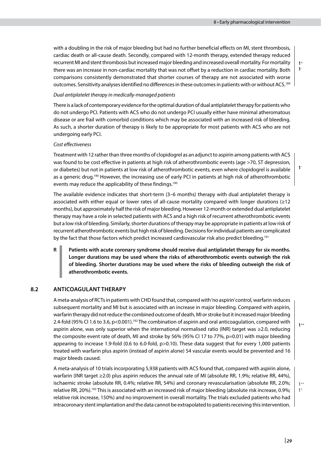<span id="page-34-0"></span>with a doubling in the risk of major bleeding but had no further beneficial effects on MI, stent thrombosis, cardiac death or all-cause death. Secondly, compared with 12-month therapy, extended therapy reduced recurrent MI and stent thrombosis but increased major bleeding and increased overall mortality. For mortality there was an increase in non-cardiac mortality that was not offset by a reduction in cardiac mortality. Both comparisons consistently demonstrated that shorter courses of therapy are not associated with worse outcomes. Sensitivity analyses identified no differences in these outcomes in patients with or without ACS.189

#### *Dual antiplatelet therapy in medically-managed patients*

There is a lack of contemporary evidence for the optimal duration of dual antiplatelet therapy for patients who do not undergo PCI. Patients with ACS who do not undergo PCI usually either have minimal atheromatous disease or are frail with comorbid conditions which may be associated with an increased risk of bleeding. As such, a shorter duration of therapy is likely to be appropriate for most patients with ACS who are not undergoing early PCI.

#### *Cost effectiveness*

Treatment with 12 rather than three months of clopidogrel as an adjunct to aspirin among patients with ACS was found to be cost effective in patients at high risk of atherothrombotic events (age >70, ST depression, or diabetes) but not in patients at low risk of atherothrombotic events, even where clopidogrel is available as a generic drug.<sup>190</sup> However, the increasing use of early PCI in patients at high risk of atherothrombotic events may reduce the applicability of these findings.<sup>190</sup>

The available evidence indicates that short-term (3–6 months) therapy with dual antiplatelet therapy is associated with either equal or lower rates of all-cause mortality compared with longer durations (≥12 months), but approximately half the risk of major bleeding. However 12-month or extended dual antiplatelet therapy may have a role in selected patients with ACS and a high risk of recurrent atherothrombotic events but a low risk of bleeding. Similarly, shorter durations of therapy may be appropriate in patients at low risk of recurrent atherothrombotic events but high risk of bleeding. Decisions for individual patients are complicated by the fact that those factors which predict increased cardiovascular risk also predict bleeding.<sup>191</sup>

**R Patients with acute coronary syndrome should receive dual antiplatelet therapy for six months. Longer durations may be used where the risks of atherothrombotic events outweigh the risk of bleeding. Shorter durations may be used where the risks of bleeding outweigh the risk of atherothrombotic events.**

## **8.2 ANTICOAGULANT THERAPY**

A meta-analysis of RCTs in patients with CHD found that, compared with 'no aspirin' control, warfarin reduces subsequent mortality and MI but is associated with an increase in major bleeding. Compared with aspirin, warfarin therapy did not reduce the combined outcome of death, MI or stroke but it increased major bleeding 2.4-fold (95% CI 1.6 to 3.6, p<0.001).<sup>192</sup> The combination of aspirin and oral anticoagulation, compared with aspirin alone, was only superior when the international normalised ratio (INR) target was ≥2.0, reducing the composite event rate of death, MI and stroke by 56% (95% CI 17 to 77%, p=0.01) with major bleeding appearing to increase 1.9-fold (0.6 to 6.0-fold, p>0.10). These data suggest that for every 1,000 patients treated with warfarin plus aspirin (instead of aspirin alone) 54 vascular events would be prevented and 16 major bleeds caused.

A meta-analysis of 10 trials incorporating 5,938 patients with ACS found that, compared with aspirin alone, warfarin (INR target ≥2.0) plus aspirin reduces the annual rate of MI (absolute RR, 1.9%; relative RR, 44%), ischaemic stroke (absolute RR, 0.4%; relative RR, 54%) and coronary revascularisation (absolute RR, 2.0%; relative RR, 20%).193 This is associated with an increased risk of major bleeding (absolute risk increase, 0.9%; relative risk increase, 150%) and no improvement in overall mortality. The trials excluded patients who had intracoronary stent implantation and the data cannot be extrapolated to patients receiving this intervention.

**1+ 1-**

**1-**

 $1^{++}$ 1+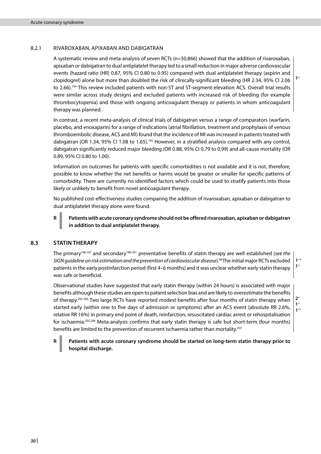#### <span id="page-35-0"></span>8.2.1 RIVAROXABAN, APIXABAN AND DABIGATRAN

A systematic review and meta-analysis of seven RCTs (n=30,866) showed that the addition of rivaroxaban, apixaban or dabigatran to dual antiplatelet therapy led to a small reduction in major adverse cardiovascular events (hazard ratio (HR) 0.87, 95% CI 0.80 to 0.95) compared with dual antiplatelet therapy (aspirin and clopidogrel) alone but more than doubled the risk of clinically-significant bleeding (HR 2.34, 95% CI 2.06 to 2.66).<sup>194</sup> This review included patients with non-ST and ST-segment-elevation ACS. Overall trial results were similar across study designs and excluded patients with increased risk of bleeding (for example thrombocytopenia) and those with ongoing anticoagulant therapy or patients in whom anticoagulant therapy was planned.

In contrast, a recent meta-analysis of clinical trials of dabigatran versus a range of comparators (warfarin, placebo, and enoxaparin) for a range of indications (atrial fibrillation, treatment and prophylaxis of venous thromboembolic disease, ACS and MI) found that the incidence of MI was increased in patients treated with dabigatran (OR 1.34, 95% CI 1.08 to 1.65).<sup>195</sup> However, in a stratified analysis compared with any control, dabigatran significantly reduced major bleeding (OR 0.88, 95% CI 0.79 to 0.99) and all-cause mortality (OR 0.89, 95% CI 0.80 to 1.00).

Information on outcomes for patients with specific comorbidities is not available and it is not, therefore, possible to know whether the net benefits or harms would be greater or smaller for specific patterns of comorbidity. There are currently no identified factors which could be used to stratify patients into those likely or unlikely to benefit from novel anticoagulant therapy.

No published cost-effectiveness studies comparing the addition of rivaroxaban, apixaban or dabigatran to dual antiplatelet therapy alone were found.

# **R Patients with acute coronary syndrome should not be offered rivaroxaban, apixaban or dabigatran in addition to dual antiplatelet therapy.**

## **8.3 STATIN THERAPY**

The primary196,197 and secondary198-201 preventative benefits of statin therapy are well established (*see the SIGN guideline on risk estimation and the prevention of cardiovascular disease*).96 The initial major RCTs excluded patients in the early postinfarction period (first 4–6 months) and it was unclear whether early statin therapy was safe or beneficial. **1++ 1+**

Observational studies have suggested that early statin therapy (within 24 hours) is associated with major benefits although these studies are open to patient selection bias and are likely to overestimate the benefits of therapy.<sup>202-204</sup> Two large RCTs have reported modest benefits after four months of statin therapy when started early (within one to five days of admission or symptoms) after an ACS event (absolute RR 2.6%, relative RR 16%) in primary end point of death, reinfarction, resuscitated cardiac arrest or rehospitalisation for ischaemia.205,206 Meta-analysis confirms that early statin therapy is safe but short-term (four months) benefits are limited to the prevention of recurrent ischaemia rather than mortality.<sup>207</sup>

**2+ 1+**

**1++**

**1+**

**R Patients with acute coronary syndrome should be started on long-term statin therapy prior to hospital discharge.**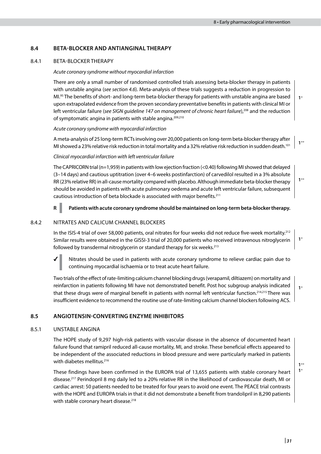## <span id="page-36-0"></span>**8.4 BETA-BLOCKER AND ANTIANGINAL THERAPY**

### 8.4.1 BETA-BLOCKER THERAPY

#### *Acute coronary syndrome without myocardial infarction*

There are only a small number of randomised controlled trials assessing beta-blocker therapy in patients with unstable angina (*see section 4.6*). Meta-analysis of these trials suggests a reduction in progression to MI.<sup>95</sup> The benefits of short- and long-term beta-blocker therapy for patients with unstable angina are based upon extrapolated evidence from the proven secondary preventative benefits in patients with clinical MI or left ventricular failure (see SIGN guideline 147 on management of chronic heart failure),<sup>208</sup> and the reduction of symptomatic angina in patients with stable angina.209,210

#### *Acute coronary syndrome with myocardial infarction*

A meta-analysis of 25 long-term RCTs involving over 20,000 patients on long-term beta-blocker therapy after MI showed a 23% relative risk reduction in total mortality and a 32% relative risk reduction in sudden death.<sup>101</sup>

#### *Clinical myocardial infarction with left ventricular failure*

The CAPRICORN trial (n=1,959) in patients with low ejection fraction (<0.40) following MI showed that delayed (3–14 days) and cautious uptitration (over 4–6 weeks postinfarction) of carvedilol resulted in a 3% absolute RR (23% relative RR) in all-cause mortality compared with placebo. Although immediate beta-blocker therapy should be avoided in patients with acute pulmonary oedema and acute left ventricular failure, subsequent cautious introduction of beta blockade is associated with major benefits.211

#### **R Patients with acute coronary syndrome should be maintained on long-term beta-blocker therapy.**

#### 8.4.2 NITRATES AND CALICUM CHANNEL BLOCKERS

In the ISIS-4 trial of over 58,000 patients, oral nitrates for four weeks did not reduce five-week mortality.<sup>212</sup> Similar results were obtained in the GISSI-3 trial of 20,000 patients who received intravenous nitroglycerin followed by transdermal nitroglycerin or standard therapy for six weeks.<sup>213</sup>

 Nitrates should be used in patients with acute coronary syndrome to relieve cardiac pain due to continuing myocardial ischaemia or to treat acute heart failure.

Two trials of the effect of rate-limiting calcium channel blocking drugs (verapamil, diltiazem) on mortality and reinfarction in patients following MI have not demonstrated benefit. Post hoc subgroup analysis indicated that these drugs were of marginal benefit in patients with normal left ventricular function.214,215 There was insufficient evidence to recommend the routine use of rate-limiting calcium channel blockers following ACS. **1+**

**1+**

**1++**

**1++**

## **8.5 ANGIOTENSIN-CONVERTING ENZYME INHIBITORS**

#### 8.5.1 UNSTABLE ANGINA

The HOPE study of 9,297 high-risk patients with vascular disease in the absence of documented heart failure found that ramipril reduced all-cause mortality, MI, and stroke. These beneficial effects appeared to be independent of the associated reductions in blood pressure and were particularly marked in patients with diabetes mellitus.<sup>216</sup>

These findings have been confirmed in the EUROPA trial of 13,655 patients with stable coronary heart disease.217 Perindopril 8 mg daily led to a 20% relative RR in the likelihood of cardiovascular death, MI or cardiac arrest: 50 patients needed to be treated for four years to avoid one event. The PEACE trial contrasts with the HOPE and EUROPA trials in that it did not demonstrate a benefit from trandolipril in 8,290 patients with stable coronary heart disease.<sup>218</sup>

**1++ 1+**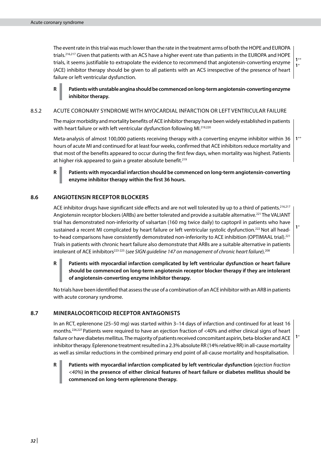<span id="page-37-0"></span>The event rate in this trial was much lower than the rate in the treatment arms of both the HOPE and EUROPA trials.<sup>216,217</sup> Given that patients with an ACS have a higher event rate than patients in the EUROPA and HOPE trials, it seems justifiable to extrapolate the evidence to recommend that angiotensin-converting enzyme (ACE) inhibitor therapy should be given to all patients with an ACS irrespective of the presence of heart failure or left ventricular dysfunction.

## **R Patients with unstable angina should be commenced on long-term angiotensin-converting enzyme inhibitor therapy.**

#### 8.5.2 ACUTE CORONARY SYNDROME WITH MYOCARDIAL INFARCTION OR LEFT VENTRICULAR FAILURE

The major morbidity and mortality benefits of ACE inhibitor therapy have been widely established in patients with heart failure or with left ventricular dysfunction following MI.<sup>219,220</sup>

Meta-analysis of almost 100,000 patients receiving therapy with a converting enzyme inhibitor within 36 **1++** hours of acute MI and continued for at least four weeks, confirmed that ACE inhibitors reduce mortality and that most of the benefits appeared to occur during the first few days, when mortality was highest. Patients at higher risk appeared to gain a greater absolute benefit.<sup>219</sup>

**R Patients with myocardial infarction should be commenced on long-term angiotensin-converting enzyme inhibitor therapy within the first 36 hours.**

## **8.6 ANGIOTENSIN RECEPTOR BLOCKERS**

ACE inhibitor drugs have significant side effects and are not well tolerated by up to a third of patients.<sup>216,217</sup> Angiotensin receptor blockers (ARBs) are better tolerated and provide a suitable alternative.221 The VALIANT trial has demonstrated non-inferiority of valsartan (160 mg twice daily) to captopril in patients who have sustained a recent MI complicated by heart failure or left ventricular systolic dysfunction.<sup>222</sup> Not all headto-head comparisons have consistently demonstrated non-inferiority to ACE inhibition (OPTIMAAL trial).<sup>221</sup> Trials in patients with chronic heart failure also demonstrate that ARBs are a suitable alternative in patients intolerant of ACE inhibitors<sup>223-225</sup> (see SIGN guideline 147 on management of chronic heart failure).<sup>208</sup>

**R Patients with myocardial infarction complicated by left ventricular dysfunction or heart failure should be commenced on long-term angiotensin receptor blocker therapy if they are intolerant of angiotensin-converting enzyme inhibitor therapy.**

No trials have been identified that assess the use of a combination of an ACE inhibitor with an ARB in patients with acute coronary syndrome.

#### **8.7 MINERALOCORTICOID RECEPTOR ANTAGONISTS**

In an RCT, eplerenone (25–50 mg) was started within 3–14 days of infarction and continued for at least 16 months.226,227 Patients were required to have an ejection fraction of <40% and either clinical signs of heart failure or have diabetes mellitus. The majority of patients received concomitant aspirin, beta-blocker and ACE  $\,|\,^1^*$ inhibitor therapy. Eplerenone treatment resulted in a 2.3% absolute RR (14% relative RR) in all-cause mortality as well as similar reductions in the combined primary end point of all-cause mortality and hospitalisation.

**R Patients with myocardial infarction complicated by left ventricular dysfunction (***ejection fraction <40%***) in the presence of either clinical features of heart failure or diabetes mellitus should be commenced on long-term eplerenone therapy.**

**1++ 1+**

**1+**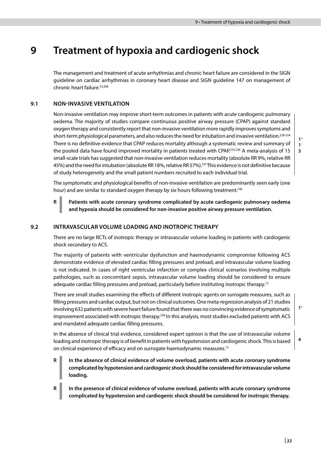# <span id="page-38-0"></span>**9 Treatment of hypoxia and cardiogenic shock**

The management and treatment of acute arrhythmias and chronic heart failure are considered in the SIGN guideline on cardiac arrhythmias in coronary heart disease and SIGN guideline 147 on management of chronic heart failure.53,208

## **9.1 NON-INVASIVE VENTILATION**

Non-invasive ventilation may improve short-term outcomes in patients with acute cardiogenic pulmonary oedema. The majority of studies compare continuous positive airway pressure (CPAP) against standard oxygen therapy and consistently report that non-invasive ventilation more rapidly improves symptoms and short-term physiological parameters, and also reduces the need for intubation and invasive ventilation.228-234 There is no definitive evidence that CPAP reduces mortality although a systematic review and summary of the pooled data have found improved mortality in patients treated with CPAP.<sup>235,236</sup> A meta-analysis of 15 small-scale trials has suggested that non-invasive ventilation reduces mortality (absolute RR 9%, relative RR 45%) and the need for intubation (absolute RR 18%, relative RR 57%).<sup>237</sup>This evidence is not definitive because of study heterogeneity and the small patient numbers recruited to each individual trial.

The symptomatic and physiological benefits of non-invasive ventilation are predominantly seen early (one hour) and are similar to standard oxygen therapy by six hours following treatment.<sup>236</sup>

**R Patients with acute coronary syndrome complicated by acute cardiogenic pulmonary oedema and hypoxia should be considered for non-invasive positive airway pressure ventilation.**

## **9.2 INTRAVASCULAR VOLUME LOADING AND INOTROPIC THERAPY**

There are no large RCTs of inotropic therapy or intravascular volume loading in patients with cardiogenic shock secondary to ACS.

The majority of patients with ventricular dysfunction and haemodynamic compromise following ACS demonstrate evidence of elevated cardiac filling pressures and preload, and intravascular volume loading is not indicated. In cases of right ventricular infarction or complex clinical scenarios involving multiple pathologies, such as concomitant sepsis, intravascular volume loading should be considered to ensure adequate cardiac filling pressures and preload, particularly before instituting inotropic therapy.<sup>13</sup>

There are small studies examining the effects of different inotropic agents on surrogate measures, such as filling pressures and cardiac output, but not on clinical outcomes. One meta-regression analysis of 21 studies involving 632 patients with severe heart failure found that there was no convincing evidence of symptomatic improvement associated with inotropic therapy.<sup>238</sup> In this analysis, most studies excluded patients with ACS and mandated adequate cardiac filling pressures.

In the absence of clinical trial evidence, considered expert opinion is that the use of intravascular volume loading and inotropic therapy is of benefit in patients with hypotension and cardiogenic shock. This is based on clinical experience of efficacy and on surrogate haemodynamic measures.<sup>13</sup>

- **R In the absence of clinical evidence of volume overload, patients with acute coronary syndrome complicated by hypotension and cardiogenic shock should be considered for intravascular volume loading.**
- **R In the presence of clinical evidence of volume overload, patients with acute coronary syndrome complicated by hypotension and cardiogenic shock should be considered for inotropic therapy.**

**1+ 1- 3**

**1+**

**4**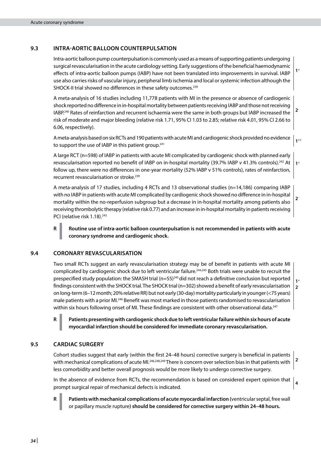## <span id="page-39-0"></span>**9.3 INTRA-AORTIC BALLOON COUNTERPULSATION**

Intra-aortic balloon pump counterpulsation is commonly used as a means of supporting patients undergoing surgical revascularisation in the acute cardiology setting. Early suggestions of the beneficial haemodynamic effects of intra-aortic balloon pumps (IABP) have not been translated into improvements in survival. IABP use also carries risks of vascular injury, peripheral limb ischemia and local or systemic infection although the SHOCK-II trial showed no differences in these safety outcomes.<sup>239</sup> **1+**

A meta-analysis of 16 studies including 11,778 patients with MI in the presence or absence of cardiogenic shock reported no difference in in-hospital mortality between patients receiving IABP and those not receiving IABP.240 Rates of reinfarction and recurrent ischaemia were the same in both groups but IABP increased the risk of moderate and major bleeding (relative risk 1.71, 95% CI 1.03 to 2.85; relative risk 4.01, 95% CI 2.66 to 6.06, respectively). **2-**

A meta-analysis based on six RCTs and 190 patients with acute MI and cardiogenic shock provided no evidence to support the use of IABP in this patient group.<sup>241</sup> **1++**

A large RCT (n=598) of IABP in patients with acute MI complicated by cardiogenic shock with planned early revascularisation reported no benefit of IABP on in-hospital mortality (39.7% IABP *v* 41.3% controls).<sup>242</sup> At  $\mid$  1+ follow up, there were no differences in one-year mortality (52% IABP v 51% controls), rates of reinfarction, recurrent revascularisation or stroke.239

A meta-analysis of 17 studies, including 4 RCTs and 13 observational studies (n=14,186) comparing IABP with no IABP in patients with acute MI complicated by cardiogenic shock showed no difference in in-hospital mortality within the no-reperfusion subgroup but a decrease in in-hospital mortality among patients also receiving thrombolytic therapy (relative risk 0.77) and an increase in in-hospital mortality in patients receiving PCI (relative risk 1.18).<sup>243</sup> **2-**

# **R Routine use of intra-aortic balloon counterpulsation is not recommended in patients with acute coronary syndrome and cardiogenic shock.**

## **9.4 CORONARY REVASCULARISATION**

Two small RCTs suggest an early revascularisation strategy may be of benefit in patients with acute MI complicated by cardiogenic shock due to left ventricular failure.<sup>244,245</sup> Both trials were unable to recruit the prespecified study population: the SMASH trial ( $n=55$ )<sup>245</sup> did not reach a definitive conclusion but reported findings consistent with the SHOCK trial. The SHOCK trial (n=302) showed a benefit of early revascularisation on long-term (6–12 month; 20% relative RR) but not early (30-day) mortality particularly in younger (<75 years) male patients with a prior MI.246 Benefit was most marked in those patients randomised to revascularisation within six hours following onset of MI. These findings are consistent with other observational data.<sup>247</sup>

**4**

**R Patients presenting with cardiogenic shock due to left ventricular failure within six hours of acute myocardial infarction should be considered for immediate coronary revascularisation.**

## **9.5 CARDIAC SURGERY**

Cohort studies suggest that early (within the first 24–48 hours) corrective surgery is beneficial in patients with mechanical complications of acute MI.<sup>246,248,249</sup> There is concern over selection bias in that patients with less comorbidity and better overall prognosis would be more likely to undergo corrective surgery. **2-**

In the absence of evidence from RCTs, the recommendation is based on considered expert opinion that prompt surgical repair of mechanical defects is indicated.

**R Patients with mechanical complications of acute myocardial infarction (**ventricular septal, free wall or papillary muscle rupture**) should be considered for corrective surgery within 24–48 hours.**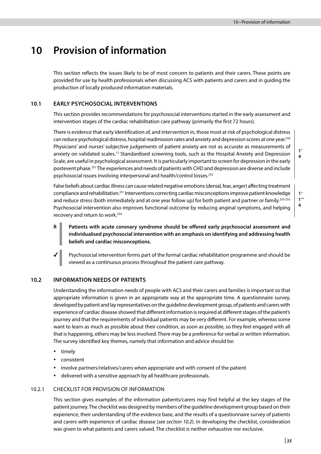# <span id="page-40-0"></span>**10 Provision of information**

This section reflects the issues likely to be of most concern to patients and their carers. These points are provided for use by health professionals when discussing ACS with patients and carers and in guiding the production of locally produced information materials.

## **10.1 EARLY PSYCHOSOCIAL INTERVENTIONS**

This section provides recommendations for psychosocial interventions started in the early assessment and intervention stages of the cardiac rehabilitation care pathway (primarily the first 72 hours).

There is evidence that early identification of, and intervention in, those most at risk of psychological distress can reduce psychological distress, hospital readmission rates and anxiety and depression scores at one year.250 Physicians' and nurses' subjective judgements of patient anxiety are not as accurate as measurements of anxiety on validated scales.<sup>13</sup> Standardised screening tools, such as the Hospital Anxiety and Depression Scale, are useful in psychological assessment. It is particularly important to screen for depression in the early postevent phase.251 The experiences and needs of patients with CHD and depression are diverse and include psychosocial issues involving interpersonal and health/control losses.<sup>252</sup>

False beliefs about cardiac illness can cause related negative emotions (denial, fear, anger) affecting treatment compliance and rehabilitation.251 Interventions correcting cardiac misconceptions improve patient knowledge and reduce stress (both immediately and at one year follow up) for both patient and partner or family.<sup>253-255</sup> Psychosocial intervention also improves functional outcome by reducing anginal symptoms, and helping recovery and return to work.254

**1+ 1++**

**4**

**1+ 4**

**R Patients with acute coronary syndrome should be offered early psychosocial assessment and individualised psychosocial intervention with an emphasis on identifying and addressing health beliefs and cardiac misconceptions.**

 Psychosocial intervention forms part of the formal cardiac rehabilitation programme and should be viewed as a continuous process throughout the patient care pathway.

## **10.2 INFORMATION NEEDS OF PATIENTS**

Understanding the information needs of people with ACS and their carers and families is important so that appropriate information is given in an appropriate way at the appropriate time. A questionnaire survey, developed by patient and lay representatives on the guideline development group, of patients and carers with experience of cardiac disease showed that different information is required at different stages of the patient's journey and that the requirements of individual patients may be very different. For example, whereas some want to learn as much as possible about their condition, as soon as possible, so they feel engaged with all that is happening, others may be less involved. There may be a preference for verbal or written information. The survey identified key themes, namely that information and advice should be:

- timely
- consistent
- involve partners/relatives/carers when appropriate and with consent of the patient
- delivered with a sensitive approach by all healthcare professionals.

#### 10.2.1 CHECKLIST FOR PROVISION OF INFORMATION

This section gives examples of the information patients/carers may find helpful at the key stages of the patient journey. The checklist was designed by members of the guideline development group based on their experience, their understanding of the evidence base, and the results of a questionnaire survey of patients and carers with experience of cardiac disease (*see section 10.2*). In developing the checklist, consideration was given to what patients and carers valued. The checklist is neither exhaustive nor exclusive.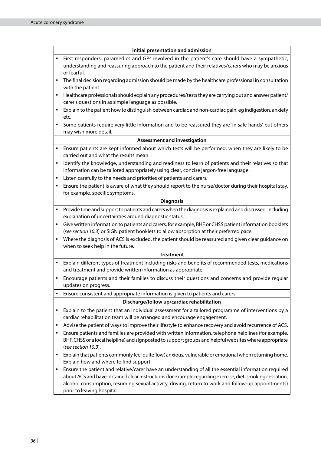|           | Initial presentation and admission                                                                                                                                                                                                                                                                                                                    |
|-----------|-------------------------------------------------------------------------------------------------------------------------------------------------------------------------------------------------------------------------------------------------------------------------------------------------------------------------------------------------------|
| $\bullet$ | First responders, paramedics and GPs involved in the patient's care should have a sympathetic,<br>understanding and reassuring approach to the patient and their relatives/carers who may be anxious<br>or fearful.                                                                                                                                   |
| $\bullet$ | The final decision regarding admission should be made by the healthcare professional in consultation<br>with the patient.                                                                                                                                                                                                                             |
| $\bullet$ | Healthcare professionals should explain any procedures/tests they are carrying out and answer patient/<br>carer's questions in as simple language as possible.                                                                                                                                                                                        |
| $\bullet$ | Explain to the patient how to distinguish between cardiac and non-cardiac pain, eg indigestion, anxiety<br>etc.                                                                                                                                                                                                                                       |
|           | Some patients require very little information and to be reassured they are 'in safe hands' but others<br>may wish more detail.                                                                                                                                                                                                                        |
|           | <b>Assessment and investigation</b>                                                                                                                                                                                                                                                                                                                   |
| $\bullet$ | Ensure patients are kept informed about which tests will be performed, when they are likely to be<br>carried out and what the results mean.                                                                                                                                                                                                           |
| $\bullet$ | Identify the knowledge, understanding and readiness to learn of patients and their relatives so that<br>information can be tailored appropriately using clear, concise jargon-free language.                                                                                                                                                          |
| $\bullet$ | Listen carefully to the needs and priorities of patients and carers.                                                                                                                                                                                                                                                                                  |
| $\bullet$ | Ensure the patient is aware of what they should report to the nurse/doctor during their hospital stay,<br>for example, specific symptoms.                                                                                                                                                                                                             |
|           | <b>Diagnosis</b>                                                                                                                                                                                                                                                                                                                                      |
| $\bullet$ | Provide time and support to patients and carers when the diagnosis is explained and discussed, including<br>explanation of uncertainties around diagnostic status.                                                                                                                                                                                    |
| $\bullet$ | Give written information to patients and carers, for example, BHF or CHSS patient information booklets<br>(see section 10.3) or SIGN patient booklets to allow absorption at their preferred pace.                                                                                                                                                    |
| $\bullet$ | Where the diagnosis of ACS is excluded, the patient should be reassured and given clear guidance on<br>when to seek help in the future.                                                                                                                                                                                                               |
|           | <b>Treatment</b>                                                                                                                                                                                                                                                                                                                                      |
| $\bullet$ | Explain different types of treatment including risks and benefits of recommended tests, medications<br>and treatment and provide written information as appropriate.                                                                                                                                                                                  |
| $\bullet$ | Encourage patients and their families to discuss their questions and concerns and provide regular<br>updates on progress.                                                                                                                                                                                                                             |
|           | Ensure consistent and appropriate information is given to patients and carers.                                                                                                                                                                                                                                                                        |
|           | Discharge/follow up/cardiac rehabilitation                                                                                                                                                                                                                                                                                                            |
| $\bullet$ | Explain to the patient that an individual assessment for a tailored programme of interventions by a<br>cardiac rehabilitation team will be arranged and encourage engagement.                                                                                                                                                                         |
| ٠         | Advise the patient of ways to improve their lifestyle to enhance recovery and avoid recurrence of ACS.                                                                                                                                                                                                                                                |
| $\bullet$ | Ensure patients and families are provided with written information, telephone helplines (for example,<br>BHF, CHSS or a local helpline) and signposted to support groups and helpful websites where appropriate<br>(see section 10.3).                                                                                                                |
| $\bullet$ | Explain that patients commonly feel quite 'low', anxious, vulnerable or emotional when returning home.<br>Explain how and where to find support.                                                                                                                                                                                                      |
| $\bullet$ | Ensure the patient and relative/carer have an understanding of all the essential information required<br>about ACS and have obtained clear instructions (for example regarding exercise, diet, smoking cessation,<br>alcohol consumption, resuming sexual activity, driving, return to work and follow-up appointments)<br>prior to leaving hospital. |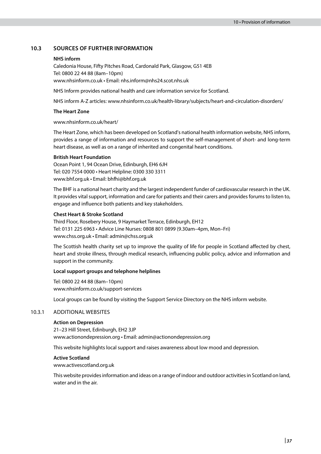#### <span id="page-42-0"></span>**10.3 SOURCES OF FURTHER INFORMATION**

#### **NHS inform**

Caledonia House, Fifty Pitches Road, Cardonald Park, Glasgow, G51 4EB Tel: 0800 22 44 88 (8am–10pm) [www.nhsinform.co.uk](http://www.nhsinform.co.uk) • Email: [nhs.inform@nhs24.scot.nhs.uk](mailto:nhs.inform@nhs24.scot.nhs.uk)

NHS Inform provides national health and care information service for Scotland.

NHS inform A-Z articles: [www.nhsinform.co.uk/health-library/subjects/heart-and-circulation-disorders/](http://www.nhsinform.co.uk/health-library/subjects/heart-and-circulation-disorders/)

#### **The Heart Zone**

[www.nhsinform.co.uk/heart/](http://www.nhsinform.co.uk/heart/)

The Heart Zone, which has been developed on Scotland's national health information website, NHS inform, provides a range of information and resources to support the self-management of short- and long-term heart disease, as well as on a range of inherited and congenital heart conditions.

#### **British Heart Foundation**

Ocean Point 1, 94 Ocean Drive, Edinburgh, EH6 6JH Tel: 020 7554 0000 • Heart Helpline: 0300 330 3311 [www.bhf.org.uk](http://www.bhf.org.uk/) • Email: bhfhi@bhf.org.uk

The BHF is a national heart charity and the largest independent funder of cardiovascular research in the UK. It provides vital support, information and care for patients and their carers and provides forums to listen to, engage and influence both patients and key stakeholders.

#### **Chest Heart & Stroke Scotland**

Third Floor, Rosebery House, 9 Haymarket Terrace, Edinburgh, EH12 Tel: 0131 225 6963 • Advice Line Nurses: 0808 801 0899 (9.30am–4pm, Mon–Fri) [www.chss.org.uk](http://www.chss.org.uk/) • Email: [admin@chss.org.uk](mailto:admin@chss.org.uk)

The Scottish health charity set up to improve the quality of life for people in Scotland affected by chest, heart and stroke illness, through medical research, influencing public policy, advice and information and support in the community.

#### **Local support groups and telephone helplines**

Tel: 0800 22 44 88 (8am–10pm) [www.nhsinform.co.uk/support-services](http://www.nhsinform.co.uk/support-services/)

Local groups can be found by visiting the Support Service Directory on the NHS inform website.

#### 10.3.1 ADDITIONAL WEBSITES

#### **Action on Depression**

21–23 Hill Street, Edinburgh, EH2 3JP [www.actionondepression.org](http://www.actionondepression.org/) • Email: admin@actionondepression.org

This website highlights local support and raises awareness about low mood and depression.

#### **[Active Scotland](http://www.activescotland.org.uk/)**

[www.activescotland.org.uk](http://www.activescotland.org.uk)

This website provides information and ideas on a range of indoor and outdoor activities in Scotland on land, water and in the air.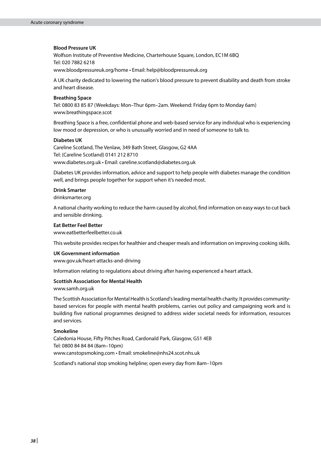#### **Blood Pressure UK**

Wolfson Institute of Preventive Medicine, Charterhouse Square, London, EC1M 6BQ Tel: 020 7882 6218 [www.bloodpressureuk.org/home](http://www.bloodpressureuk.org/home) • Email: help@bloodpressureuk.org

A UK charity dedicated to lowering the nation's blood pressure to prevent disability and death from stroke and heart disease.

#### **Breathing Space**

Tel: 0800 83 85 87 (Weekdays: Mon–Thur 6pm–2am. Weekend: Friday 6pm to Monday 6am) www.breathingspace.scot

Breathing Space is a free, confidential phone and web-based service for any individual who is experiencing low mood or depression, or who is unusually worried and in need of someone to talk to.

#### **Diabetes UK**

Careline Scotland, The Venlaw, 349 Bath Street, Glasgow, G2 4AA Tel: (Careline Scotland) 0141 212 8710 [www.diabetes.org.uk](http://www.diabetes.org.uk) • Email: [careline.scotland@diabetes.org.uk](mailto:carelinescotland@diabetes.org.uk)

Diabetes UK provides information, advice and support to help people with diabetes manage the condition well, and brings people together for support when it's needed most.

#### **[Drink Smarter](http://drinksmarter.org/)**

drinksmarter.org

A national charity working to reduce the harm caused by alcohol, find information on easy ways to cut back and sensible drinking.

#### **Eat Better Feel Better**

[www.eatbetterfeelbetter.co.uk](http://www.eatbetterfeelbetter.co.uk)

This website provides recipes for healthier and cheaper meals and information on improving cooking skills.

#### **UK Government information**

[www.gov.uk/heart-attacks-and-driving](http://www.gov.uk/heart-attacks-and-driving)

Information relating to regulations about driving after having experienced a heart attack.

#### **Scottish Association for Mental Health**

[www.samh.org.uk](http://www.samh.org.uk)

The Scottish Association for Mental Health is Scotland's leading mental health charity. It provides communitybased services for people with mental health problems, carries out policy and campaigning work and is building five national programmes designed to address wider societal needs for information, resources and services.

#### **Smokeline**

Caledonia House, Fifty Pitches Road, Cardonald Park, Glasgow, G51 4EB Tel: 0800 84 84 84 (8am–10pm) [www.canstopsmoking.com](http://www.canstopsmoking.com) • Email: [smokeline@nhs24.scot.nhs.uk](mailto:smokeline@nhs24.scot.nhs.uk) 

Scotland's national stop smoking helpline; open every day from 8am–10pm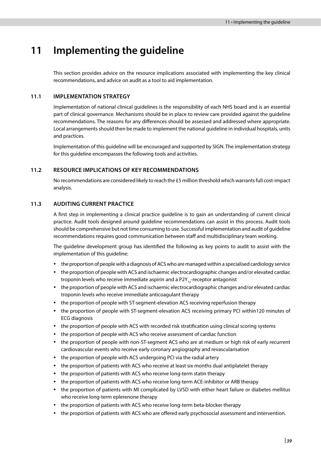# <span id="page-44-0"></span>**11 Implementing the guideline**

This section provides advice on the resource implications associated with implementing the key clinical recommendations, and advice on audit as a tool to aid implementation.

## **11.1 IMPLEMENTATION STRATEGY**

Implementation of national clinical guidelines is the responsibility of each NHS board and is an essential part of clinical governance. Mechanisms should be in place to review care provided against the guideline recommendations. The reasons for any differences should be assessed and addressed where appropriate. Local arrangements should then be made to implement the national guideline in individual hospitals, units and practices.

Implementation of this guideline will be encouraged and supported by SIGN. The implementation strategy for this guideline encompasses the following tools and activities.

## **11.2 RESOURCE IMPLICATIONS OF KEY RECOMMENDATIONS**

No recommendations are considered likely to reach the £5 million threshold which warrants full cost-impact analysis.

# **11.3 AUDITING CURRENT PRACTICE**

A first step in implementing a clinical practice guideline is to gain an understanding of current clinical practice. Audit tools designed around guideline recommendations can assist in this process. Audit tools should be comprehensive but not time consuming to use. Successful implementation and audit of guideline recommendations requires good communication between staff and multidisciplinary team working.

The guideline development group has identified the following as key points to audit to assist with the implementation of this guideline:

- the proportion of people with a diagnosis of ACS who are managed within a specialised cardiology service
- the proportion of people with ACS and ischaemic electrocardiographic changes and/or elevated cardiac troponin levels who receive immediate aspirin and a  $P2Y_{12}$ -receptor antagonist
- the proportion of people with ACS and ischaemic electrocardiographic changes and/or elevated cardiac troponin levels who receive immediate anticoagulant therapy
- the proportion of people with ST-segment-elevation ACS receiving reperfusion therapy
- the proportion of people with ST-segment-elevation ACS receiving primary PCI within120 minutes of ECG diagnosis
- the proportion of people with ACS with recorded risk stratification using clinical scoring systems
- the proportion of people with ACS who receive assessment of cardiac function
- the proportion of people with non-ST-segment ACS who are at medium or high risk of early recurrent cardiovascular events who receive early coronary angiography and revascularisation
- the proportion of people with ACS undergoing PCI via the radial artery
- the proportion of patients with ACS who receive at least six months dual antiplatelet therapy
- the proportion of patients with ACS who receive long-term statin therapy
- the proportion of patients with ACS who receive long-term ACE-inhibitor or ARB therapy
- the proportion of patients with MI complicated by LVSD with either heart failure or diabetes mellitus who receive long-term eplerenone therapy
- the proportion of patients with ACS who receive long-term beta-blocker therapy
- the proportion of patients with ACS who are offered early psychosocial assessment and intervention.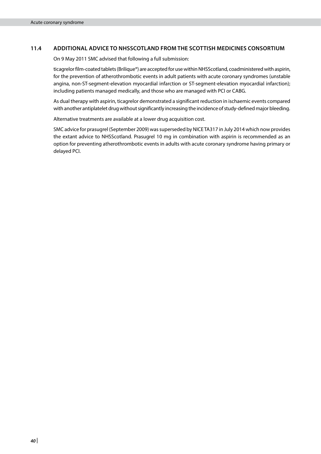## <span id="page-45-0"></span>**11.4 ADDITIONAL ADVICE TO NHSSCOTLAND FROM THE SCOTTISH MEDICINES CONSORTIUM**

On 9 May 2011 SMC advised that following a full submission:

ticagrelor film-coated tablets (Brilique®) are accepted for use within NHSScotland, coadministered with aspirin, for the prevention of atherothrombotic events in adult patients with acute coronary syndromes (unstable angina, non-ST-segment-elevation myocardial infarction or ST-segment-elevation myocardial infarction); including patients managed medically, and those who are managed with PCI or CABG.

As dual therapy with aspirin, ticagrelor demonstrated a significant reduction in ischaemic events compared with another antiplatelet drug without significantly increasing the incidence of study-defined major bleeding.

Alternative treatments are available at a lower drug acquisition cost.

SMC advice for prasugrel (September 2009) was superseded by NICE TA317 in July 2014 which now provides the extant advice to NHSScotland. Prasugrel 10 mg in combination with aspirin is recommended as an option for preventing atherothrombotic events in adults with acute coronary syndrome having primary or delayed PCI.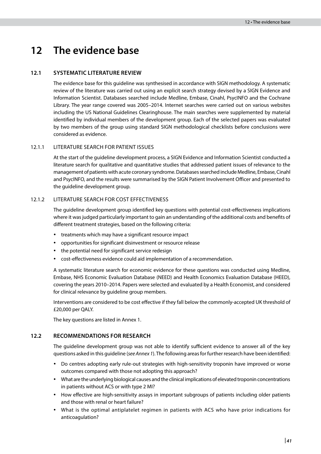# <span id="page-46-0"></span>**12 The evidence base**

# **12.1 SYSTEMATIC LITERATURE REVIEW**

The evidence base for this guideline was synthesised in accordance with SIGN methodology. A systematic review of the literature was carried out using an explicit search strategy devised by a SIGN Evidence and Information Scientist. Databases searched include Medline, Embase, Cinahl, PsycINFO and the Cochrane Library. The year range covered was 2005–2014. Internet searches were carried out on various websites including the US National Guidelines Clearinghouse. The main searches were supplemented by material identified by individual members of the development group. Each of the selected papers was evaluated by two members of the group using standard SIGN methodological checklists before conclusions were considered as evidence.

#### 12.1.1 LITERATURE SEARCH FOR PATIENT ISSUES

At the start of the guideline development process, a SIGN Evidence and Information Scientist conducted a literature search for qualitative and quantitative studies that addressed patient issues of relevance to the management of patients with acute coronary syndrome. Databases searched include Medline, Embase, Cinahl and PsycINFO, and the results were summarised by the SIGN Patient Involvement Officer and presented to the guideline development group.

#### 12.1.2 LITERATURE SEARCH FOR COST EFFECTIVENESS

The guideline development group identified key questions with potential cost-effectiveness implications where it was judged particularly important to gain an understanding of the additional costs and benefits of different treatment strategies, based on the following criteria:

- treatments which may have a significant resource impact
- opportunities for significant disinvestment or resource release
- the potential need for significant service redesign
- cost-effectiveness evidence could aid implementation of a recommendation.

A systematic literature search for economic evidence for these questions was conducted using Medline, Embase, NHS Economic Evaluation Database (NEED) and Health Economics Evaluation Database (HEED), covering the years 2010–2014. Papers were selected and evaluated by a Health Economist, and considered for clinical relevance by guideline group members.

Interventions are considered to be cost effective if they fall below the commonly-accepted UK threshold of £20,000 per QALY.

The key questions are listed in Annex 1.

## **12.2 RECOMMENDATIONS FOR RESEARCH**

The guideline development group was not able to identify sufficient evidence to answer all of the key questions asked in this guideline (*see Annex 1*). The following areas for further research have been identified:

- Do centres adopting early rule-out strategies with high-sensitivity troponin have improved or worse outcomes compared with those not adopting this approach?
- What are the underlying biological causes and the clinical implications of elevated troponin concentrations in patients without ACS or with type 2 MI?
- How effective are high-sensitivity assays in important subgroups of patients including older patients and those with renal or heart failure?
- y What is the optimal antiplatelet regimen in patients with ACS who have prior indications for anticoagulation?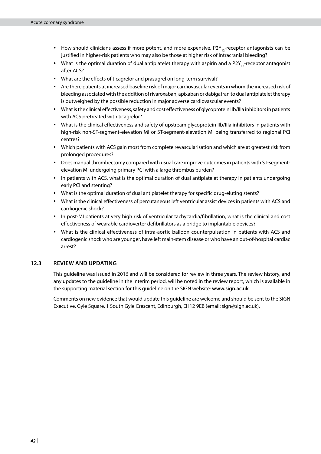- <span id="page-47-0"></span>• How should clinicians assess if more potent, and more expensive,  $P2Y_{12}$ -receptor antagonists can be justified in higher-risk patients who may also be those at higher risk of intracranial bleeding?
- What is the optimal duration of dual antiplatelet therapy with aspirin and a P2Y<sub>12</sub>-receptor antagonist after ACS?
- What are the effects of ticagrelor and prasugrel on long-term survival?
- Are there patients at increased baseline risk of major cardiovascular events in whom the increased risk of bleeding associated with the addition of rivaroxaban, apixaban or dabigatran to dual antiplatelet therapy is outweighed by the possible reduction in major adverse cardiovascular events?
- What is the clinical effectiveness, safety and cost effectiveness of glycoprotein IIb/IIIa inhibitors in patients with ACS pretreated with ticagrelor?
- What is the clinical effectiveness and safety of upstream glycoprotein IIb/IIIa inhibitors in patients with high-risk non-ST-segment-elevation MI or ST-segment-elevation MI being transferred to regional PCI centres?
- Which patients with ACS gain most from complete revascularisation and which are at greatest risk from prolonged procedures?
- Does manual thrombectomy compared with usual care improve outcomes in patients with ST-segmentelevation MI undergoing primary PCI with a large thrombus burden?
- In patients with ACS, what is the optimal duration of dual antiplatelet therapy in patients undergoing early PCI and stenting?
- What is the optimal duration of dual antiplatelet therapy for specific drug-eluting stents?
- What is the clinical effectiveness of percutaneous left ventricular assist devices in patients with ACS and cardiogenic shock?
- In post-MI patients at very high risk of ventricular tachycardia/fibrillation, what is the clinical and cost effectiveness of wearable cardioverter defibrillators as a bridge to implantable devices?
- What is the clinical effectiveness of intra-aortic balloon counterpulsation in patients with ACS and cardiogenic shock who are younger, have left main-stem disease or who have an out-of-hospital cardiac arrest?

## **12.3 REVIEW AND UPDATING**

This guideline was issued in 2016 and will be considered for review in three years. The review history, and any updates to the guideline in the interim period, will be noted in the review report, which is available in the supporting material section for this guideline on the SIGN website: **www.sign.ac.uk**

Comments on new evidence that would update this guideline are welcome and should be sent to the SIGN Executive, Gyle Square, 1 South Gyle Crescent, Edinburgh, EH12 9EB (email: sign@sign.ac.uk).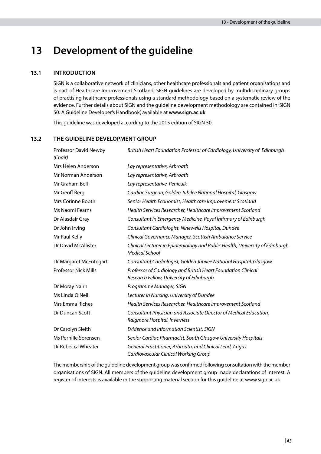# <span id="page-48-0"></span>**13 Development of the guideline**

# **13.1 INTRODUCTION**

SIGN is a collaborative network of clinicians, other healthcare professionals and patient organisations and is part of Healthcare Improvement Scotland. SIGN guidelines are developed by multidisciplinary groups of practising healthcare professionals using a standard methodology based on a systematic review of the evidence. Further details about SIGN and the guideline development methodology are contained in 'SIGN 50: A Guideline Developer's Handbook', available at **[www.sign.ac.uk](http://www.sign.ac.uk)**

This guideline was developed according to the 2015 edition of SIGN 50.

## **13.2 THE GUIDELINE DEVELOPMENT GROUP**

| Professor David Newby<br>(Chair) | British Heart Foundation Professor of Cardiology, University of Edinburgh                                 |
|----------------------------------|-----------------------------------------------------------------------------------------------------------|
| Mrs Helen Anderson               | Lay representative, Arbroath                                                                              |
| Mr Norman Anderson               | Lay representative, Arbroath                                                                              |
| Mr Graham Bell                   | Lay representative, Penicuik                                                                              |
| Mr Geoff Berg                    | Cardiac Surgeon, Golden Jubilee National Hospital, Glasgow                                                |
| Mrs Corinne Booth                | Senior Health Economist, Healthcare Improvement Scotland                                                  |
| Ms Naomi Fearns                  | Health Services Researcher, Healthcare Improvement Scotland                                               |
| Dr Alasdair Gray                 | Consultant in Emergency Medicine, Royal Infirmary of Edinburgh                                            |
| Dr John Irving                   | Consultant Cardiologist, Ninewells Hospital, Dundee                                                       |
| Mr Paul Kelly                    | Clinical Governance Manager, Scottish Ambulance Service                                                   |
| Dr David McAllister              | Clinical Lecturer in Epidemiology and Public Health, University of Edinburgh<br>Medical School            |
| Dr Margaret McEntegart           | Consultant Cardiologist, Golden Jubilee National Hospital, Glasgow                                        |
| <b>Professor Nick Mills</b>      | Professor of Cardiology and British Heart Foundation Clinical<br>Research Fellow, University of Edinburgh |
| Dr Moray Nairn                   | Programme Manager, SIGN                                                                                   |
| Ms Linda O'Neill                 | Lecturer in Nursing, University of Dundee                                                                 |
| Mrs Emma Riches                  | Health Services Researcher, Healthcare Improvement Scotland                                               |
| Dr Duncan Scott                  | Consultant Physician and Associate Director of Medical Education,<br>Raigmore Hospital, Inverness         |
| Dr Carolyn Sleith                | Evidence and Information Scientist, SIGN                                                                  |
| Ms Pernille Sorensen             | Senior Cardiac Pharmacist, South Glasgow University Hospitals                                             |
| Dr Rebecca Wheater               | General Practitioner, Arbroath, and Clinical Lead, Angus<br>Cardiovascular Clinical Working Group         |

The membership of the guideline development group was confirmed following consultation with the member organisations of SIGN. All members of the guideline development group made declarations of interest. A register of interests is available in the supporting material section for this guideline at www.sign.ac.uk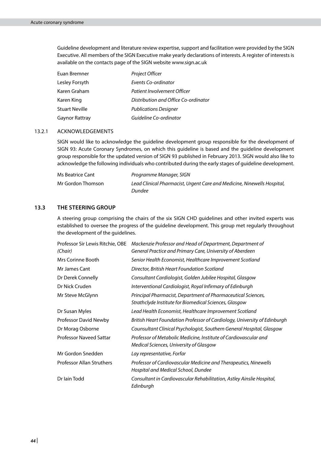<span id="page-49-0"></span>Guideline development and literature review expertise, support and facilitation were provided by the SIGN Executive. All members of the SIGN Executive make yearly declarations of interests. A register of interests is available on the contacts page of the SIGN website www.sign.ac.uk

| Euan Bremner          | Project Officer                      |
|-----------------------|--------------------------------------|
| Lesley Forsyth        | Events Co-ordinator                  |
| Karen Graham          | Patient Involvement Officer          |
| Karen King            | Distribution and Office Co-ordinator |
| <b>Stuart Neville</b> | <b>Publications Designer</b>         |
| Gaynor Rattray        | Guideline Co-ordinator               |

#### 13.2.1 ACKNOWLEDGEMENTS

SIGN would like to acknowledge the guideline development group responsible for the development of SIGN 93: Acute Coronary Syndromes, on which this guideline is based and the guideline development group responsible for the updated version of SIGN 93 published in February 2013. SIGN would also like to acknowledge the following individuals who contributed during the early stages of guideline development.

| Ms Beatrice Cant  | Programme Manager, SIGN                                                 |
|-------------------|-------------------------------------------------------------------------|
| Mr Gordon Thomson | Lead Clinical Pharmacist, Urgent Care and Medicine, Ninewells Hospital, |
|                   | Dundee                                                                  |

## **13.3 THE STEERING GROUP**

A steering group comprising the chairs of the six SIGN CHD guidelines and other invited experts was established to oversee the progress of the guideline development. This group met regularly throughout the development of the guidelines.

| Professor Sir Lewis Ritchie, OBE | Mackenzie Professor and Head of Department, Department of                                                              |
|----------------------------------|------------------------------------------------------------------------------------------------------------------------|
| (Chair)                          | General Practice and Primary Care, University of Aberdeen                                                              |
| Mrs Corinne Booth                | Senior Health Economist, Healthcare Improvement Scotland                                                               |
| Mr James Cant                    | Director, British Heart Foundation Scotland                                                                            |
| Dr Derek Connelly                | Consultant Cardiologist, Golden Jubilee Hospital, Glasgow                                                              |
| Dr Nick Cruden                   | Interventional Cardiologist, Royal Infirmary of Edinburgh                                                              |
| Mr Steve McGlynn                 | Principal Pharmacist, Department of Pharmaceutical Sciences,<br>Strathclyde Institute for Biomedical Sciences, Glasgow |
| Dr Susan Myles                   | Lead Health Economist, Healthcare Improvement Scotland                                                                 |
| Professor David Newby            | British Heart Foundation Professor of Cardiology, University of Edinburgh                                              |
| Dr Morag Osborne                 | Counsultant Clinical Psychologist, Southern General Hospital, Glasgow                                                  |
| <b>Professor Naveed Sattar</b>   | Professor of Metabolic Medicine, Institute of Cardiovascular and<br>Medical Sciences, University of Glasgow            |
| Mr Gordon Snedden                | Lay representative, Forfar                                                                                             |
| <b>Professor Allan Struthers</b> | Professor of Cardiovascular Medicine and Therapeutics, Ninewells<br>Hospital and Medical School, Dundee                |
| Dr Iain Todd                     | Consultant in Cardiovascular Rehabilitation, Astley Ainslie Hospital,<br>Edinburgh                                     |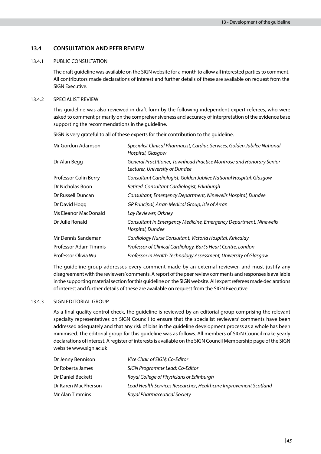## <span id="page-50-0"></span>**13.4 CONSULTATION AND PEER REVIEW**

#### 13.4.1 PUBLIC CONSULTATION

The draft guideline was available on the SIGN website for a month to allow all interested parties to comment. All contributors made declarations of interest and further details of these are available on request from the SIGN Executive.

### 13.4.2 SPECIALIST REVIEW

This guideline was also reviewed in draft form by the following independent expert referees, who were asked to comment primarily on the comprehensiveness and accuracy of interpretation of the evidence base supporting the recommendations in the guideline.

SIGN is very grateful to all of these experts for their contribution to the guideline.

| Mr Gordon Adamson     | Specialist Clinical Pharmacist, Cardiac Services, Golden Jubilee National<br>Hospital, Glasgow         |
|-----------------------|--------------------------------------------------------------------------------------------------------|
| Dr Alan Begg          | General Practitioner, Townhead Practice Montrose and Honorary Senior<br>Lecturer, University of Dundee |
| Professor Colin Berry | Consultant Cardiologist, Golden Jubilee National Hospital, Glasgow                                     |
| Dr Nicholas Boon      | Retired Consultant Cardiologist, Edinburgh                                                             |
| Dr Russell Duncan     | Consultant, Emergency Department, Ninewells Hospital, Dundee                                           |
| Dr David Hogg         | GP Principal, Arran Medical Group, Isle of Arran                                                       |
| Ms Eleanor MacDonald  | Lay Reviewer, Orkney                                                                                   |
| Dr Julie Ronald       | Consultant in Emergency Medicine, Emergency Department, Ninewells<br>Hospital, Dundee                  |
| Mr Dennis Sandeman    | Cardiology Nurse Consultant, Victoria Hospital, Kirkcaldy                                              |
| Professor Adam Timmis | Professor of Clinical Cardiology, Bart's Heart Centre, London                                          |
| Professor Olivia Wu   | Professor in Health Technology Assessment, University of Glasgow                                       |

The guideline group addresses every comment made by an external reviewer, and must justify any disagreement with the reviewers' comments. A report of the peer review comments and responses is available in the supporting material section for this guideline on the SIGN website. All expert referees made declarations of interest and further details of these are available on request from the SIGN Executive.

#### 13.4.3 SIGN EDITORIAL GROUP

As a final quality control check, the guideline is reviewed by an editorial group comprising the relevant specialty representatives on SIGN Council to ensure that the specialist reviewers' comments have been addressed adequately and that any risk of bias in the guideline development process as a whole has been minimised. The editorial group for this guideline was as follows. All members of SIGN Council make yearly declarations of interest. A register of interests is available on the SIGN Council Membership page of the SIGN website www.sign.ac.uk

| Dr Jenny Bennison   | Vice Chair of SIGN; Co-Editor                                    |
|---------------------|------------------------------------------------------------------|
| Dr Roberta James    | SIGN Programme Lead; Co-Editor                                   |
| Dr Daniel Beckett   | Royal College of Physicians of Edinburgh                         |
| Dr Karen MacPherson | Lead Health Services Researcher, Healthcare Improvement Scotland |
| Mr Alan Timmins     | Royal Pharmaceutical Society                                     |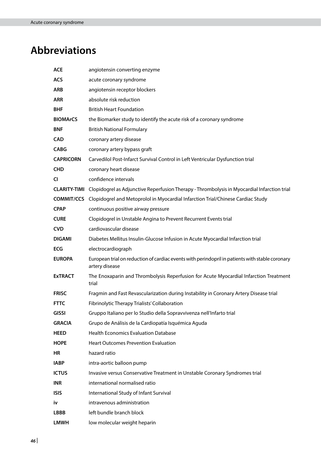# <span id="page-51-0"></span>**Abbreviations**

| <b>ACE</b>       | angiotensin converting enzyme                                                                                     |  |  |
|------------------|-------------------------------------------------------------------------------------------------------------------|--|--|
| <b>ACS</b>       | acute coronary syndrome                                                                                           |  |  |
| <b>ARB</b>       | angiotensin receptor blockers                                                                                     |  |  |
| <b>ARR</b>       | absolute risk reduction                                                                                           |  |  |
| <b>BHF</b>       | <b>British Heart Foundation</b>                                                                                   |  |  |
| <b>BIOMArCS</b>  | the Biomarker study to identify the acute risk of a coronary syndrome                                             |  |  |
| <b>BNF</b>       | <b>British National Formulary</b>                                                                                 |  |  |
| <b>CAD</b>       | coronary artery disease                                                                                           |  |  |
| <b>CABG</b>      | coronary artery bypass graft                                                                                      |  |  |
| <b>CAPRICORN</b> | Carvedilol Post-Infarct Survival Control in Left Ventricular Dysfunction trial                                    |  |  |
| <b>CHD</b>       | coronary heart disease                                                                                            |  |  |
| <b>CI</b>        | confidence intervals                                                                                              |  |  |
|                  | CLARITY-TIMI Clopidogrel as Adjunctive Reperfusion Therapy - Thrombolysis in Myocardial Infarction trial          |  |  |
|                  | <b>COMMIT/CCS</b> Clopidogrel and Metoprolol in Myocardial Infarction Trial/Chinese Cardiac Study                 |  |  |
| <b>CPAP</b>      | continuous positive airway pressure                                                                               |  |  |
| <b>CURE</b>      | Clopidogrel in Unstable Angina to Prevent Recurrent Events trial                                                  |  |  |
| <b>CVD</b>       | cardiovascular disease                                                                                            |  |  |
| <b>DIGAMI</b>    | Diabetes Mellitus Insulin-Glucose Infusion in Acute Myocardial Infarction trial                                   |  |  |
| <b>ECG</b>       | electrocardiograph                                                                                                |  |  |
| <b>EUROPA</b>    | European trial on reduction of cardiac events with perindopril in patients with stable coronary<br>artery disease |  |  |
| <b>ExTRACT</b>   | The Enoxaparin and Thrombolysis Reperfusion for Acute Myocardial Infarction Treatment<br>trial                    |  |  |
| <b>FRISC</b>     | Fragmin and Fast Revascularization during Instability in Coronary Artery Disease trial                            |  |  |
| <b>FTTC</b>      | Fibrinolytic Therapy Trialists' Collaboration                                                                     |  |  |
| <b>GISSI</b>     | Gruppo Italiano per lo Studio della Sopravvivenza nell'Infarto trial                                              |  |  |
| <b>GRACIA</b>    | Grupo de Análisis de la Cardiopatía Isquémica Aguda                                                               |  |  |
| <b>HEED</b>      | <b>Health Economics Evaluation Database</b>                                                                       |  |  |
| <b>HOPE</b>      | <b>Heart Outcomes Prevention Evaluation</b>                                                                       |  |  |
| HR               | hazard ratio                                                                                                      |  |  |
| <b>IABP</b>      | intra-aortic balloon pump                                                                                         |  |  |
| <b>ICTUS</b>     | Invasive versus Conservative Treatment in Unstable Coronary Syndromes trial                                       |  |  |
| INR              | international normalised ratio                                                                                    |  |  |
| <b>ISIS</b>      | International Study of Infant Survival                                                                            |  |  |
| iv               | intravenous administration                                                                                        |  |  |
| LBBB             | left bundle branch block                                                                                          |  |  |
| <b>LMWH</b>      | low molecular weight heparin                                                                                      |  |  |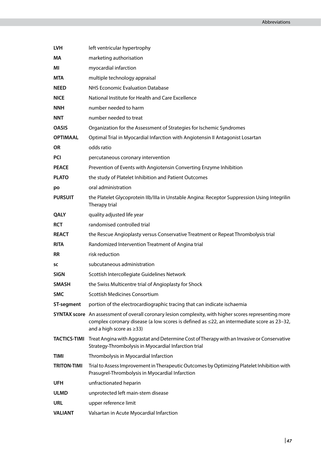| <b>LVH</b>          | left ventricular hypertrophy                                                                                                                                                                                                                |  |  |
|---------------------|---------------------------------------------------------------------------------------------------------------------------------------------------------------------------------------------------------------------------------------------|--|--|
| МA                  | marketing authorisation                                                                                                                                                                                                                     |  |  |
| ΜI                  | myocardial infarction                                                                                                                                                                                                                       |  |  |
| MTA                 | multiple technology appraisal                                                                                                                                                                                                               |  |  |
| <b>NEED</b>         | NHS Economic Evaluation Database                                                                                                                                                                                                            |  |  |
| <b>NICE</b>         | National Institute for Health and Care Excellence                                                                                                                                                                                           |  |  |
| <b>NNH</b>          | number needed to harm                                                                                                                                                                                                                       |  |  |
| <b>NNT</b>          | number needed to treat                                                                                                                                                                                                                      |  |  |
| <b>OASIS</b>        | Organization for the Assessment of Strategies for Ischemic Syndromes                                                                                                                                                                        |  |  |
| <b>OPTIMAAL</b>     | Optimal Trial in Myocardial Infarction with Angiotensin II Antagonist Losartan                                                                                                                                                              |  |  |
| <b>OR</b>           | odds ratio                                                                                                                                                                                                                                  |  |  |
| <b>PCI</b>          | percutaneous coronary intervention                                                                                                                                                                                                          |  |  |
| <b>PEACE</b>        | Prevention of Events with Angiotensin Converting Enzyme Inhibition                                                                                                                                                                          |  |  |
| <b>PLATO</b>        | the study of Platelet Inhibition and Patient Outcomes                                                                                                                                                                                       |  |  |
| po                  | oral administration                                                                                                                                                                                                                         |  |  |
| <b>PURSUIT</b>      | the Platelet Glycoprotein IIb/IIIa in Unstable Angina: Receptor Suppression Using Integrilin<br>Therapy trial                                                                                                                               |  |  |
| <b>QALY</b>         | quality adjusted life year                                                                                                                                                                                                                  |  |  |
| <b>RCT</b>          | randomised controlled trial                                                                                                                                                                                                                 |  |  |
| <b>REACT</b>        | the Rescue Angioplasty versus Conservative Treatment or Repeat Thrombolysis trial                                                                                                                                                           |  |  |
| <b>RITA</b>         | Randomized Intervention Treatment of Angina trial                                                                                                                                                                                           |  |  |
| <b>RR</b>           | risk reduction                                                                                                                                                                                                                              |  |  |
| SC                  | subcutaneous administration                                                                                                                                                                                                                 |  |  |
| <b>SIGN</b>         | Scottish Intercollegiate Guidelines Network                                                                                                                                                                                                 |  |  |
| <b>SMASH</b>        | the Swiss Multicentre trial of Angioplasty for Shock                                                                                                                                                                                        |  |  |
| <b>SMC</b>          | Scottish Medicines Consortium                                                                                                                                                                                                               |  |  |
| ST-segment          | portion of the electrocardiographic tracing that can indicate ischaemia                                                                                                                                                                     |  |  |
|                     | SYNTAX score An assessment of overall coronary lesion complexity, with higher scores representing more<br>complex coronary disease (a low scores is defined as $\leq$ 22, an intermediate score as 23-32,<br>and a high score as $\geq$ 33) |  |  |
| <b>TACTICS-TIMI</b> | Treat Angina with Aggrastat and Determine Cost of Therapy with an Invasive or Conservative<br>Strategy-Thrombolysis in Myocardial Infarction trial                                                                                          |  |  |
| <b>TIMI</b>         | Thrombolysis in Myocardial Infarction                                                                                                                                                                                                       |  |  |
| <b>TRITON-TIMI</b>  | Trial to Assess Improvement in Therapeutic Outcomes by Optimizing Platelet Inhibition with<br>Prasugrel-Thrombolysis in Myocardial Infarction                                                                                               |  |  |
| <b>UFH</b>          | unfractionated heparin                                                                                                                                                                                                                      |  |  |
| <b>ULMD</b>         | unprotected left main-stem disease                                                                                                                                                                                                          |  |  |
| <b>URL</b>          | upper reference limit                                                                                                                                                                                                                       |  |  |
| <b>VALIANT</b>      | Valsartan in Acute Myocardial Infarction                                                                                                                                                                                                    |  |  |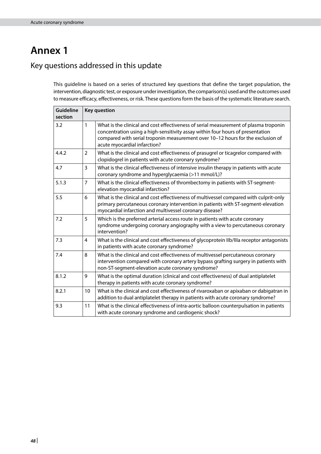# <span id="page-53-0"></span>**Annex 1**

# Key questions addressed in this update

This guideline is based on a series of structured key questions that define the target population, the intervention, diagnostic test, or exposure under investigation, the comparison(s) used and the outcomes used to measure efficacy, effectiveness, or risk. These questions form the basis of the systematic literature search.

| <b>Guideline</b><br>section | <b>Key question</b> |                                                                                                                                                                                                                                                                                           |
|-----------------------------|---------------------|-------------------------------------------------------------------------------------------------------------------------------------------------------------------------------------------------------------------------------------------------------------------------------------------|
| 3.2                         | $\mathbf{1}$        | What is the clinical and cost effectiveness of serial measurement of plasma troponin<br>concentration using a high-sensitivity assay within four hours of presentation<br>compared with serial troponin measurement over 10-12 hours for the exclusion of<br>acute myocardial infarction? |
| 4.4.2                       | $\overline{2}$      | What is the clinical and cost effectiveness of prasugrel or ticagrelor compared with<br>clopidogrel in patients with acute coronary syndrome?                                                                                                                                             |
| 4.7                         | $\overline{3}$      | What is the clinical effectiveness of intensive insulin therapy in patients with acute<br>coronary syndrome and hyperglycaemia (>11 mmol/L)?                                                                                                                                              |
| 5.1.3                       | $\overline{7}$      | What is the clinical effectiveness of thrombectomy in patients with ST-segment-<br>elevation myocardial infarction?                                                                                                                                                                       |
| 5.5                         | 6                   | What is the clinical and cost effectiveness of multivessel compared with culprit-only<br>primary percutaneous coronary intervention in patients with ST-segment-elevation<br>myocardial infarction and multivessel coronary disease?                                                      |
| 7.2                         | 5                   | Which is the preferred arterial access route in patients with acute coronary<br>syndrome undergoing coronary angiography with a view to percutaneous coronary<br>intervention?                                                                                                            |
| 7.3                         | 4                   | What is the clinical and cost effectiveness of glycoprotein Ilb/Illa receptor antagonists<br>in patients with acute coronary syndrome?                                                                                                                                                    |
| 7.4                         | 8                   | What is the clinical and cost effectiveness of multivessel percutaneous coronary<br>intervention compared with coronary artery bypass grafting surgery in patients with<br>non-ST-segment-elevation acute coronary syndrome?                                                              |
| 8.1.2                       | 9                   | What is the optimal duration (clinical and cost effectiveness) of dual antiplatelet<br>therapy in patients with acute coronary syndrome?                                                                                                                                                  |
| 8.2.1                       | 10                  | What is the clinical and cost effectiveness of rivaroxaban or apixaban or dabigatran in<br>addition to dual antiplatelet therapy in patients with acute coronary syndrome?                                                                                                                |
| 9.3                         | 11                  | What is the clinical effectiveness of intra-aortic balloon counterpulsation in patients<br>with acute coronary syndrome and cardiogenic shock?                                                                                                                                            |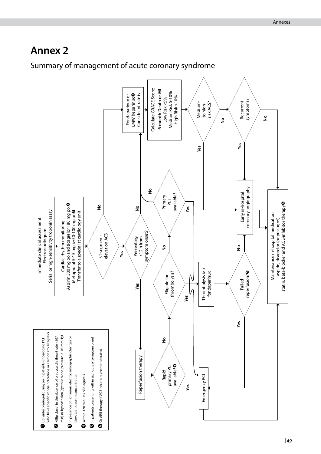# **Annex 2**



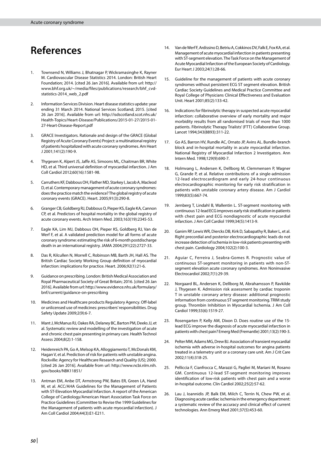# <span id="page-55-0"></span>**References**

- 1. Townsend N, Williams J, Bhatnagar P, Wickramasinghe K, Rayner M. Cardiovascular Disease Statistics 2014. London: British Heart Foundation; 2014. [cited 26 Jan 2016]. Available from url: [http://](http://www.bhf.org.uk/~/media/files/publications/research/bhf_cvd-statistics-2014_web_2.pdf) [www.bhf.org.uk/~/media/files/publications/research/bhf\\_cvd](http://www.bhf.org.uk/~/media/files/publications/research/bhf_cvd-statistics-2014_web_2.pdf)[statistics-2014\\_web\\_2.pdf](http://www.bhf.org.uk/~/media/files/publications/research/bhf_cvd-statistics-2014_web_2.pdf)
- 2. Information Services Division. Heart disease statistics update: year ending 31 March 2014. National Services Scotland; 2015. [cited 26 Jan 2016]. Available from url: [http://isdscotland.scot.nhs.uk/](http://isdscotland.scot.nhs.uk/Health-Topics/Heart-Disease/Publications/2015-01-27/2015-01-27-Heart-Disease-Report.pdf) [Health-Topics/Heart-Disease/Publications/2015-01-27/2015-01-](http://isdscotland.scot.nhs.uk/Health-Topics/Heart-Disease/Publications/2015-01-27/2015-01-27-Heart-Disease-Report.pdf) [27-Heart-Disease-Report.pdf](http://isdscotland.scot.nhs.uk/Health-Topics/Heart-Disease/Publications/2015-01-27/2015-01-27-Heart-Disease-Report.pdf)
- 3. GRACE Investigators. Rationale and design of the GRACE (Global Registry of Acute Coronary Events) Project: a multinational registry of patients hospitalized with acute coronary syndromes. Am Heart J 2001;141(2):190-9.
- 4. Thygesen K, Alpert JS, Jaffe AS, Simoons ML, Chaitman BR, White HD, et al. Third universal definition of myocardial infarction. J Am Coll Cardiol 2012;60(16):1581-98.
- 5. Carruthers KF, Dabbous OH, Flather MD, Starkey I, Jacob A, Macleod D, et al. Contemporary management of acute coronary syndromes: does the practice match the evidence? The global registry of acute coronary events (GRACE). Heart. 2005;91(3):290-8.
- 6. Granger CB, Goldberg RJ, Dabbous O, Pieper KS, Eagle KA, Cannon CP, et al. Predictors of hospital mortality in the global registry of acute coronary events. Arch Intern Med. 2003;163(19):2345-53.
- 7. Eagle KA, Lim MJ, Dabbous OH, Pieper KS, Goldberg RJ, Van de Werf F, et al. A validated prediction model for all forms of acute coronary syndrome: estimating the risk of 6-month postdischarge death in an international registry. JAMA 2004;291(22):2727-33.
- 8. Das R, Kilcullen N, Morrell C, Robinson MB, Barth JH, Hall AS. The British Cardiac Society Working Group definition of myocardial infarction: implications for practice. Heart. 2006;92(1):21-6.
- 9. Guidance on prescribing. London: British Medical Association and Royal Pharmaceutical Society of Great Britain; 2016. [cited 26 Jan 2016]. Available from url: [http://www.evidence.nhs.uk/formulary/](http://www.evidence.nhs.uk/formulary/bnf/current/guidance-on-prescribing) [bnf/current/guidance-on-prescribing](http://www.evidence.nhs.uk/formulary/bnf/current/guidance-on-prescribing)
- 10. Medicines and Healthcare products Regulatory Agency. Off-label or unlicensed use of medicines: prescribers' responsibilities. Drug Safety Update 2009;2(9):6-7.
- 11. Mant J, McManus RJ, Oakes RA, Delaney BC, Barton PM, Deeks JJ, et al. Systematic review and modelling of the investigation of acute and chronic chest pain presenting in primary care. Health Technol Assess 2004;8(2):1-158.
- 12. Heidenreich PA, Go A, Melsop KA, Alloggiamento T, McDonals KM, Hagan V, et al. Prediction of risk for patients with unstable angina. Rockville: Agency for Healthcare Research and Quality (US); 2000. [cited 26 Jan 2016]. Available from url: [http://www.ncbi.nlm.nih.](http://www.ncbi.nlm.nih.gov/books/NBK11851/) [gov/books/NBK11851/](http://www.ncbi.nlm.nih.gov/books/NBK11851/)
- 13. Antman EM, Anbe DT, Armstrong PW, Bates ER, Green LA, Hand M, et al. ACC/AHA Guidelines for the Management of Patients with ST-Elevation Myocardial Infarction. A report of the American College of Cardiology/American Heart Association Task Force on Practice Guidelines (Committee to Revise the 1999 Guidelines for the Management of patients with acute myocardial infarction). J Am Coll Cardiol 2004;44(3):E1-E211.
- 14. Van de Werf F, Ardissino D, Betriu A, Cokkinos DV, Falk E, Fox KA, et al. Management of acute myocardial infarction in patients presenting with ST-segment elevation. The Task Force on the Management of Acute Myocardial Infarction of the European Society of Cardiology. Eur Heart J 2003;24(1):28-66.
- 15. Guideline for the management of patients with acute coronary syndromes without persistent ECG ST segment elevation. British Cardiac Society Guidelines and Medical Practice Committee and Royal College of Physicians Clinical Effectiveness and Evaluation Unit. Heart 2001;85(2):133-42.
- 16. Indications for fibrinolytic therapy in suspected acute myocardial infarction: collaborative overview of early mortality and major morbidity results from all randomised trials of more than 1000 patients. Fibrinolytic Therapy Trialists' (FTT) Collaborative Group. Lancet 1994;343(8893):311-22.
- 17. Go AS, Barron HV, Rundle AC, Ornato JP, Avins AL. Bundle-branch block and in-hospital mortality in acute myocardial infarction. National Registry of Myocardial Infarction 2 Investigators. Ann Intern Med. 1998;129(9):690-7.
- 18. Holmvang L, Andersen K, Dellborg M, Clemmensen P, Wagner G, Grande P, et al. Relative contributions of a single-admission 12-lead electrocardiogram and early 24-hour continuous electrocardiographic monitoring for early risk stratification in patients with unstable coronary artery disease. Am J Cardiol 1999;83(5):667-74.
- 19. Jernberg T, Lindahl B, Wallentin L. ST-segment monitoring with continuous 12-lead ECG improves early risk stratification in patients with chest pain and ECG nondiagnostic of acute myocardial infarction. J Am Coll Cardiol 1999;34(5):1413-9.
- 20. Ganim RP, Lewis WR, Diercks DB, Kirk D, Sabapathy R, Baker L, et al. Right precordial and posterior electrocardiographic leads do not increase detection of ischemia in low-risk patients presenting with chest pain. Cardiology 2004;102(2):100-3.
- 21. Aguiar C, Ferreira J, Seabra-Gomes R. Prognostic value of continuous ST-segment monitoring in patients with non-STsegment elevation acute coronary syndromes. Ann Noninvasive Electrocardiol 2002;7(1):29-39.
- 22. Norgaard BL, Andersen K, Dellborg M, Abrahamsson P, Ravkilde J, Thygesen K. Admission risk assessment by cardiac troponin T in unstable coronary artery disease: additional prognostic information from continuous ST segment monitoring. TRIM study group. Thrombin Inhibition in Myocardial Ischemia. J Am Coll Cardiol 1999;33(6):1519-27.
- 23. Rosengarten P, Kelly AM, Dixon D. Does routine use of the 15 lead ECG improve the diagnosis of acute myocardial infarction in patients with chest pain? Emerg Med (Fremantle) 2001;13(2):190-3.
- 24. Pelter MM, Adams MG, Drew BJ. Association of transient myocardial ischemia with adverse in-hospital outcomes for angina patients treated in a telemetry unit or a coronary care unit. Am J Crit Care 2002;11(4):318-25.
- 25. Pelliccia F, Cianfrocca C, Marazzi G, Pagliei M, Mariani M, Rosano GM. Continuous 12-lead ST-segment monitoring improves identification of low-risk patients with chest pain and a worse in-hospital outcome. Clin Cardiol 2002;25(2):57-62.
- 26. Lau J, Ioannidis JP, Balk EM, Milch C, Terrin N, Chew PW, et al. Diagnosing acute cardiac ischemia in the emergency department: a systematic review of the accuracy and clinical effect of current technologies. Ann Emerg Med 2001;37(5):453-60.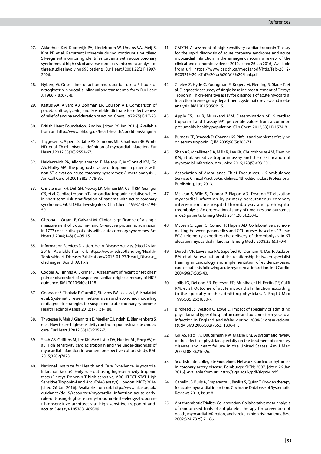- 27. Akkerhuis KM, Klootwijk PA, Lindeboom W, Umans VA, Meij S, Kint PP, et al. Recurrent ischaemia during continuous multilead ST-segment monitoring identifies patients with acute coronary syndromes at high risk of adverse cardiac events; meta-analysis of three studies involving 995 patients. Eur Heart J 2001;22(21):1997- 2006.
- 28. Nyberg G. Onset time of action and duration up to 3 hours of nitroglycerin in buccal, sublingual and transdermal form. Eur Heart J. 1986;7(8):673-8.
- 29. Kattus AA, Alvaro AB, Zohman LR, Coulson AH. Comparison of placebo, nitroglycerin, and isosorbide dinitrate for effectiveness of relief of angina and duration of action. Chest. 1979;75(1):17-23.
- 30. British Heart Foundation. Angina. [cited 26 Jan 2016]. Available from url:<http://www.bhf.org.uk/heart-health/conditions/angina>
- 31. Thygesen K, Alpert JS, Jaffe AS, Simoons ML, Chaitman BR, White HD, et al. Third universal definition of myocardial infarction. Eur Heart J 2012;33(20):2551-67.
- 32. Heidenreich PA, Alloggiamento T, Melsop K, McDonald KM, Go AS, Hlatky MA. The prognostic value of troponin in patients with non-ST elevation acute coronary syndromes: A meta-analysis. J Am Coll Cardiol 2001;38(2):478-85.
- 33. Christenson RH, Duh SH, Newby LK, Ohman EM, Califf RM, Granger CB, et al. Cardiac troponin T and cardiac troponin I: relative values in short-term risk stratification of patients with acute coronary syndromes. GUSTO-IIa Investigators. Clin Chem. 1998;44(3):494- 501.
- 34. Oltrona L, Ottani F, Galvani M. Clinical significance of a single measurement of troponin-I and C-reactive protein at admission in 1773 consecutive patients with acute coronary syndromes. Am Heart J. 2004;148(3):405-15.
- 35. Information Services Division. Heart Disease Activity. [cited 26 Jan 2016]. Available from url: [https://www.isdscotland.org/Health-](https://www.isdscotland.org/Health-Topics/Heart-Disease/Publications/2015-01-27/Heart_Disease_discharges_Board_AC1.xls)[Topics/Heart-Disease/Publications/2015-01-27/Heart\\_Disease\\_](https://www.isdscotland.org/Health-Topics/Heart-Disease/Publications/2015-01-27/Heart_Disease_discharges_Board_AC1.xls) [discharges\\_Board\\_AC1.xls](https://www.isdscotland.org/Health-Topics/Heart-Disease/Publications/2015-01-27/Heart_Disease_discharges_Board_AC1.xls)
- 36. Cooper A, Timmis A, Skinner J. Assessment of recent onset chest pain or discomfort of suspected cardiac origin: summary of NICE guidance. BMJ 2010;340:c1118.
- 37. Goodacre S, Thokala P, Carroll C, Stevens JW, Leaviss J, Al Khalaf M, et al. Systematic review, meta-analysis and economic modelling of diagnostic strategies for suspected acute coronary syndrome. Health Technol Assess 2013;17(1):1-188.
- 38. Thygesen K, Mair J, Giannitsis E, Mueller C, Lindahl B, Blankenberg S, et al. How to use high-sensitivity cardiac troponins in acute cardiac care. Eur Heart J 2012;33(18):2252-7.
- 39. Shah AS, Griffiths M, Lee KK, McAllister DA, Hunter AL, Ferry AV, et al. High sensitivity cardiac troponin and the under-diagnosis of myocardial infarction in women: prospective cohort study. BMJ 2015;350:g7873.
- 40. National Institute for Health and Care Excellence. Myocardial Infarction (acute): Early rule out using high-sensitivity troponin tests (Elecsys Troponin T high-sensitive, ARCHITECT STAT High Sensitive Troponin-I and AccuTnI+3 assays). London: NICE; 2014. [cited 26 Jan 2016]. Available from url: [http://www.nice.org.uk/](http://www.nice.org.uk/guidance/dg15/resources/myocardial-infarction-acute-early-rule-out-using-highsensitivity-troponin-tests-elecsys-troponin-t-highsensitive-architect-stat-high-sensitive-troponini-and-accutni3-assays-1053631469509) [guidance/dg15/resources/myocardial-infarction-acute-early](http://www.nice.org.uk/guidance/dg15/resources/myocardial-infarction-acute-early-rule-out-using-highsensitivity-troponin-tests-elecsys-troponin-t-highsensitive-architect-stat-high-sensitive-troponini-and-accutni3-assays-1053631469509)[rule-out-using-highsensitivity-troponin-tests-elecsys-troponin](http://www.nice.org.uk/guidance/dg15/resources/myocardial-infarction-acute-early-rule-out-using-highsensitivity-troponin-tests-elecsys-troponin-t-highsensitive-architect-stat-high-sensitive-troponini-and-accutni3-assays-1053631469509)[t-highsensitive-architect-stat-high-sensitive-troponini-and](http://www.nice.org.uk/guidance/dg15/resources/myocardial-infarction-acute-early-rule-out-using-highsensitivity-troponin-tests-elecsys-troponin-t-highsensitive-architect-stat-high-sensitive-troponini-and-accutni3-assays-1053631469509)[accutni3-assays-1053631469509](http://www.nice.org.uk/guidance/dg15/resources/myocardial-infarction-acute-early-rule-out-using-highsensitivity-troponin-tests-elecsys-troponin-t-highsensitive-architect-stat-high-sensitive-troponini-and-accutni3-assays-1053631469509)
- 41. CADTH. Assessment of high sensitivity cardiac troponin T assay for the rapid diagnosis of acute coronary syndrome and acute myocardial infarction in the emergency room: a review of the clinical and economic evidence 2012. [cited 26 Jan 2016]. Available from url: [https://www.cadth.ca/media/pdf/htis/feb-2012/](https://www.cadth.ca/media/pdf/htis/feb-2012/RC0321%20hsTnT%20for%20ACS%20Final.pdf) [RC0321%20hsTnT%20for%20ACS%20Final.pdf](https://www.cadth.ca/media/pdf/htis/feb-2012/RC0321%20hsTnT%20for%20ACS%20Final.pdf)
- 42. Zhelev Z, Hyde C, Youngman E, Rogers M, Fleming S, Slade T, et al. Diagnostic accuracy of single baseline measurement of Elecsys Troponin T high-sensitive assay for diagnosis of acute myocardial infarction in emergency department: systematic review and metaanalysis. BMJ 2015;350:h15.
- 43. Apple FS, Ler R, Murakami MM. Determination of 19 cardiac troponin I and T assay 99th percentile values from a common presumably healthy population. Clin Chem 2012;58(11):1574-81.
- 44. Burness CE, Beacock D, Channer KS. Pitfalls and problems of relying on serum troponin. QJM 2005;98(5):365-71.
- 45. Shah AS, McAllister DA, Mills R, Lee KK, Churchhouse AM, Fleming KM, et al. Sensitive troponin assay and the classification of myocardial infarction. Am J Med 2015;128(5):493-501.
- 46. Association of Ambulance Chief Executives. UK Ambulance Services Clinical Practice Guidelines. 4th edition. Class Professional Publishing, Ltd; 2013.
- 47. McLean S, Wild S, Connor P, Flapan AD. Treating ST elevation myocardial infarction by primary percutaneous coronary intervention, in-hospital thrombolysis and prehospital thrombolysis. An observational study of timelines and outcomes in 625 patients. Emerg Med J 2011;28(3):230-6.
- 48. McLean S, Egan G, Connor P, Flapan AD. Collaborative decisionmaking between paramedics and CCU nurses based on 12-lead ECG telemetry expedites the delivery of thrombolysis in ST elevation myocardial infarction. Emerg Med J 2008;25(6):370-4.
- 49. Dorsch MF, Lawrance RA, Sapsford RJ, Durham N, Das R, Jackson BM, et al. An evaluation of the relationship between specialist training in cardiology and implementation of evidence-based care of patients following acute myocardial infarction. Int J Cardiol 2004;96(3):335-40.
- 50. Jollis JG, DeLong ER, Peterson ED, Muhlbaier LH, Fortin DF, Califf RM, et al. Outcome of acute myocardial infarction according to the specialty of the admitting physician. N Engl J Med 1996;335(25):1880-7.
- 51. Birkhead JS, Weston C, Lowe D. Impact of specialty of admitting physician and type of hospital on care and outcome for myocardial infarction in England and Wales during 2004-5: observational study. BMJ 2006;332(7553):1306-11.
- 52. Go AS, Rao RK, Dauterman KW, Massie BM. A systematic review of the effects of physician specialty on the treatment of coronary disease and heart failure in the United States. Am J Med 2000;108(3):216-26.
- 53. Scottish Intercollegiate Guidelines Network. Cardiac arrhythmias in coronary artery disease. Edinburgh: SIGN; 2007. [cited 26 Jan 2016]. Available from url: <http://sign.ac.uk/pdf/sign94.pdf>
- 54. Cabello JB, Burls A, Emparanza JI, Bayliss S, Quinn T. Oxygen therapy for acute myocardial infarction. Cochrane Database of Systematic Reviews 2013, Issue 8.
- 55. Antithrombotic Trialists' Collaboration. Collaborative meta-analysis of randomised trials of antiplatelet therapy for prevention of death, myocardial infarction, and stroke in high risk patients. BMJ 2002;324(7329):71-86.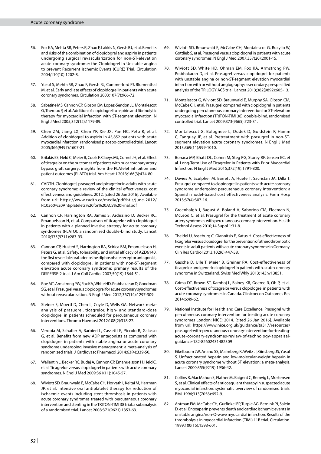- 56. Fox KA, Mehta SR, Peters R, Zhao F, Lakkis N, Gersh BJ, et al. Benefits and risks of the combination of clopidogrel and aspirin in patients undergoing surgical revascularization for non-ST-elevation acute coronary syndrome: the Clopidogrel in Unstable angina to prevent Recurrent ischemic Events (CURE) Trial. Circulation 2004;110(10):1202-8.
- 57. Yusuf S, Mehta SR, Zhao F, Gersh BJ, Commerford PJ, Blumenthal M, et al. Early and late effects of clopidogrel in patients with acute coronary syndromes. Circulation 2003;107(7):966-72.
- 58. Sabatine MS, Cannon CP, Gibson CM, Lopez-Sendon JL, Montalescot G, Theroux P, et al. Addition of clopidogrel to aspirin and fibrinolytic therapy for myocardial infarction with ST-segment elevation. N Engl J Med 2005;352(12):1179-89.
- Chen ZM, Jiang LX, Chen YP, Xie JX, Pan HC, Peto R, et al. Addition of clopidogrel to aspirin in 45,852 patients with acute myocardial infarction: randomised placebo-controlled trial. Lancet 2005;366(9497):1607-21.
- 60. Brilakis ES, Held C, Meier B, Cools F, Claeys MJ, Cornel JH, et al. Effect of ticagrelor on the outcomes of patients with prior coronary artery bypass graft surgery: insights from the PLATelet inhibition and patient outcomes (PLATO) trial. Am Heart J 2013;166(3):474-80.
- 61. CADTH. Clopidogrel, prasugrel and picagrelor in adults with acute coronary syndrome: a review of the clinical effectiveness, cost effectiveness and guidelines. 2012. [cited 26 Jan 2016]. Available from url: [https://www.cadth.ca/media/pdf/htis/june-2012/](https://www.cadth.ca/media/pdf/htis/june-2012/RC0360%20Antiplatelets%20for%20ACS%20Final.pdf) [RC0360%20Antiplatelets%20for%20ACS%20Final.pdf](https://www.cadth.ca/media/pdf/htis/june-2012/RC0360%20Antiplatelets%20for%20ACS%20Final.pdf)
- 62. Cannon CP, Harrington RA, James S, Ardissino D, Becker RC, Emanuelsson H, et al. Comparison of ticagrelor with clopidogrel in patients with a planned invasive strategy for acute coronary syndromes (PLATO): a randomised double-blind study. Lancet 2010;375(9711):283-93.
- 63. Cannon CP, Husted S, Harrington RA, Scirica BM, Emanuelsson H, Peters G, et al. Safety, tolerability, and initial efficacy of AZD6140, the first reversible oral adenosine diphosphate receptor antagonist, compared with clopidogrel, in patients with non-ST-segment elevation acute coronary syndrome: primary results of the DISPERSE-2 trial. J Am Coll Cardiol 2007;50(19):1844-51.
- 64. Roe MT, Armstrong PW, Fox KA, White HD, Prabhakaran D, Goodman SG, et al. Prasugrel versus clopidogrel for acute coronary syndromes without revascularization. N Engl J Med 2012;367(14):1297-309.
- 65. Steiner S, Moertl D, Chen L, Coyle D, Wells GA. Network metaanalysis of prasugrel, ticagrelor, high- and standard-dose clopidogrel in patients scheduled for percutaneous coronary interventions. Thromb Haemost 2012;108(2):318-27.
- 66. Verdoia M, Schaffer A, Barbieri L, Cassetti E, Piccolo R, Galasso G, et al. Benefits from new ADP antagonists as compared with clopidogrel in patients with stable angina or acute coronary syndrome undergoing invasive management: a meta-analysis of randomized trials. J Cardiovasc Pharmacol 2014;63(4):339-50.
- 67. Wallentin L, Becker RC, Budaj A, Cannon CP, Emanuelsson H, Held C, et al. Ticagrelor versus clopidogrel in patients with acute coronary syndromes. N Engl J Med 2009;361(11):1045-57.
- 68. Wiviott SD, Braunwald E, McCabe CH, Horvath I, Keltai M, Herrman JP, et al. Intensive oral antiplatelet therapy for reduction of ischaemic events including stent thrombosis in patients with acute coronary syndromes treated with percutaneous coronary intervention and stenting in the TRITON-TIMI 38 trial: a subanalysis of a randomised trial. Lancet 2008;371(9621):1353-63.
- 69. Wiviott SD, Braunwald E, McCabe CH, Montalescot G, Ruzyllo W, Gottlieb S, et al. Prasugrel versus clopidogrel in patients with acute coronary syndromes. N Engl J Med 2007;357(20):2001-15.
- 70. Wiviott SD, White HD, Ohman EM, Fox KA, Armstrong PW, Prabhakaran D, et al. Prasugrel versus clopidogrel for patients with unstable angina or non-ST-segment elevation myocardial infarction with or without angiography: a secondary, prespecified analysis of the TRILOGY ACS trial. Lancet 2013;382(9892):605-13.
- 71. Montalescot G, Wiviott SD, Braunwald E, Murphy SA, Gibson CM, McCabe CH, et al. Prasugrel compared with clopidogrel in patients undergoing percutaneous coronary intervention for ST-elevation myocardial infarction (TRITON-TIMI 38): double-blind, randomised controlled trial. Lancet 2009;373(9665):723-31.
- 72. Montalescot G, Bolognese L, Dudek D, Goldstein P, Hamm C, Tanguay JF, et al. Pretreatment with prasugrel in non-STsegment elevation acute coronary syndromes. N Engl J Med 2013;369(11):999-1010.
- 73. Bonaca MP, Bhatt DL, Cohen M, Steg PG, Storey RF, Jensen EC, et al. Long-Term Use of Ticagrelor in Patients with Prior Myocardial Infarction. N Engl J Med 2015;372(19):1791-800.
- 74. Davies A, Sculpher M, Barrett A, Huete T, Sacristan JA, Dilla T. Prasugrel compared to clopidogrel in patients with acute coronary syndrome undergoing percutenaous coronary intervention: a Spanish model-based cost effectiveness analysis. Farm Hosp 2013;37(4):307-16.
- Greenhalgh J, Bagust A, Boland A, Saborido CM, Fleeman N, McLeod C, et al. Prasugrel for the treatment of acute coronary artery syndromes with percutaneous coronary intervention. Health Technol Assess 2010;14 Suppl 1:31-8.
- 76. Theidel U, Asseburg C, Giannitsis E, Katus H. Cost-effectiveness of ticagrelor versus clopidogrel for the prevention of atherothrombotic events in adult patients with acute coronary syndrome in Germany. Clin Res Cardiol 2013;102(6):447-58.
- 77. Gasche D, Ulle T, Meier B, Greiner RA. Cost-effectiveness of ticagrelor and generic clopidogrel in patients with acute coronary syndrome in Switzerland. Swiss Med Wkly 2013;143:w13851.
- 78. Grima DT, Brown ST, Kamboj L, Bainey KR, Goeree R, Oh P, et al. Cost-effectiveness of ticagrelor versus clopidogrel in patients with acute coronary syndromes in Canada. Clinicoecon Outcomes Res 2014;6:49-62.
- 79. National Institute for Health and Care Excellence. Prasugrel with percutaneous coronary intervention for treating acute coronary syndromes London: NICE; 2014. [cited 26 Jan 2016]. Available from url: [https://www.nice.org.uk/guidance/ta317/resources/](https://www.nice.org.uk/guidance/ta317/resources/prasugrel-with-percutaneous-coronary-intervention-for-treating-acute-coronary-syndromes-review-of-technology-appraisal-guidance-182-82602431482309) [prasugrel-with-percutaneous-coronary-intervention-for-treating](https://www.nice.org.uk/guidance/ta317/resources/prasugrel-with-percutaneous-coronary-intervention-for-treating-acute-coronary-syndromes-review-of-technology-appraisal-guidance-182-82602431482309)[acute-coronary-syndromes-review-of-technology-appraisal](https://www.nice.org.uk/guidance/ta317/resources/prasugrel-with-percutaneous-coronary-intervention-for-treating-acute-coronary-syndromes-review-of-technology-appraisal-guidance-182-82602431482309)[guidance-182-82602431482309](https://www.nice.org.uk/guidance/ta317/resources/prasugrel-with-percutaneous-coronary-intervention-for-treating-acute-coronary-syndromes-review-of-technology-appraisal-guidance-182-82602431482309)
- 80. Eikelboom JW, Anand SS, Malmberg K, Weitz JI, Ginsberg JS, Yusuf S. Unfractionated heparin and low-molecular-weight heparin in acute coronary syndrome without ST elevation: a meta-analysis. Lancet 2000;355(9219):1936-42.
- 81. Collins R, MacMahon S, Flather M, Baigent C, Remvig L, Mortensen S, et al. Clinical effects of anticoagulant therapy in suspected acute myocardial infarction: systematic overview of randomised trials. BMJ 1996;313(7058):652-9.
- 82. Antman EM, McCabe CH, Gurfinkel EP, Turpie AG, Bernink PJ, Salein D, et al. Enoxaparin prevents death and cardiac ischemic events in unstable angina/non-Q-wave myocardial infarction. Results of the thrombolysis in myocardial infarction (TIMI) 11B trial. Circulation. 1999;100(15):1593-601.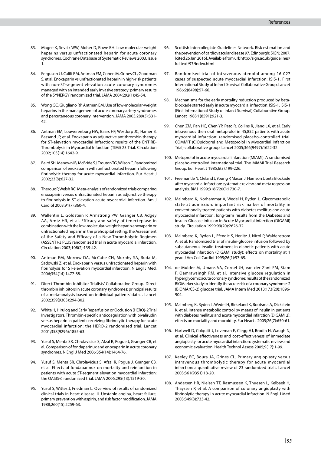- 83. Magee K, Sevcik WW, Moher D, Rowe BH, Low molecular weight heparins versus unfractionated heparin for acute coronary syndromes. Cochrane Database of Systematic Reviews 2003, Issue 1.
- 84. Ferguson JJ, Califf RM, Antman EM, Cohen M, Grines CL, Goodman S, et al. Enoxaparin vs unfractionated heparin in high-risk patients with non-ST-segment elevation acute coronary syndromes managed with an intended early invasive strategy: primary results of the SYNERGY randomized trial. JAMA 2004;292(1):45-54.
- 85. Wong GC, Giugliano RP, Antman EM. Use of low-molecular-weight heparins in the management of acute coronary artery syndromes and percutaneous coronary intervention. JAMA 2003;289(3):331- 42.
- 86. Antman EM, Louwerenburg HW, Baars HF, Wesdorp JC, Hamer B, Bassand JP, et al. Enoxaparin as adjunctive antithrombin therapy for ST-elevation myocardial infarction: results of the ENTIRE-Thrombolysis in Myocardial Infarction (TIMI) 23 Trial. Circulation 2002;105(14):1642-9.
- 87. Baird SH, Menown IB, McBride SJ, Trouton TG, Wilson C. Randomized comparison of enoxaparin with unfractionated heparin following fibrinolytic therapy for acute myocardial infarction. Eur Heart J 2002;23(8):627-32.
- 88. Theroux P, Welsh RC. Meta-analysis of randomized trials comparing enoxaparin versus unfractionated heparin as adjunctive therapy to fibrinolysis in ST-elevation acute myocardial infarction. Am J Cardiol 2003;91(7):860-4.
- 89. Wallentin L, Goldstein P, Armstrong PW, Granger CB, Adgey AA, Arntz HR, et al. Efficacy and safety of tenecteplase in combination with the low-molecular-weight heparin enoxaparin or unfractionated heparin in the prehospital setting: the Assessment of the Safety and Efficacy of a New Thrombolytic Regimen (ASSENT)-3 PLUS randomized trial in acute myocardial infarction. Circulation 2003;108(2):135-42.
- 90. Antman EM, Morrow DA, McCabe CH, Murphy SA, Ruda M, Sadowski Z, et al. Enoxaparin versus unfractionated heparin with fibrinolysis for ST-elevation myocardial infarction. N Engl J Med. 2006;354(14):1477-88.
- 91. Direct Thrombin Inhibitor Trialists' Collaborative Group. Direct thrombin inhibitors in acute coronary syndromes: principal results of a meta-analysis based on individual patients' data. . Lancet 2002;359(9303):294-302.
- 92. White H, Hirulog and Early Reperfusion or Occlusion (HERO)-2 Trial Investigators. Thrombin-specific anticoagulation with bivalirudin versus heparin in patients receiving fibrinolytic therapy for acute myocardial infarction: the HERO-2 randomised trial. Lancet 2001;358(9296):1855-63.
- 93. Yusuf S, Mehta SR, Chrolavicius S, Afzal R, Pogue J, Granger CB, et al. Comparison of fondaparinux and enoxaparin in acute coronary syndromes. N Engl J Med 2006;354(14):1464-76.
- 94. Yusuf S, Mehta SR, Chrolavicius S, Afzal R, Pogue J, Granger CB, et al. Effects of fondaparinux on mortality and reinfarction in patients with acute ST-segment elevation myocardial infarction: the OASIS-6 randomized trial. JAMA 2006;295(13):1519-30.
- 95. Yusuf S, Wittes J, Friedman L. Overview of results of randomized clinical trials in heart disease. II. Unstable angina, heart failure, primary prevention with aspirin, and risk factor modification. JAMA 1988;260(15):2259-63.
- 96. Scottish Intercollegiate Guidelines Network. Risk estimation and the prevention of cardiovascular disease 97. Edinburgh: SIGN; 2007. [cited 26 Jan 2016]. Available from url: [http://sign.ac.uk/guidelines/](http://sign.ac.uk/guidelines/fulltext/97/index.html) [fulltext/97/index.html](http://sign.ac.uk/guidelines/fulltext/97/index.html)
- 97. Randomised trial of intravenous atenolol among 16 027 cases of suspected acute myocardial infarction: ISIS-1. First International Study of Infarct Survival Collaborative Group. Lancet 1986;2(8498):57-66.
- 98. Mechanisms for the early mortality reduction produced by betablockade started early in acute myocardial infarction: ISIS-1. ISIS-1 (First International Study of Infarct Survival) Collaborative Group. Lancet 1988;1(8591):921-3.
- 99. Chen ZM, Pan HC, Chen YP, Peto R, Collins R, Jiang LX, et al. Early intravenous then oral metoprolol in 45,852 patients with acute myocardial infarction: randomised placebo-controlled trial. COMMIT (ClOpidogrel and Metoprolol in Myocardial Infarction Trial) collaborative group. Lancet 2005;366(9497):1622-32.
- 100. Metoprolol in acute myocardial infarction (MIAMI). A randomised placebo-controlled international trial. The MIAMI Trial Research Group. Eur Heart J 1985;6(3):199-226.
- 101. Freemantle N, Cleland J, Young P, Mason J, Harrison J. beta Blockade after myocardial infarction: systematic review and meta regression analysis. BMJ 1999;318(7200):1730-7.
- 102. Malmberg K, Norhammar A, Wedel H, Ryden L. Glycometabolic state at admission: important risk marker of mortality in conventionally treated patients with diabetes mellitus and acute myocardial infarction: long-term results from the Diabetes and Insulin-Glucose Infusion in Acute Myocardial Infarction (DIGAMI) study. Circulation 1999;99(20):2626-32.
- 103. Malmberg K, Ryden L, Efendic S, Herlitz J, Nicol P, Waldenstrom A, et al. Randomized trial of insulin-glucose infusion followed by subcutaneous insulin treatment in diabetic patients with acute myocardial infarction (DIGAMI study): effects on mortality at 1 year. J Am Coll Cardiol 1995;26(1):57-65.
- 104. de Mulder M, Umans VA, Cornel JH, van der Zant FM, Stam F, Oemrawsingh RM, et al. Intensive glucose regulation in hyperglycemic acute coronary syndrome: results of the randomized BIOMarker study to identify the acute risk of a coronary syndrome-2 (BIOMArCS-2) glucose trial. JAMA Intern Med 2013;173(20):1896- 904.
- 105. Malmberg K, Ryden L, Wedel H, Birkeland K, Bootsma A, Dickstein K, et al. Intense metabolic control by means of insulin in patients with diabetes mellitus and acute myocardial infarction (DIGAMI 2): effects on mortality and morbidity. Eur Heart J 2005;26(7):650-61.
- 106. Hartwell D, Colquitt J, Loveman E, Clegg AJ, Brodin H, Waugh N, et al. Clinical effectiveness and cost-effectiveness of immediate angioplasty for acute myocardial infarction: systematic review and economic evaluation. Health Technol Assess 2005;9(17):1-99.
- 107. Keeley EC, Boura JA, Grines CL. Primary angioplasty versus intravenous thrombolytic therapy for acute myocardial infarction: a quantitative review of 23 randomized trials. Lancet 2003;361(9351):13-20.
- 108. Andersen HR, Nielsen TT, Rasmussen K, Thuesen L, Kelbaek H, Thayssen P, et al. A comparison of coronary angioplasty with fibrinolytic therapy in acute myocardial infarction. N Engl J Med 2003;349(8):733-42.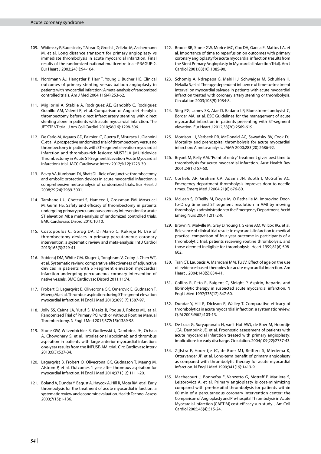- 109. Widimsky P, Budesinsky T, Vorac D, Groch L, Zelizko M, Aschermann M, et al. Long distance transport for primary angioplasty vs immediate thrombolysis in acute myocardial infarction. Final results of the randomized national multicentre trial--PRAGUE-2. Eur Heart J 2003;24(1):94-104.
- 110. Nordmann AJ, Hengstler P, Harr T, Young J, Bucher HC. Clinical outcomes of primary stenting versus balloon angioplasty in patients with myocardial infarction: A meta-analysis of randomized controlled trials. Am J Med 2004;116(4):253-62.
- 111. Migliorini A, Stabile A, Rodriguez AE, Gandolfo C, Rodriguez Granillo AM, Valenti R, et al. Comparison of AngioJet rheolytic thrombectomy before direct infarct artery stenting with direct stenting alone in patients with acute myocardial infarction. The JETSTENT trial. J Am Coll Cardiol 2010;56(16):1298-306.
- 112. De Carlo M, Aquaro GD, Palmieri C, Guerra E, Misuraca L, Giannini C, et al. A prospective randomized trial of thrombectomy versus no thrombectomy in patients with ST-segment elevation myocardial infarction and thrombus-rich lesions: MUSTELA (MUltidevice Thrombectomy in Acute ST-Segment ELevation Acute Myocardial Infarction) trial. JACC Cardiovasc Interv 2012;5(12):1223-30.
- 113. Bavry AA, Kumbhani DJ, Bhatt DL. Role of adjunctive thrombectomy and embolic protection devices in acute myocardial infarction: a comprehensive meta-analysis of randomized trials. Eur Heart J 2008;29(24):2989-3001.
- 114. Tamhane UU, Chetcuti S, Hameed I, Grossman PM, Moscucci M, Gurm HS. Safety and efficacy of thrombectomy in patients undergoing primary percutaneous coronary intervention for acute ST elevation MI: a meta-analysis of randomized controlled trials. BMC Cardiovasc Disord 2010;10:10.
- 115. Costopoulos C, Gorog DA, Di Mario C, Kukreja N. Use of thrombectomy devices in primary percutaneous coronary intervention: a systematic review and meta-analysis. Int J Cardiol 2013;163(3):229-41.
- 116. Sobieraj DM, White CM, Kluger J, Tongbram V, Colby J, Chen WT, et al. Systematic review: comparative effectiveness of adjunctive devices in patients with ST-segment elevation myocardial infarction undergoing percutaneous coronary intervention of native vessels. BMC Cardiovasc Disord 2011;11:74.
- 117. Frobert O, Lagerqvist B, Olivecrona GK, Omerovic E, Gudnason T, Maeng M, et al. Thrombus aspiration during ST-segment elevation myocardial infarction. N Engl J Med 2013;369(17):1587-97.
- 118. Jolly SS, Cairns JA, Yusuf S, Meeks B, Pogue J, Rokoss MJ, et al. Randomized Trial of Primary PCI with or without Routine Manual Thrombectomy. N Engl J Med 2015;372(15):1389-98.
- 119. Stone GW, Witzenbichler B, Godlewski J, Dambrink JH, Ochala A, Chowdhary S, et al. Intralesional abciximab and thrombus aspiration in patients with large anterior myocardial infarction: one-year results from the INFUSE-AMI trial. Circ Cardiovasc Interv 2013;6(5):527-34.
- 120. Lagerqvist B, Frobert O, Olivecrona GK, Gudnason T, Maeng M, Alstrom P, et al. Outcomes 1 year after thrombus aspiration for myocardial infarction. N Engl J Med 2014;371(12):1111-20.
- 121. Boland A, Dundar Y, Bagust A, Haycox A, Hill R, Mota RM, et al. Early thrombolysis for the treatment of acute myocardial infarction: a systematic review and economic evaluation. Health Technol Assess 2003;7(15):1-136.
- 122. Brodie BR, Stone GW, Morice MC, Cox DA, Garcia E, Mattos LA, et al. Importance of time to reperfusion on outcomes with primary coronary angioplasty for acute myocardial infarction (results from the Stent Primary Angioplasty in Myocardial Infarction Trial). Am J Cardiol 2001;88(10):1085-90.
- 123. Schomig A, Ndrepepa G, Mehilli J, Schwaiger M, Schuhlen H, Nekolla S, et al. Therapy-dependent influence of time-to-treatment interval on myocardial salvage in patients with acute myocardial infarction treated with coronary artery stenting or thrombolysis. Circulation 2003;108(9):1084-8.
- 124. Steg PG, James SK, Atar D, Badano LP, Blomstrom-Lundqvist C, Borger MA, et al. ESC Guidelines for the management of acute myocardial infarction in patients presenting with ST-segment elevation. Eur Heart J 2012;33(20):2569-619.
- 125. Morrison LJ, Verbeek PR, McDonald AC, Sawadsky BV, Cook DJ. Mortality and prehospital thrombolysis for acute myocardial infarction: A meta-analysis. JAMA 2000;283(20):2686-92.
- 126. Bryant M, Kelly AM. "Point of entry" treatment gives best time to thrombolysis for acute myocardial infarction. Aust Health Rev 2001;24(1):157-60.
- 127. Corfield AR, Graham CA, Adams JN, Booth I, McGuffie AC. Emergency department thrombolysis improves door to needle times. Emerg Med J 2004;21(6):676-80.
- 128. McLean S, O'Reilly M, Doyle M, O Rathaille M. Improving Doorto-Drug time and ST segment resolution in AMI by moving thrombolysis administration to the Emergency Department. Accid Emerg Nurs 2004;12(1):2-9.
- 129. Brown N, Melville M, Gray D, Young T, Skene AM, Wilcox RG, et al. Relevance of clinical trial results in myocardial infarction to medical practice: comparison of four year outcome in participants of a thrombolytic trial, patients receiving routine thrombolysis, and those deemed ineligible for thrombolysis. Heart 1999;81(6):598- 602.
- 130. Tran CT, Laupacis A, Mamdani MM, Tu JV. Effect of age on the use of evidence-based therapies for acute myocardial infarction. Am Heart J 2004;148(5):834-41.
- 131. Collins R, Peto R, Baigent C, Sleight P. Aspirin, heparin, and fibrinolytic therapy in suspected acute myocardial infarction. N Engl J Med 1997;336(12):847-60.
- 132. Dundar Y, Hill R, Dickson R, Walley T. Comparative efficacy of thrombolytics in acute myocardial infarction: a systematic review. QJM 2003;96(2):103-13.
- 133. De Luca G, Suryapranata H, van't Hof AWJ, de Boer M, Hoorntje JCA, Dambrink JE, et al. Prognostic assessment of patients with acute myocardial infarction treated with primary angioplasty: implications for early discharge. Circulation. 2004;109(22):2737-43.
- 134. Zijlstra F, Hoorntje JC, de Boer MJ, Reiffers S, Miedema K, Ottervanger JP, et al. Long-term benefit of primary angioplasty as compared with thrombolytic therapy for acute myocardial infarction. N Engl J Med 1999;341(19):1413-9.
- 135. Machecourt J, Bonnefoy E, Vanzetto G, Motreff P, Marliere S, Leizorovicz A, et al. Primary angioplasty is cost-minimizing compared with pre-hospital thrombolysis for patients within 60 min of a percutaneous coronary intervention center: the Comparison of Angioplasty and Pre-hospital Thrombolysis in Acute Myocardial Infarction (CAPTIM) cost-efficacy sub-study. J Am Coll Cardiol 2005;45(4):515-24.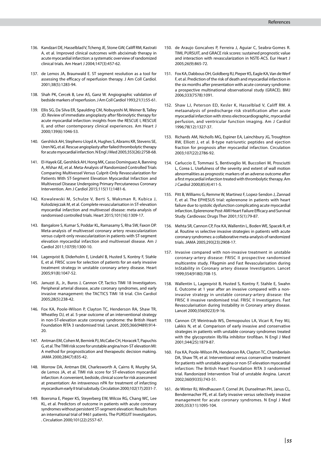- 136. Kandzari DE, Hasselblad V, Tcheng JE, Stone GW, Califf RM, Kastrati A, et al. Improved clinical outcomes with abciximab therapy in acute myocardial infarction: a systematic overview of randomized clinical trials. Am Heart J 2004;147(3):457-62.
- 137. de Lemos JA, Braunwald E. ST segment resolution as a tool for assessing the efficacy of reperfusion therapy. J Am Coll Cardiol. 2001;38(5):1283-94.
- 138. Shah PK, Cercek B, Lew AS, Ganz W. Angiographic validation of bedside markers of reperfusion. J Am Coll Cardiol 1993;21(1):55-61.
- 139. Ellis SG, Da Silva ER, Spaulding CM, Nobuyoshi M, Weiner B, Talley JD. Review of immediate angioplasty after fibrinolytic therapy for acute myocardial infarction: insights from the RESCUE I, RESCUE II, and other contemporary clinical experiences. Am Heart J 2000;139(6):1046-53.
- 140. Gershlick AH, Stephens-Lloyd A, Hughes S, Abrams KR, Stevens SE, Uren NG, et al. Rescue angioplasty after failed thrombolytic therapy for acute myocardial infarction. N Engl J Med 2005;353(26):2758-68.
- 141. El-Hayek GE, Gershlick AH, Hong MK, Casso Dominguez A, Banning A, Afshar AE, et al. Meta-Analysis of Randomized Controlled Trials Comparing Multivessel Versus Culprit-Only Revascularization for Patients With ST-Segment Elevation Myocardial Infarction and Multivessel Disease Undergoing Primary Percutaneous Coronary Intervention. Am J Cardiol 2015;115(11):1481-6.
- 142. Kowalewski M, Schulze V, Berti S, Waksman R, Kubica J, Kolodziejczak M, et al. Complete revascularisation in ST-elevation myocardial infarction and multivessel disease: meta-analysis of randomised controlled trials. Heart 2015;101(16):1309-17.
- 143. Bangalore S, Kumar S, Poddar KL, Ramasamy S, Rha SW, Faxon DP. Meta-analysis of multivessel coronary artery revascularization versus culprit-only revascularization in patients with ST-segment elevation myocardial infarction and multivessel disease. Am J Cardiol 2011;107(9):1300-10.
- 144. Lagerqvist B, Diderholm E, Lindahl B, Husted S, Kontny F, Stahle E, et al. FRISC score for selection of patients for an early invasive treatment strategy in unstable coronary artery disease. Heart 2005;91(8):1047-52.
- 145. Januzzi JL, Jr., Buros J, Cannon CP, Tactics TIMI 18 Investigators. Peripheral arterial disease, acute coronary syndromes, and early invasive management: the TACTICS TIMI 18 trial. Clin Cardiol 2005;28(5):238-42.
- 146. Fox KA, Poole-Wilson P, Clayton TC, Henderson RA, Shaw TR, Wheatley DJ, et al. 5-year outcome of an interventional strategy in non-ST-elevation acute coronary syndrome: the British Heart Foundation RITA 3 randomised trial. Lancet. 2005;366(9489):914- 20.
- 147. Antman EM, Cohen M, Bernink PJ, McCabe CH, Horacek T, Papuchis G, et al. The TIMI risk score for unstable angina/non-ST elevation MI: A method for prognostication and therapeutic decision making. JAMA 2000;284(7):835-42.
- 148. Morrow DA, Antman EM, Charlesworth A, Cairns R, Murphy SA, de Lemos JA, et al. TIMI risk score for ST-elevation myocardial infarction: A convenient, bedside, clinical score for risk assessment at presentation: An intravenous nPA for treatment of infarcting myocardium early II trial substudy. Circulation 2000;102(17):2031-7.
- 149. Boersma E, Pieper KS, Steyerberg EW, Wilcox RG, Chang WC, Lee KL, et al. Predictors of outcome in patients with acute coronary syndromes without persistent ST-segment elevation: Results from an international trial of 9461 patients. The PURSUIT Investigators. . Circulation 2000;101(22):2557-67.
- 150. de Araujo Goncalves P, Ferreira J, Aguiar C, Seabra-Gomes R. TIMI, PURSUIT, and GRACE risk scores: sustained prognostic value and interaction with revascularization in NSTE-ACS. Eur Heart J 2005;26(9):865-72.
- 151. Fox KA, Dabbous OH, Goldberg RJ, Pieper KS, Eagle KA, Van de Werf F, et al. Prediction of the risk of death and myocardial infarction in the six months after presentation with acute coronary syndrome: a prospective multinational observational study (GRACE). BMJ 2006;333(7578):1091.
- 152. Shaw LJ, Peterson ED, Kesler K, Hasselblad V, Califf RM. A metaanalysis of predischarge risk stratification after acute myocardial infarction with stress electrocardiographic, myocardial perfusion, and ventricular function imaging. Am J Cardiol 1996;78(12):1327-37.
- 153. Richards AM, Nicholls MG, Espiner EA, Lainchbury JG, Troughton RW, Elliott J, et al. B-type natriuretic peptides and ejection fraction for prognosis after myocardial infarction. Circulation 2003;107(22):2786-92.
- 154. Carluccio E, Tommasi S, Bentivoglio M, Buccolieri M, Prosciutti L, Corea L. Usefulness of the severity and extent of wall motion abnormalities as prognostic markers of an adverse outcome after a first myocardial infarction treated with thrombolytic therapy. Am J Cardiol 2000;85(4):411-5.
- 155. Pitt B, Williams G, Remme W, Martinez F, Lopez-Sendon J, Zannad F, et al. The EPHESUS trial: eplerenone in patients with heart failure due to systolic dysfunction complicating acute myocardial infarction. Eplerenone Post-AMI Heart Failure Efficacy and Survival Study. Cardiovasc Drugs Ther 2001;15(1):79-87.
- 156. Mehta SR, Cannon CP, Fox KA, Wallentin L, Boden WE, Spacek R, et al. Routine vs selective invasive strategies in patients with acute coronary syndromes: a collaborative meta-analysis of randomized trials. JAMA 2005;293(23):2908-17.
- 157. Invasive compared with non-invasive treatment in unstable coronary-artery disease: FRISC II prospective randomised multicentre study. FRagmin and Fast Revascularisation during InStability in Coronary artery disease Investigators. Lancet 1999;354(9180):708-15.
- 158. Wallentin L, Lagerqvist B, Husted S, Kontny F, Stahle E, Swahn E. Outcome at 1 year after an invasive compared with a noninvasive strategy in unstable coronary-artery disease: the FRISC II invasive randomised trial. FRISC II Investigators. Fast Revascularisation during Instability in Coronary artery disease. Lancet 2000;356(9223):9-16.
- 159. Cannon CP, Weintraub WS, Demopoulos LA, Vicari R, Frey MJ, Lakkis N, et al. Comparison of early invasive and conservative strategies in patients with unstable coronary syndromes treated with the glycoprotein IIb/IIIa inhibitor tirofiban. N Engl J Med 2001;344(25):1879-87.
- 160. Fox KA, Poole-Wilson PA, Henderson RA, Clayton TC, Chamberlain DA, Shaw TR, et al. Interventional versus conservative treatment for patients with unstable angina or non-ST-elevation myocardial infarction: The British Heart Foundation RITA 3 randomised trial. Randonized Intervention Trial of unstable Angina. Lancet 2002;360(9335):743-51.
- 161. de Winter RJ, Windhausen F, Cornel JH, Dunselman PH, Janus CL, Bendermacher PE, et al. Early invasive versus selectively invasive management for acute coronary syndromes. N Engl J Med 2005;353(11):1095-104.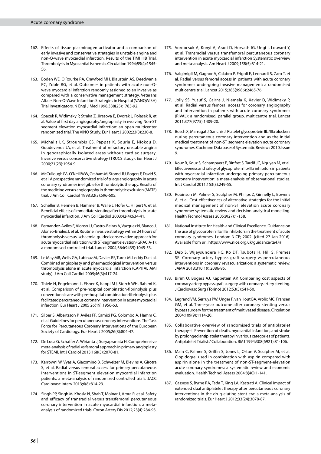- 162. Effects of tissue plasminogen activator and a comparison of early invasive and conservative strategies in unstable angina and non-Q-wave myocardial infarction. Results of the TIMI IIIB Trial. Thrombolysis in Myocardial Ischemia. Circulation 1994;89(4):1545- 56.
- 163. Boden WE, O'Rourke RA, Crawford MH, Blaustein AS, Deedwania PC, Zoble RG, et al. Outcomes in patients with acute non-Qwave myocardial infarction randomly assigned to an invasive as compared with a conservative management strategy. Veterans Affairs Non-Q-Wave Infarction Strategies in Hospital (VANQWISH) Trial Investigators. N Engl J Med 1998;338(25):1785-92.
- 164. Spacek R, Widimsky P, Straka Z, Jiresova E, Dvorak J, Polasek R, et al. Value of first day angiography/angioplasty in evolving Non-ST segment elevation myocardial infarction: an open multicenter randomized trial. The VINO Study. Eur Heart J 2002;23(3):230-8.
- 165. Michalis LK, Stroumbis CS, Pappas K, Sourla E, Niokou D, Goudevenos JA, et al. Treatment of refractory unstable angina in geographically isolated areas without cardiac surgery. Invasive versus conservative strategy (TRUCS study). Eur Heart J 2000;21(23):1954-9.
- 166. McCullough PA, O'Neill WW, Graham M, Stomel RJ, Rogers F, David S, et al. A prospective randomized trial of triage angiography in acute coronary syndromes ineligible for thrombolytic therapy. Results of the medicine versus angiography in thrombolytic exclusion (MATE) trial. J Am Coll Cardiol 1998;32(3):596-605.
- 167. Scheller B, Hennen B, Hammer B, Walle J, Hofer C, Hilpert V, et al. Beneficial effects of immediate stenting after thrombolysis in acute myocardial infarction. J Am Coll Cardiol 2003;42(4):634-41.
- 168. Fernandez-Aviles F, Alonso JJ, Castro-Beiras A, Vazquez N, Blanco J, Alonso-Briales J, et al. Routine invasive strategy within 24 hours of thrombolysis versus ischaemia-guided conservative approach for acute myocardial infarction with ST-segment elevation (GRACIA-1): a randomised controlled trial. Lancet 2004;364(9439):1045-53.
- 169. Le May MR, Wells GA, Labinaz M, Davies RF, Turek M, Leddy D, et al. Combined angioplasty and pharmacological intervention versus thrombolysis alone in acute myocardial infarction (CAPITAL AMI study). J Am Coll Cardiol 2005;46(3):417-24.
- 170. Thiele H, Engelmann L, Elsner K, Kappl MJ, Storch WH, Rahimi K, et al. Comparison of pre-hospital combination-fibrinolysis plus conventional care with pre-hospital combination-fibrinolysis plus facilitated percutaneous coronary intervention in acute myocardial infarction. Eur Heart J 2005 26(19):1956-63.
- 171. Silber S, Albertsson P, Aviles FF, Camici PG, Colombo A, Hamm C, et al. Guidelines for percutaneous coronary interventions. The Task Force for Percutaneous Coronary Interventions of the European Society of Cardiology. Eur Heart J 2005;26(8):804-47.
- 172. De Luca G, Schaffer A, Wirianta J, Suryapranata H. Comprehensive meta-analysis of radial vs femoral approach in primary angioplasty for STEMI. Int J Cardiol 2013;168(3):2070-81.
- 173. Karrowni W, Vyas A, Giacomino B, Schweizer M, Blevins A, Girotra S, et al. Radial versus femoral access for primary percutaneous interventions in ST-segment elevation myocardial infarction patients: a meta-analysis of randomized controlled trials. JACC Cardiovasc Interv 2013;6(8):814-23.
- 174. Singh PP, Singh M, Khosla N, Shah T, Molnar J, Arora R, et al. Safety and efficacy of transradial versus transfemoral percutaneous coronary intervention in acute myocardial infarction: a metaanalysis of randomized trials. Coron Artery Dis 2012;23(4):284-93.
- 175. Vorobcsuk A, Konyi A, Aradi D, Horvath IG, Ungi I, Louvard Y, et al. Transradial versus transfemoral percutaneous coronary intervention in acute myocardial infarction Systematic overview and meta-analysis. Am Heart J 2009;158(5):814-21.
- 176. Valgimigli M, Gagnor A, Calabro P, Frigoli E, Leonardi S, Zaro T, et al. Radial versus femoral access in patients with acute coronary syndromes undergoing invasive management: a randomised multicentre trial. Lancet 2015;385(9986):2465-76.
- 177. Jolly SS, Yusuf S, Cairns J, Niemela K, Xavier D, Widimsky P, et al. Radial versus femoral access for coronary angiography and intervention in patients with acute coronary syndromes (RIVAL): a randomised, parallel group, multicentre trial. Lancet 2011;377(9775):1409-20.
- 178. Bosch X, Marrugat J, Sanchis J. Platelet glycoprotein IIb/IIIa blockers during percutaneous coronary intervention and as the initial medical treatment of non-ST segment elevation acute coronary syndromes. Cochrane Database of Systematic Reviews 2010, Issue 9.
- 179. Kouz R, Kouz S, Schampaert E, Rinfret S, Tardif JC, Nguyen M, et al. Effectiveness and safety of glycoprotein IIb/IIIa inhibitors in patients with myocardial infarction undergoing primary percutaneous coronary intervention: a meta-analysis of observational studies. Int J Cardiol 2011;153(3):249-55.
- 180. Robinson M, Palmer S, Sculpher M, Philips Z, Ginnelly L, Bowens A, et al. Cost-effectiveness of alternative strategies for the initial medical management of non-ST elevation acute coronary syndrome: systematic review and decision-analytical modelling. Health Technol Assess 2005;9(27):1-158.
- 181. National Institute for Health and Clinical Excellence. Guidance on the use of glycoprotein IIb/IIIa inhibitors in the treatment of acute coronary syndromes. London: NICE; 2002. [cited 27 Jan 2016]. Available from url: [https://www.nice.org.uk/guidance/ta47#](https://www.nice.org.uk/guidance/ta47)
- 182. Deb S, Wijeysundera HC, Ko DT, Tsubota H, Hill S, Fremes SE. Coronary artery bypass graft surgery vs percutaneous interventions in coronary revascularization: a systematic review. JAMA 2013;310(19):2086-95.
- 183. Birim O, Bogers AJ, Kappetein AP. Comparing cost aspects of coronary artery bypass graft surgery with coronary artery stenting. J Cardiovasc Surg (Torino) 2012;53(5):641-50.
- 184. Legrand VM, Serruys PW, Unger F, van Hout BA, Vrolix MC, Fransen GM, et al. Three-year outcome after coronary stenting versus bypass surgery for the treatment of multivessel disease. Circulation 2004;109(9):1114-20.
- 185. Collaborative overview of randomised trials of antiplatelet therapy--I: Prevention of death, myocardial infarction, and stroke by prolonged antiplatelet therapy in various categories of patients. Antiplatelet Trialists' Collaboration. BMJ 1994;308(6921):81-106.
- 186. Main C, Palmer S, Griffin S, Jones L, Orton V, Sculpher M, et al. Clopidogrel used in combination with aspirin compared with aspirin alone in the treatment of non-ST-segment-elevation acute coronary syndromes: a systematic review and economic evaluation. Health Technol Assess 2004;8(40):1-141.
- 187. Cassese S, Byrne RA, Tada T, King LA, Kastrati A. Clinical impact of extended dual antiplatelet therapy after percutaneous coronary interventions in the drug-eluting stent era: a meta-analysis of randomized trials. Eur Heart J 2012;33(24):3078-87.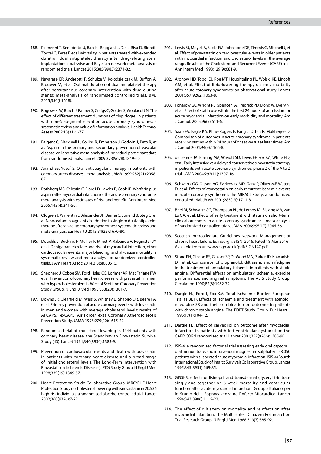- 188. Palmerini T, Benedetto U, Bacchi-Reggiani L, Della Riva D, Biondi-Zoccai G, Feres F, et al. Mortality in patients treated with extended duration dual antiplatelet therapy after drug-eluting stent implantation: a pairwise and Bayesian network meta-analysis of randomised trials. Lancet 2015;385(9985):2371-82.
- 189. Navarese EP, Andreotti F, Schulze V, Kolodziejczak M, Buffon A, Brouwer M, et al. Optimal duration of dual antiplatelet therapy after percutaneous coronary intervention with drug eluting stents: meta-analysis of randomised controlled trials. BMJ 2015;350(h1618).
- 190. Rogowski W, Burch J, Palmer S, Craigs C, Golder S, Woolacott N. The effect of different treatment durations of clopidogrel in patients with non-ST-segment elevation acute coronary syndromes: a systematic review and value of information analysis. Health Technol Assess 2009;13(31):1-77.
- 191. Baigent C, Blackwell L, Collins R, Emberson J, Godwin J, Peto R, et al. Aspirin in the primary and secondary prevention of vascular disease: collaborative meta-analysis of individual participant data from randomised trials. Lancet 2009;373(9678):1849-60.
- 192. Anand SS, Yusuf S. Oral anticoagulant therapy in patients with coronary artery disease: a meta-analysis. JAMA 1999;282(21):2058- 67.
- 193. Rothberg MB, Celestin C, Fiore LD, Lawler E, Cook JR. Warfarin plus aspirin after myocardial infarction or the acute coronary syndrome: meta-analysis with estimates of risk and benefit. Ann Intern Med 2005;143(4):241-50.
- 194. Oldgren J, Wallentin L, Alexander JH, James S, Jonelid B, Steg G, et al. New oral anticoagulants in addition to single or dual antiplatelet therapy after an acute coronary syndrome: a systematic review and meta-analysis. Eur Heart J 2013;34(22):1670-80.
- 195. Douxfils J, Buckinx F, Mullier F, Minet V, Rabenda V, Reginster JY, et al. Dabigatran etexilate and risk of myocardial infarction, other cardiovascular events, major bleeding, and all-cause mortality: a systematic review and meta-analysis of randomized controlled trials. J Am Heart Assoc 2014;3(3):e000515.
- 196. Shepherd J, Cobbe SM, Ford I, Isles CG, Lorimer AR, MacFarlane PW, et al. Prevention of coronary heart disease with pravastatin in men with hypercholesterolemia. West of Scotland Coronary Prevention Study Group. N Engl J Med 1995;333(20):1301-7.
- 197. Downs JR, Clearfield M, Weis S, Whitney E, Shapiro DR, Beere PA, et al. Primary prevention of acute coronary events with lovastatin in men and women with average cholesterol levels: results of AFCAPS/TexCAPS. Air Force/Texas Coronary Atherosclerosis Prevention Study. JAMA 1998;279(20):1615-22.
- 198. Randomised trial of cholesterol lowering in 4444 patients with coronary heart disease: the Scandinavian Simvastatin Survival Study (4S). Lancet 1994;344(8934):1383-9.
- 199. Prevention of cardiovascular events and death with pravastatin in patients with coronary heart disease and a broad range of initial cholesterol levels. The Long-Term Intervention with Pravastatin in Ischaemic Disease (LIPID) Study Group. N Engl J Med 1998;339(19):1349-57.
- 200. Heart Protection Study Collaborative Group. MRC/BHF Heart Protection Study of cholesterol lowering with simvastatin in 20,536 high-risk individuals: a randomised placebo-controlled trial. Lancet 2002;360(9326):7-22.
- 201. Lewis SJ, Moye LA, Sacks FM, Johnstone DE, Timmis G, Mitchell J, et al. Effect of pravastatin on cardiovascular events in older patients with myocardial infarction and cholesterol levels in the average range. Results of the Cholesterol and Recurrent Events (CARE) trial. Ann Intern Med 1998;129(9):681-9.
- 202. Aronow HD, Topol EJ, Roe MT, Houghtaling PL, Wolski KE, Lincoff AM, et al. Effect of lipid-lowering therapy on early mortality after acute coronary syndromes: an observational study. Lancet 2001;357(9262):1063-8.
- 203. Fonarow GC, Wright RS, Spencer FA, Fredrick PD, Dong W, Every N, et al. Effect of statin use within the first 24 hours of admission for acute myocardial infarction on early morbidity and mortality. Am J Cardiol. 2005;96(5):611-6.
- 204. Saab FA, Eagle KA, Kline-Rogers E, Fang J, Otten R, Mukherjee D. Comparison of outcomes in acute coronary syndrome in patients receiving statins within 24 hours of onset versus at later times. Am J Cardiol 2004;94(9):1166-8.
- 205. de Lemos JA, Blazing MA, Wiviott SD, Lewis EF, Fox KA, White HD, et al. Early intensive vs a delayed conservative simvastatin strategy in patients with acute coronary syndromes: phase Z of the A to Z trial. JAMA 2004;292(11):1307-16.
- 206. Schwartz GG, Olsson AG, Ezekowitz MD, Ganz P, Oliver MF, Waters D, et al. Effects of atorvastatin on early recurrent ischemic events in acute coronary syndromes: the MIRACL study: a randomized controlled trial. JAMA 2001;285(13):1711-8.
- 207. Briel M, Schwartz GG, Thompson PL, de Lemos JA, Blazing MA, van Es GA, et al. Effects of early treatment with statins on short-term clinical outcomes in acute coronary syndromes: a meta-analysis of randomized controlled trials. JAMA 2006;295(17):2046-56.
- 208. Scottish Intercollegiate Guidelines Network. Management of chronic heart failure. Edinburgh: SIGN; 2016. [cited 18 Mar 2016]. Available from url: [www.sign.ac.uk/pdf/SIGN147.pdf](http://www.sign.ac.uk/pdf/SIGN147.pdf)
- 209. Stone PH, Gibson RS, Glasser SP, DeWood MA, Parker JD, Kawanishi DT, et al. Comparison of propranolol, diltiazem, and nifedipine in the treatment of ambulatory ischemia in patients with stable angina. Differential effects on ambulatory ischemia, exercise performance, and anginal symptoms. The ASIS Study Group. Circulation 1990;82(6):1962-72.
- 210. Dargie HJ, Ford I, Fox KM. Total Ischaemic Burden European Trial (TIBET). Effects of ischaemia and treatment with atenolol, nifedipine SR and their combination on outcome in patients with chronic stable angina. The TIBET Study Group. Eur Heart J 1996;17(1):104-12.
- 211. Dargie HJ. Effect of carvedilol on outcome after myocardial infarction in patients with left-ventricular dysfunction: the CAPRICORN randomised trial. Lancet 2001;357(9266):1385-90.
- 212. ISIS-4: a randomised factorial trial assessing early oral captopril, oral mononitrate, and intravenous magnesium sulphate in 58,050 patients with suspected acute myocardial infarction. ISIS-4 (Fourth International Study of Infarct Survival) Collaborative Group. Lancet 1995;345(8951):669-85.
- 213. GISSI-3: effects of lisinopril and transdermal glyceryl trinitrate singly and together on 6-week mortality and ventricular function after acute myocardial infarction. Gruppo Italiano per lo Studio della Sopravvivenza nell'infarto Miocardico. Lancet 1994;343(8906):1115-22.
- 214. The effect of diltiazem on mortality and reinfarction after myocardial infarction. The Multicenter Diltiazem Postinfarction Trial Research Group. N Engl J Med 1988;319(7):385-92.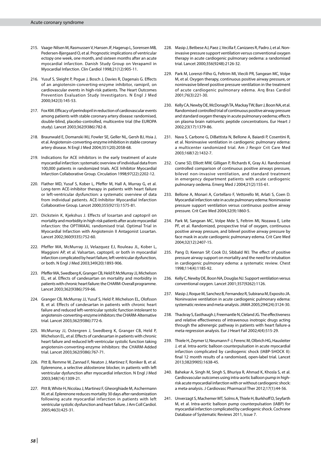- 215. Vaage-Nilsen M, Rasmussen V, Hansen JF, Hagerup L, Sorensen MB, Pedersen-Bjergaard O, et al. Prognostic implications of ventricular ectopy one week, one month, and sixteen months after an acute myocardial infarction. Danish Study Group on Verapamil in Myocardial Infarction. Clin Cardiol 1998;21(12):905-11.
- 216. Yusuf S, Sleight P, Pogue J, Bosch J, Davies R, Dagenais G. Effects of an angiotensin-converting-enzyme inhibitor, ramipril, on cardiovascular events in high-risk patients. The Heart Outcomes Prevention Evaluation Study Investigators. N Engl J Med 2000;342(3):145-53.
- 217. Fox KM. Efficacy of perindopril in reduction of cardiovascular events among patients with stable coronary artery disease: randomised, double-blind, placebo-controlled, multicentre trial (the EUROPA study). Lancet 2003;362(9386):782-8.
- 218. Braunwald E, Domanski MJ, Fowler SE, Geller NL, Gersh BJ, Hsia J, et al. Angiotensin-converting-enzyme inhibition in stable coronary artery disease. N Engl J Med 2004;351(20):2058-68.
- 219. Indications for ACE inhibitors in the early treatment of acute myocardial infarction: systematic overview of individual data from 100,000 patients in randomized trials. ACE Inhibitor Myocardial Infarction Collaborative Group. Circulation 1998;97(22):2202-12.
- 220. Flather MD, Yusuf S, Kober L, Pfeffer M, Hall A, Murray G, et al. Long-term ACE-inhibitor therapy in patients with heart failure or left-ventricular dysfunction: a systematic overview of data from individual patients. ACE-Inhibitor Myocardial Infarction Collaborative Group. Lancet 2000;355(9215):1575-81.
- 221. Dickstein K, Kjekshus J. Effects of losartan and captopril on mortality and morbidity in high-risk patients after acute myocardial infarction: the OPTIMAAL randomised trial. Optimal Trial in Myocardial Infarction with Angiotensin II Antagonist Losartan. Lancet 2002;360(9335):752-60.
- 222. Pfeffer MA, McMurray JJ, Velazquez EJ, Rouleau JL, Kober L, Maggioni AP, et al. Valsartan, captopril, or both in myocardial infarction complicated by heart failure, left ventricular dysfunction, or both. N Engl J Med 2003;349(20):1893-906.
- 223. Pfeffer MA, Swedberg K, Granger CB, Held P, McMurray JJ, Michelson EL, et al. Effects of candesartan on mortality and morbidity in patients with chronic heart failure: the CHARM-Overall programme. Lancet 2003;362(9386):759-66.
- 224. Granger CB, McMurray JJ, Yusuf S, Held P, Michelson EL, Olofsson B, et al. Effects of candesartan in patients with chronic heart failure and reduced left-ventricular systolic function intolerant to angiotensin-converting-enzyme inhibitors: the CHARM-Alternative trial. Lancet 2003;362(9386):772-6.
- 225. McMurray JJ, Ostergren J, Swedberg K, Granger CB, Held P, Michelson EL, et al. Effects of candesartan in patients with chronic heart failure and reduced left-ventricular systolic function taking angiotensin-converting-enzyme inhibitors: the CHARM-Added trial. Lancet 2003;362(9386):767-71.
- 226. Pitt B, Remme W, Zannad F, Neaton J, Martinez F, Roniker B, et al. Eplerenone, a selective aldosterone blocker, in patients with left ventricular dysfunction after myocardial infarction. N Engl J Med 2003;348(14):1309-21.
- 227. Pitt B, White H, Nicolau J, Martinez F, Gheorghiade M, Aschermann M, et al. Eplerenone reduces mortality 30 days after randomization following acute myocardial infarction in patients with left ventricular systolic dysfunction and heart failure. J Am Coll Cardiol. 2005;46(3):425-31.
- 228. Masip J, Betbese AJ, Paez J, Vecilla F, Canizares R, Padro J, et al. Noninvasive pressure support ventilation versus conventional oxygen therapy in acute cardiogenic pulmonary oedema: a randomised trial. Lancet 2000;356(9248):2126-32.
- 229. Park M, Lorenzi-Filho G, Feltrim MI, Viecili PR, Sangean MC, Volpe M, et al. Oxygen therapy, continuous positive airway pressure, or noninvasive bilevel positive pressure ventilation in the treatment of acute cardiogenic pulmonary edema. Arq Bras Cardiol 2001;76(3):221-30.
- 230. Kelly CA, Newby DE, McDonagh TA, Mackay TW, Barr J, Boon NA, et al. Randomised controlled trial of continuous positive airway pressure and standard oxygen therapy in acute pulmonary oedema; effects on plasma brain natriuretic peptide concentrations. Eur Heart J 2002;23(17):1379-86.
- 231. Nava S, Carbone G, DiBattista N, Bellone A, Baiardi P, Cosentini R, et al. Noninvasive ventilation in cardiogenic pulmonary edema: a multicenter randomized trial. Am J Respir Crit Care Med 2003;168(12):1432-7.
- 232. Crane SD, Elliott MW, Gilligan P, Richards K, Gray AJ. Randomised controlled comparison of continuous positive airways pressure, bilevel non-invasive ventilation, and standard treatment in emergency department patients with acute cardiogenic pulmonary oedema. Emerg Med J 2004;21(2):155-61.
- 233. Bellone A, Monari A, Cortellaro F, Vettorello M, Arlati S, Coen D. Myocardial infarction rate in acute pulmonary edema: Noninvasive pressure support ventilation versus continuous positive airway pressure. Crit Care Med 2004;32(9):1860-5.
- 234. Park M, Sangean MC, Volpe Mde S, Feltrim MI, Nozawa E, Leite PF, et al. Randomized, prospective trial of oxygen, continuous positive airway pressure, and bilevel positive airway pressure by face mask in acute cardiogenic pulmonary edema. Crit Care Med 2004;32(12):2407-15.
- 235. Pang D, Keenan SP, Cook DJ, Sibbald WJ. The effect of positive pressure airway support on mortality and the need for intubation in cardiogenic pulmonary edema: a systematic review. Chest 1998;114(4):1185-92.
- 236. Kelly C, Newby DE, Boon NA, Douglas NJ. Support ventilation versus conventional oxygen. Lancet 2001;357(9262):1126.
- 237. Masip J, Roque M, Sanchez B, Fernandez R, Subirana M, Exposito JA. Noninvasive ventilation in acute cardiogenic pulmonary edema: systematic review and meta-analysis. JAMA 2005;294(24):3124-30.
- 238. Thackray S, Easthaugh J, Freemantle N, Cleland JG. The effectiveness and relative effectiveness of intravenous inotropic drugs acting through the adrenergic pathway in patients with heart failure-a meta-regression analysis. Eur J Heart Fail 2002;4(4):515-29.
- 239. Thiele H, Zeymer U, Neumann F-J, Ferenc M, Olbrich HG, Hausleiter J, et al. Intra-aortic balloon counterpulsation in acute myocardial infarction complicated by cardiogenic shock (IABP-SHOCK II): final 12 month results of a randomised, open-label trial. Lancet 2013;382(9905):1638-45.
- 240. Bahekar A, Singh M, Singh S, Bhuriya R, Ahmad K, Khosla S, et al. Cardiovascular outcomes using intra-aortic balloon pump in highrisk acute myocardial infarction with or without cardiogenic shock: a meta-analysis. J Cardiovasc Pharmacol Ther 2012;17(1):44-56.
- 241. Unverzagt S, Machemer MT, Solms A, Thiele H, Burkhoff D, Seyfarth M, et al. Intra-aortic balloon pump counterpulsation (IABP) for myocardial infarction complicated by cardiogenic shock. Cochrane Database of Systematic Reviews 2011, Issue 7.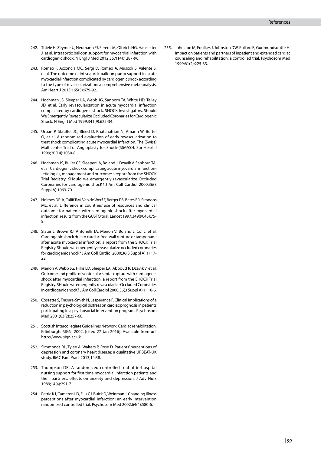- 242. Thiele H, Zeymer U, Neumann FJ, Ferenc M, Olbrich HG, Hausleiter J, et al. Intraaortic balloon support for myocardial infarction with cardiogenic shock. N Engl J Med 2012;367(14):1287-96.
- 243. Romeo F, Acconcia MC, Sergi D, Romeo A, Muscoli S, Valente S, et al. The outcome of intra-aortic balloon pump support in acute myocardial infarction complicated by cardiogenic shock according to the type of revascularization: a comprehensive meta-analysis. Am Heart J 2013;165(5):679-92.
- 244. Hochman JS, Sleeper LA, Webb JG, Sanborn TA, White HD, Talley JD, et al. Early revascularization in acute myocardial infarction complicated by cardiogenic shock. SHOCK Investigators. Should We Emergently Revascularize Occluded Coronaries for Cardiogenic Shock. N Engl J Med 1999;341(9):625-34.
- 245. Urban P, Stauffer JC, Bleed D, Khatchatrian N, Amann W, Bertel O, et al. A randomized evaluation of early revascularization to treat shock complicating acute myocardial infarction. The (Swiss) Multicenter Trial of Angioplasty for Shock-(S)MASH. Eur Heart J 1999;20(14):1030-8.
- 246. Hochman JS, Buller CE, Sleeper LA, Boland J, Dzavik V, Sanborn TA, et al. Cardiogenic shock complicating acute myocardial infarction- -etiologies, management and outcome: a report from the SHOCK Trial Registry. SHould we emergently revascularize Occluded Coronaries for cardiogenic shocK? J Am Coll Cardiol 2000;36(3 Suppl A):1063-70.
- 247. Holmes DR Jr, Califf RM, Van de Werf F, Berger PB, Bates ER, Simoons ML, et al. Difference in countries' use of resources and clinical outcome for patients with cardiogenic shock after myocardial infarction: results from the GUSTO trial. Lancet 1997;349(9045):75- 8.
- 248. Slater J, Brown RJ, Antonelli TA, Menon V, Boland J, Col J, et al. Cardiogenic shock due to cardiac free-wall rupture or tamponade after acute myocardial infarction: a report from the SHOCK Trial Registry. Should we emergently revascularize occluded coronaries for cardiogenic shock? J Am Coll Cardiol 2000;36(3 Suppl A):1117-  $22.2$
- 249. Menon V, Webb JG, Hillis LD, Sleeper LA, Abboud R, Dzavik V, et al. Outcome and profile of ventricular septal rupture with cardiogenic shock after myocardial infarction: a report from the SHOCK Trial Registry. SHould we emergently revascularize Occluded Coronaries in cardiogenic shocK? J Am Coll Cardiol 2000;36(3 Suppl A):1110-6.
- 250. Cossette S, Frasure-Smith N, Lesperance F. Clinical implications of a reduction in psychological distress on cardiac prognosis in patients participating in a psychosocial intervention program. Psychosom Med 2001;63(2):257-66.
- 251. Scottish Intercollegiate Guidelines Network. Cardiac rehabilitation. Edinburgh: SIGN; 2002. [cited 27 Jan 2016]. Available from url: <http://www.sign.ac.uk>
- 252. Simmonds RL, Tylee A, Walters P, Rose D. Patients' perceptions of depression and coronary heart disease: a qualitative UPBEAT-UK study. BMC Fam Pract 2013;14:38.
- 253. Thompson DR. A randomized controlled trial of in-hospital nursing support for first time myocardial infarction patients and their partners: effects on anxiety and depression. J Adv Nurs 1989;14(4):291-7.
- 254. Petrie KJ, Cameron LD, Ellis CJ, Buick D, Weinman J. Changing illness perceptions after myocardial infarction: an early intervention randomized controlled trial. Psychosom Med 2002;64(4):580-6.

255. Johnston M, Foulkes J, Johnston DW, Pollard B, Gudmundsdottir H. Impact on patients and partners of inpatient and extended cardiac counseling and rehabilitation: a controlled trial. Psychosom Med 1999;61(2):225-33.